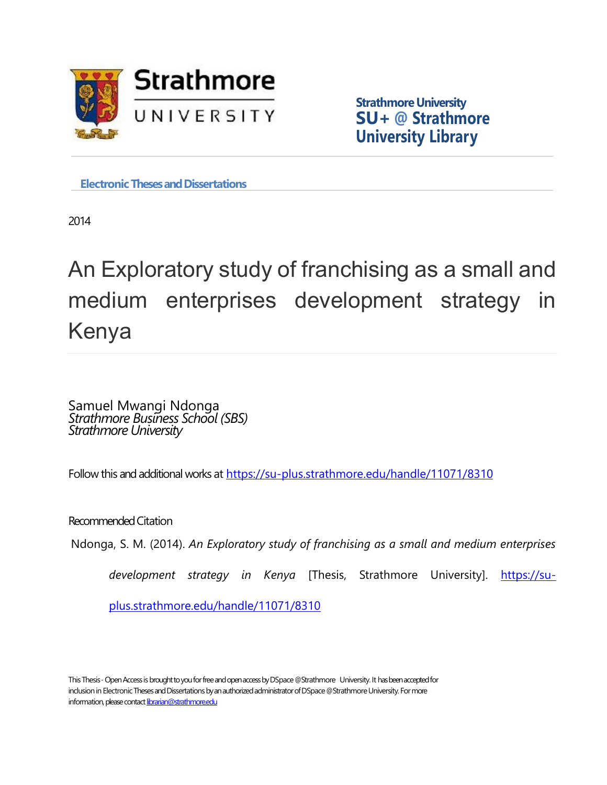

**Strathmore University SU+ @ Strathmore University Library**

**Electronic Theses and Dissertations** 

2014

An Exploratory study of franchising as a small and medium enterprises development strategy in Kenya

Samuel Mwangi Ndonga *Strathmore Business School (SBS) Strathmore University*

Follow this and additional works at <https://su-plus.strathmore.edu/handle/11071/8310>

Recommended Citation

Ndonga, S. M. (2014). *An Exploratory study of franchising as a small and medium enterprises* 

*development strategy in Kenya* [Thesis, Strathmore University]. [https://su-](https://su-plus.strathmore.edu/handle/11071/8310)

[plus.strathmore.edu/handle/11071/8310](https://su-plus.strathmore.edu/handle/11071/8310)

This Thesis - Open Access is brought to you for free and open access by DSpace @Strathmore University. It has been accepted for inclusion in Electronic Theses and Dissertations by an authorized administrator of DSpace @Strathmore University. For more information, please contact librarian@strathmore.edu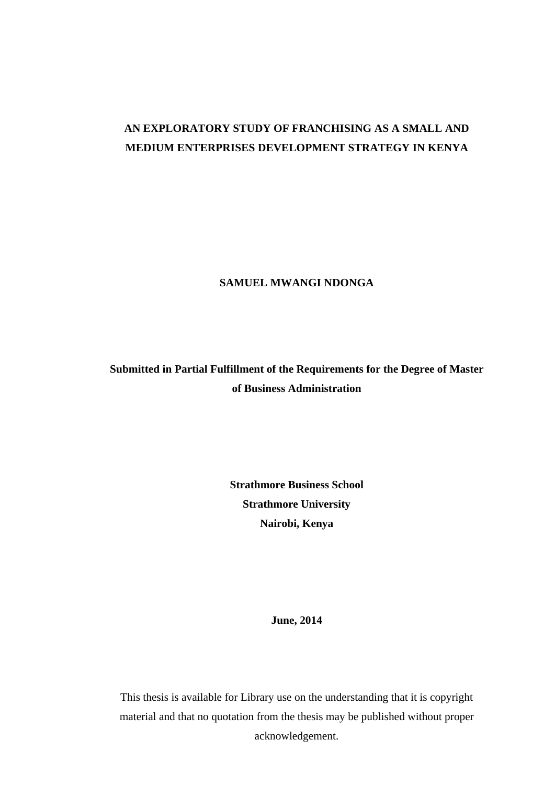# **AN EXPLORATORY STUDY OF FRANCHISING AS A SMALL AND MEDIUM ENTERPRISES DEVELOPMENT STRATEGY IN KENYA**

**SAMUEL MWANGI NDONGA**

**Submitted in Partial Fulfillment of the Requirements for the Degree of Master of Business Administration**

> **Strathmore Business School Strathmore University Nairobi, Kenya**

> > **June, 2014**

This thesis is available for Library use on the understanding that it is copyright material and that no quotation from the thesis may be published without proper acknowledgement.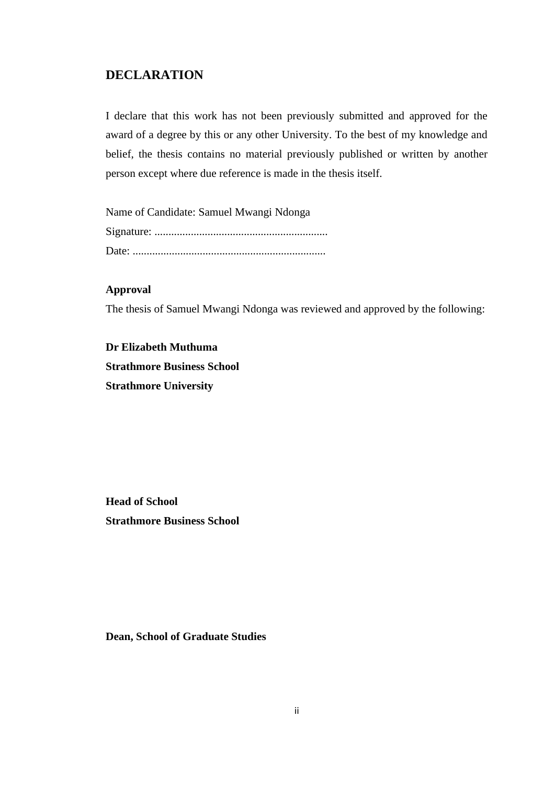## **DECLARATION**

I declare that this work has not been previously submitted and approved for the award of a degree by this or any other University. To the best of my knowledge and belief, the thesis contains no material previously published or written by another person except where due reference is made in the thesis itself.

Name of Candidate: Samuel Mwangi Ndonga Signature: .............................................................. Date: .....................................................................

## **Approval**

The thesis of Samuel Mwangi Ndonga was reviewed and approved by the following:

**Dr Elizabeth Muthuma Strathmore Business School Strathmore University**

**Head of School Strathmore Business School**

**Dean, School of Graduate Studies**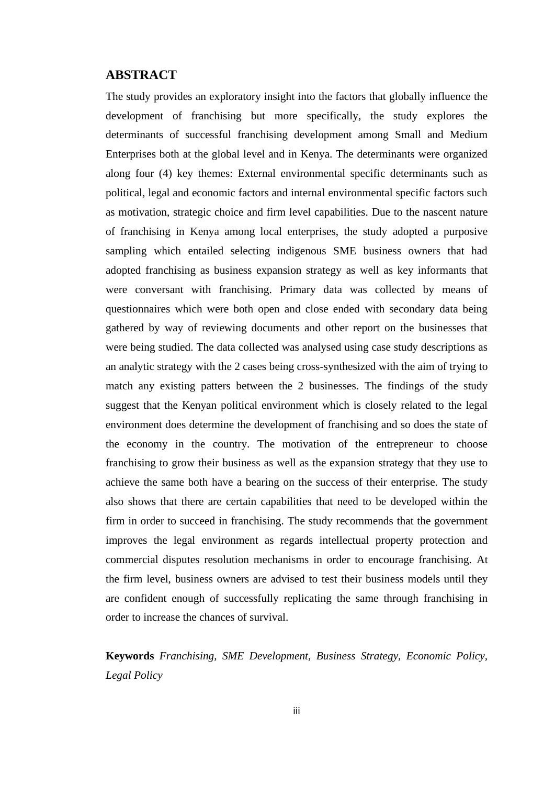## **ABSTRACT**

The study provides an exploratory insight into the factors that globally influence the development of franchising but more specifically, the study explores the determinants of successful franchising development among Small and Medium Enterprises both at the global level and in Kenya. The determinants were organized along four (4) key themes: External environmental specific determinants such as political, legal and economic factors and internal environmental specific factors such as motivation, strategic choice and firm level capabilities. Due to the nascent nature of franchising in Kenya among local enterprises, the study adopted a purposive sampling which entailed selecting indigenous SME business owners that had adopted franchising as business expansion strategy as well as key informants that were conversant with franchising. Primary data was collected by means of questionnaires which were both open and close ended with secondary data being gathered by way of reviewing documents and other report on the businesses that were being studied. The data collected was analysed using case study descriptions as an analytic strategy with the 2 cases being cross-synthesized with the aim of trying to match any existing patters between the 2 businesses. The findings of the study suggest that the Kenyan political environment which is closely related to the legal environment does determine the development of franchising and so does the state of the economy in the country. The motivation of the entrepreneur to choose franchising to grow their business as well as the expansion strategy that they use to achieve the same both have a bearing on the success of their enterprise. The study also shows that there are certain capabilities that need to be developed within the firm in order to succeed in franchising. The study recommends that the government improves the legal environment as regards intellectual property protection and commercial disputes resolution mechanisms in order to encourage franchising. At the firm level, business owners are advised to test their business models until they are confident enough of successfully replicating the same through franchising in order to increase the chances of survival.

**Keywords** *Franchising, SME Development, Business Strategy, Economic Policy, Legal Policy*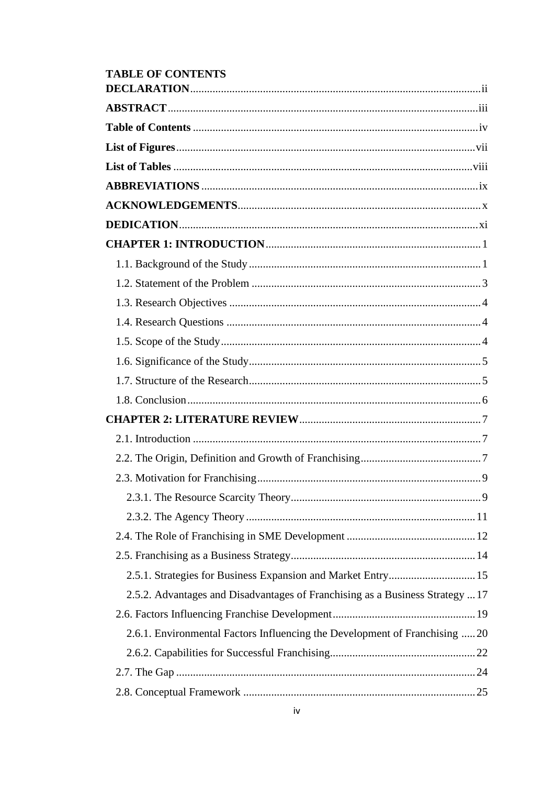| <b>TABLE OF CONTENTS</b>                                                      |  |
|-------------------------------------------------------------------------------|--|
|                                                                               |  |
|                                                                               |  |
|                                                                               |  |
|                                                                               |  |
|                                                                               |  |
|                                                                               |  |
|                                                                               |  |
|                                                                               |  |
|                                                                               |  |
|                                                                               |  |
|                                                                               |  |
|                                                                               |  |
|                                                                               |  |
|                                                                               |  |
|                                                                               |  |
|                                                                               |  |
|                                                                               |  |
|                                                                               |  |
|                                                                               |  |
|                                                                               |  |
|                                                                               |  |
|                                                                               |  |
|                                                                               |  |
|                                                                               |  |
|                                                                               |  |
| 2.5.1. Strategies for Business Expansion and Market Entry 15                  |  |
| 2.5.2. Advantages and Disadvantages of Franchising as a Business Strategy  17 |  |
|                                                                               |  |
| 2.6.1. Environmental Factors Influencing the Development of Franchising  20   |  |
|                                                                               |  |
|                                                                               |  |
|                                                                               |  |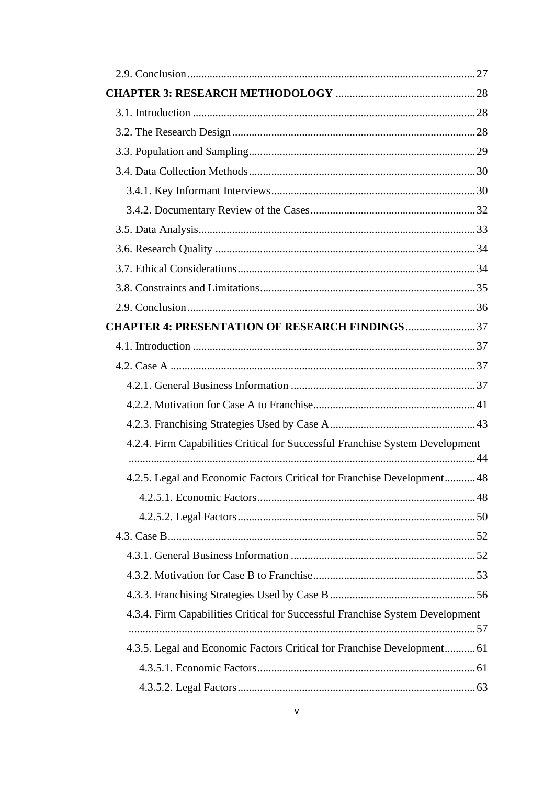| <b>CHAPTER 4: PRESENTATION OF RESEARCH FINDINGS37</b>                         |  |
|-------------------------------------------------------------------------------|--|
|                                                                               |  |
|                                                                               |  |
|                                                                               |  |
|                                                                               |  |
|                                                                               |  |
| 4.2.4. Firm Capabilities Critical for Successful Franchise System Development |  |
|                                                                               |  |
| 4.2.5. Legal and Economic Factors Critical for Franchise Development48        |  |
|                                                                               |  |
|                                                                               |  |
|                                                                               |  |
|                                                                               |  |
|                                                                               |  |
|                                                                               |  |
| 4.3.4. Firm Capabilities Critical for Successful Franchise System Development |  |
|                                                                               |  |
| 4.3.5. Legal and Economic Factors Critical for Franchise Development 61       |  |
|                                                                               |  |
|                                                                               |  |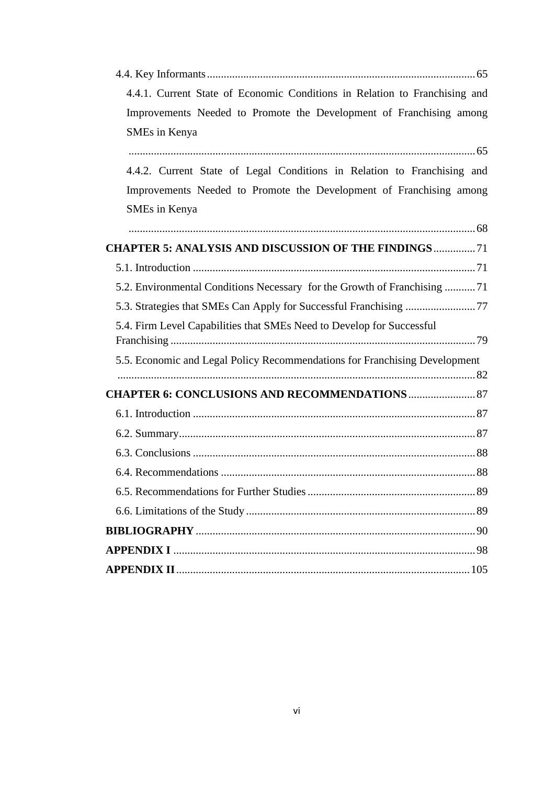| 4.4.1. Current State of Economic Conditions in Relation to Franchising and |
|----------------------------------------------------------------------------|
| Improvements Needed to Promote the Development of Franchising among        |
| SMEs in Kenya                                                              |
|                                                                            |
| 4.4.2. Current State of Legal Conditions in Relation to Franchising and    |
| Improvements Needed to Promote the Development of Franchising among        |
| SMEs in Kenya                                                              |
|                                                                            |
| <b>CHAPTER 5: ANALYSIS AND DISCUSSION OF THE FINDINGS 71</b>               |
|                                                                            |
| 5.2. Environmental Conditions Necessary for the Growth of Franchising 71   |
|                                                                            |
| 5.4. Firm Level Capabilities that SMEs Need to Develop for Successful      |
|                                                                            |
| 5.5. Economic and Legal Policy Recommendations for Franchising Development |
|                                                                            |
| <b>CHAPTER 6: CONCLUSIONS AND RECOMMENDATIONS  87</b>                      |
|                                                                            |
|                                                                            |
|                                                                            |
|                                                                            |
|                                                                            |
|                                                                            |
|                                                                            |
|                                                                            |
|                                                                            |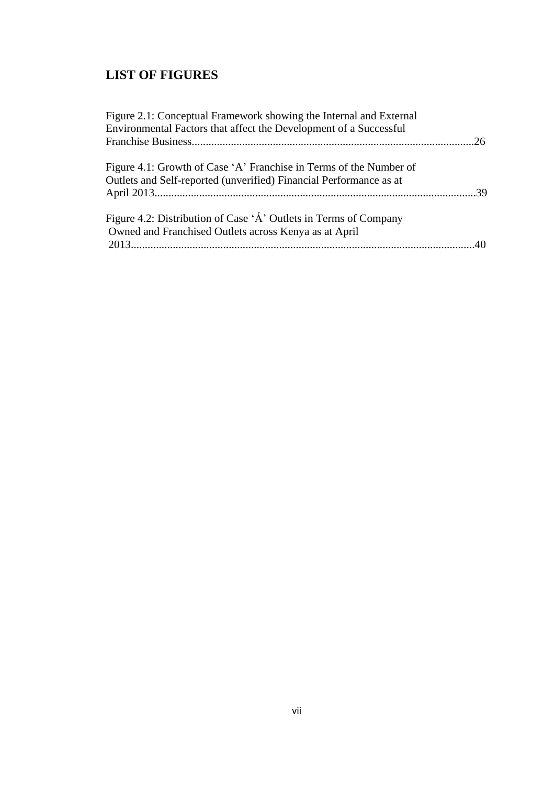# **LIST OF FIGURES**

| Figure 2.1: Conceptual Framework showing the Internal and External |    |
|--------------------------------------------------------------------|----|
| Environmental Factors that affect the Development of a Successful  |    |
|                                                                    | 26 |
| Figure 4.1: Growth of Case 'A' Franchise in Terms of the Number of |    |
| Outlets and Self-reported (unverified) Financial Performance as at |    |
|                                                                    |    |
| Figure 4.2: Distribution of Case 'A' Outlets in Terms of Company   |    |
| Owned and Franchised Outlets across Kenya as at April              |    |
|                                                                    |    |
|                                                                    |    |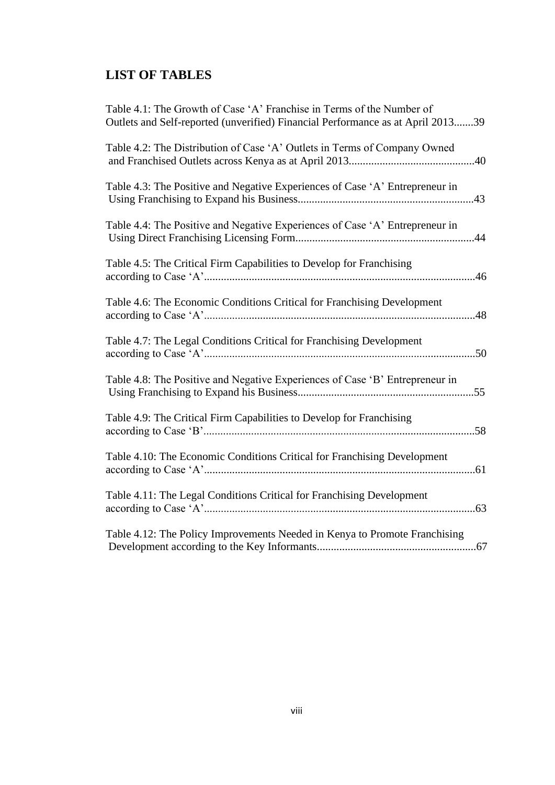# **LIST OF TABLES**

| Table 4.1: The Growth of Case 'A' Franchise in Terms of the Number of<br>Outlets and Self-reported (unverified) Financial Performance as at April 201339 |
|----------------------------------------------------------------------------------------------------------------------------------------------------------|
| Table 4.2: The Distribution of Case 'A' Outlets in Terms of Company Owned                                                                                |
| Table 4.3: The Positive and Negative Experiences of Case 'A' Entrepreneur in                                                                             |
| Table 4.4: The Positive and Negative Experiences of Case 'A' Entrepreneur in                                                                             |
| Table 4.5: The Critical Firm Capabilities to Develop for Franchising                                                                                     |
| Table 4.6: The Economic Conditions Critical for Franchising Development<br>48                                                                            |
| Table 4.7: The Legal Conditions Critical for Franchising Development                                                                                     |
| Table 4.8: The Positive and Negative Experiences of Case 'B' Entrepreneur in                                                                             |
| Table 4.9: The Critical Firm Capabilities to Develop for Franchising                                                                                     |
| Table 4.10: The Economic Conditions Critical for Franchising Development                                                                                 |
| Table 4.11: The Legal Conditions Critical for Franchising Development                                                                                    |
| Table 4.12: The Policy Improvements Needed in Kenya to Promote Franchising                                                                               |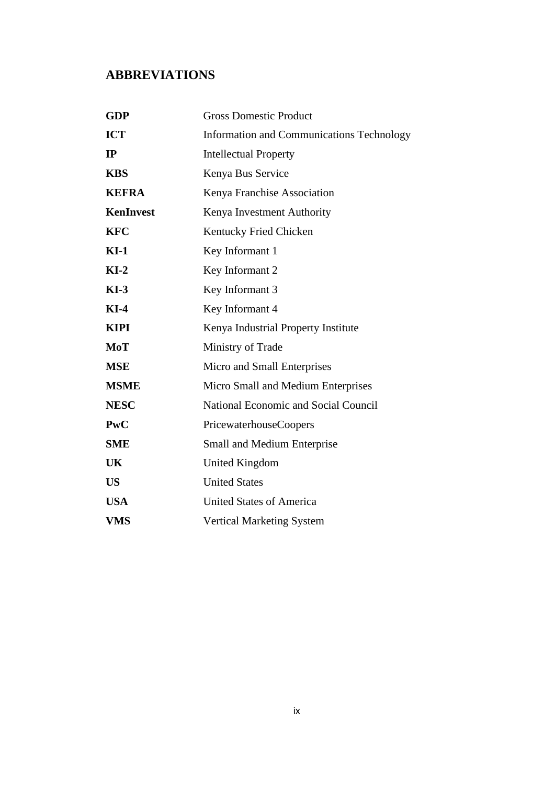## **ABBREVIATIONS**

| <b>GDP</b>       | <b>Gross Domestic Product</b>                    |
|------------------|--------------------------------------------------|
| <b>ICT</b>       | <b>Information and Communications Technology</b> |
| IP               | <b>Intellectual Property</b>                     |
| <b>KBS</b>       | Kenya Bus Service                                |
| <b>KEFRA</b>     | Kenya Franchise Association                      |
| <b>KenInvest</b> | Kenya Investment Authority                       |
| <b>KFC</b>       | Kentucky Fried Chicken                           |
| $KI-1$           | Key Informant 1                                  |
| $KI-2$           | Key Informant 2                                  |
| $KI-3$           | Key Informant 3                                  |
| $KI-4$           | Key Informant 4                                  |
| <b>KIPI</b>      | Kenya Industrial Property Institute              |
| MoT              | Ministry of Trade                                |
| <b>MSE</b>       | Micro and Small Enterprises                      |
| <b>MSME</b>      | Micro Small and Medium Enterprises               |
| <b>NESC</b>      | National Economic and Social Council             |
| <b>PwC</b>       | PricewaterhouseCoopers                           |
| <b>SME</b>       | <b>Small and Medium Enterprise</b>               |
| UK               | United Kingdom                                   |
| <b>US</b>        | <b>United States</b>                             |
| <b>USA</b>       | <b>United States of America</b>                  |
| <b>VMS</b>       | <b>Vertical Marketing System</b>                 |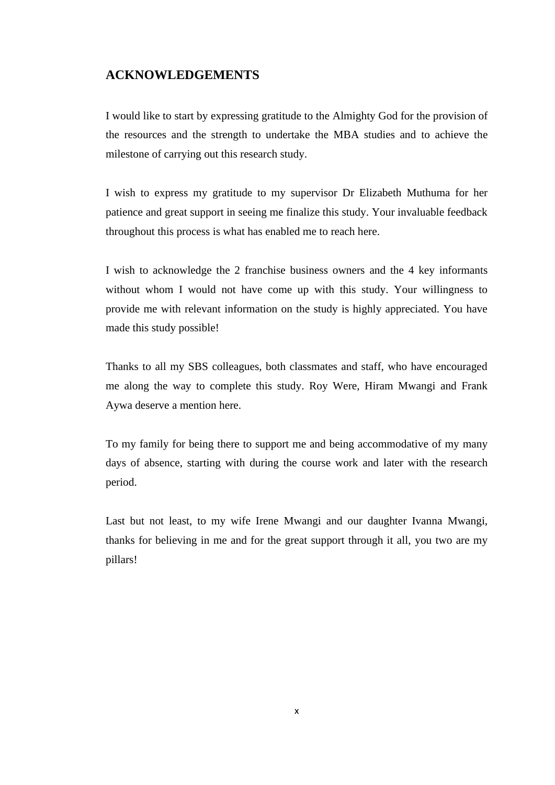## **ACKNOWLEDGEMENTS**

I would like to start by expressing gratitude to the Almighty God for the provision of the resources and the strength to undertake the MBA studies and to achieve the milestone of carrying out this research study.

I wish to express my gratitude to my supervisor Dr Elizabeth Muthuma for her patience and great support in seeing me finalize this study. Your invaluable feedback throughout this process is what has enabled me to reach here.

I wish to acknowledge the 2 franchise business owners and the 4 key informants without whom I would not have come up with this study. Your willingness to provide me with relevant information on the study is highly appreciated. You have made this study possible!

Thanks to all my SBS colleagues, both classmates and staff, who have encouraged me along the way to complete this study. Roy Were, Hiram Mwangi and Frank Aywa deserve a mention here.

To my family for being there to support me and being accommodative of my many days of absence, starting with during the course work and later with the research period.

Last but not least, to my wife Irene Mwangi and our daughter Ivanna Mwangi, thanks for believing in me and for the great support through it all, you two are my pillars!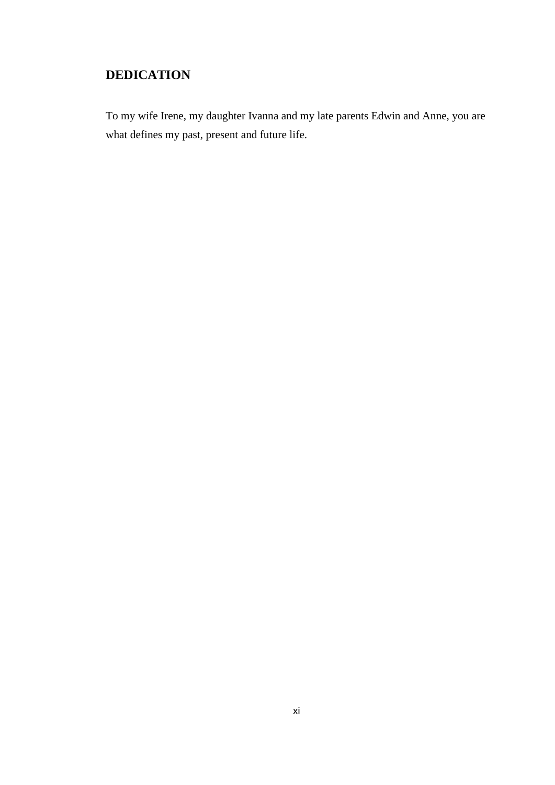## **DEDICATION**

To my wife Irene, my daughter Ivanna and my late parents Edwin and Anne, you are what defines my past, present and future life.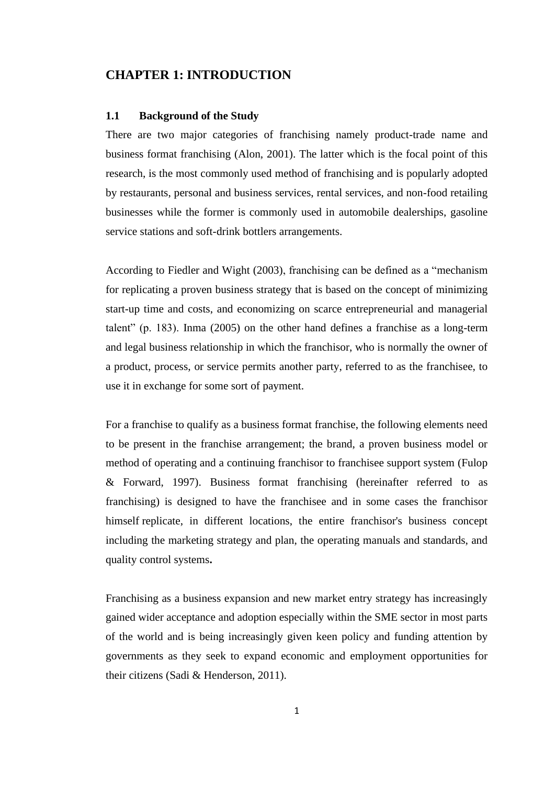## **CHAPTER 1: INTRODUCTION**

#### **1.1 Background of the Study**

There are two major categories of franchising namely product-trade name and business format franchising (Alon, 2001). The latter which is the focal point of this research, is the most commonly used method of franchising and is popularly adopted by restaurants, personal and business services, rental services, and non-food retailing businesses while the former is commonly used in automobile dealerships, gasoline service stations and soft-drink bottlers arrangements.

According to Fiedler and Wight (2003), franchising can be defined as a "mechanism for replicating a proven business strategy that is based on the concept of minimizing start-up time and costs, and economizing on scarce entrepreneurial and managerial talent" (p. 183). Inma (2005) on the other hand defines a franchise as a long-term and legal business relationship in which the franchisor, who is normally the owner of a product, process, or service permits another party, referred to as the franchisee, to use it in exchange for some sort of payment.

For a franchise to qualify as a business format franchise, the following elements need to be present in the franchise arrangement; the brand, a proven business model or method of operating and a continuing franchisor to franchisee support system (Fulop & Forward, 1997). Business format franchising (hereinafter referred to as franchising) is designed to have the franchisee and in some cases the franchisor himself replicate, in different locations, the entire franchisor's business concept including the marketing strategy and plan, the operating manuals and standards, and quality control systems**.** 

Franchising as a business expansion and new market entry strategy has increasingly gained wider acceptance and adoption especially within the SME sector in most parts of the world and is being increasingly given keen policy and funding attention by governments as they seek to expand economic and employment opportunities for their citizens (Sadi & Henderson, 2011).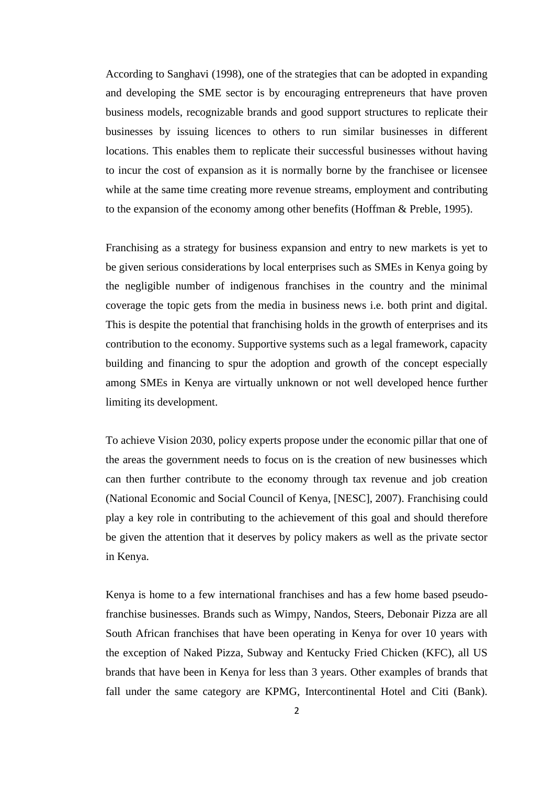According to Sanghavi (1998), one of the strategies that can be adopted in expanding and developing the SME sector is by encouraging entrepreneurs that have proven business models, recognizable brands and good support structures to replicate their businesses by issuing licences to others to run similar businesses in different locations. This enables them to replicate their successful businesses without having to incur the cost of expansion as it is normally borne by the franchisee or licensee while at the same time creating more revenue streams, employment and contributing to the expansion of the economy among other benefits (Hoffman & Preble, 1995).

Franchising as a strategy for business expansion and entry to new markets is yet to be given serious considerations by local enterprises such as SMEs in Kenya going by the negligible number of indigenous franchises in the country and the minimal coverage the topic gets from the media in business news i.e. both print and digital. This is despite the potential that franchising holds in the growth of enterprises and its contribution to the economy. Supportive systems such as a legal framework, capacity building and financing to spur the adoption and growth of the concept especially among SMEs in Kenya are virtually unknown or not well developed hence further limiting its development.

To achieve Vision 2030, policy experts propose under the economic pillar that one of the areas the government needs to focus on is the creation of new businesses which can then further contribute to the economy through tax revenue and job creation (National Economic and Social Council of Kenya, [NESC], 2007). Franchising could play a key role in contributing to the achievement of this goal and should therefore be given the attention that it deserves by policy makers as well as the private sector in Kenya.

Kenya is home to a few international franchises and has a few home based pseudofranchise businesses. Brands such as Wimpy, Nandos, Steers, Debonair Pizza are all South African franchises that have been operating in Kenya for over 10 years with the exception of Naked Pizza, Subway and Kentucky Fried Chicken (KFC), all US brands that have been in Kenya for less than 3 years. Other examples of brands that fall under the same category are KPMG, Intercontinental Hotel and Citi (Bank).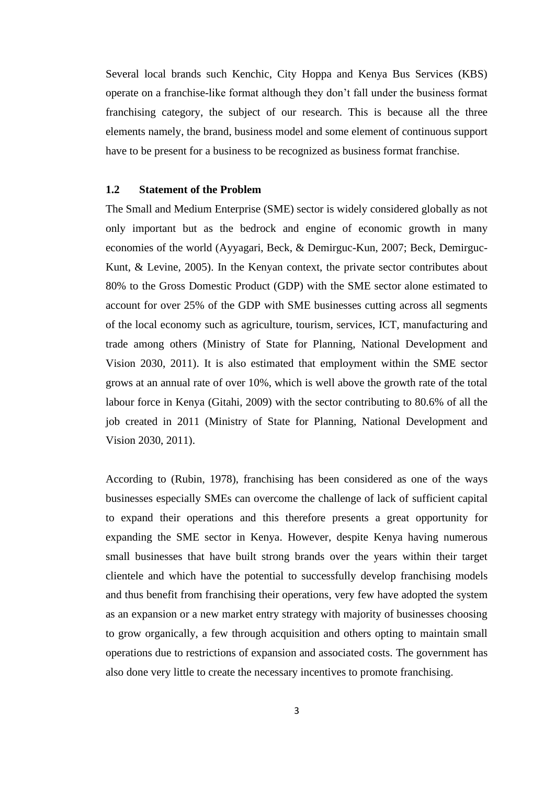Several local brands such Kenchic, City Hoppa and Kenya Bus Services (KBS) operate on a franchise-like format although they don't fall under the business format franchising category, the subject of our research. This is because all the three elements namely, the brand, business model and some element of continuous support have to be present for a business to be recognized as business format franchise.

#### **1.2 Statement of the Problem**

The Small and Medium Enterprise (SME) sector is widely considered globally as not only important but as the bedrock and engine of economic growth in many economies of the world (Ayyagari, Beck, & Demirguc-Kun, 2007; Beck, Demirguc-Kunt, & Levine, 2005). In the Kenyan context, the private sector contributes about 80% to the Gross Domestic Product (GDP) with the SME sector alone estimated to account for over 25% of the GDP with SME businesses cutting across all segments of the local economy such as agriculture, tourism, services, ICT, manufacturing and trade among others (Ministry of State for Planning, National Development and Vision 2030, 2011). It is also estimated that employment within the SME sector grows at an annual rate of over 10%, which is well above the growth rate of the total labour force in Kenya (Gitahi, 2009) with the sector contributing to 80.6% of all the job created in 2011 (Ministry of State for Planning, National Development and Vision 2030, 2011).

According to (Rubin, 1978), franchising has been considered as one of the ways businesses especially SMEs can overcome the challenge of lack of sufficient capital to expand their operations and this therefore presents a great opportunity for expanding the SME sector in Kenya. However, despite Kenya having numerous small businesses that have built strong brands over the years within their target clientele and which have the potential to successfully develop franchising models and thus benefit from franchising their operations, very few have adopted the system as an expansion or a new market entry strategy with majority of businesses choosing to grow organically, a few through acquisition and others opting to maintain small operations due to restrictions of expansion and associated costs. The government has also done very little to create the necessary incentives to promote franchising.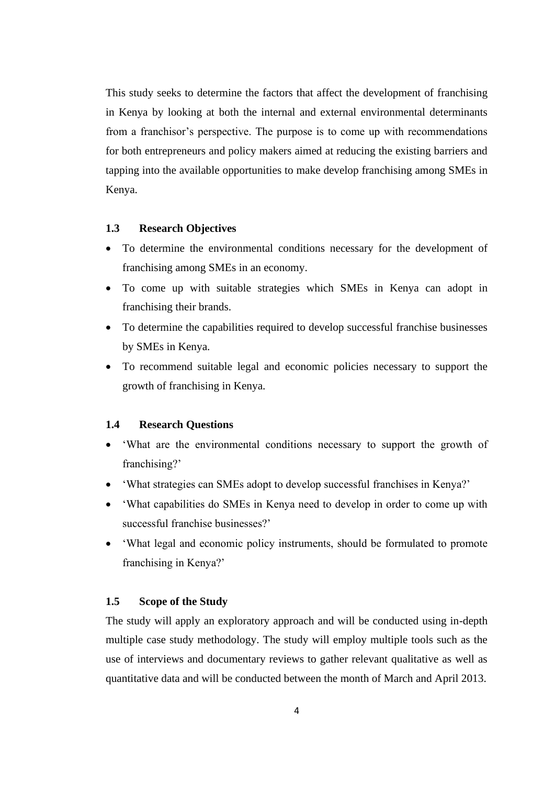This study seeks to determine the factors that affect the development of franchising in Kenya by looking at both the internal and external environmental determinants from a franchisor's perspective. The purpose is to come up with recommendations for both entrepreneurs and policy makers aimed at reducing the existing barriers and tapping into the available opportunities to make develop franchising among SMEs in Kenya.

#### **1.3 Research Objectives**

- To determine the environmental conditions necessary for the development of franchising among SMEs in an economy.
- To come up with suitable strategies which SMEs in Kenya can adopt in franchising their brands.
- To determine the capabilities required to develop successful franchise businesses by SMEs in Kenya.
- To recommend suitable legal and economic policies necessary to support the growth of franchising in Kenya.

#### **1.4 Research Questions**

- What are the environmental conditions necessary to support the growth of franchising?'
- 'What strategies can SMEs adopt to develop successful franchises in Kenya?'
- 'What capabilities do SMEs in Kenya need to develop in order to come up with successful franchise businesses?'
- 'What legal and economic policy instruments, should be formulated to promote franchising in Kenya?'

## **1.5 Scope of the Study**

The study will apply an exploratory approach and will be conducted using in-depth multiple case study methodology. The study will employ multiple tools such as the use of interviews and documentary reviews to gather relevant qualitative as well as quantitative data and will be conducted between the month of March and April 2013.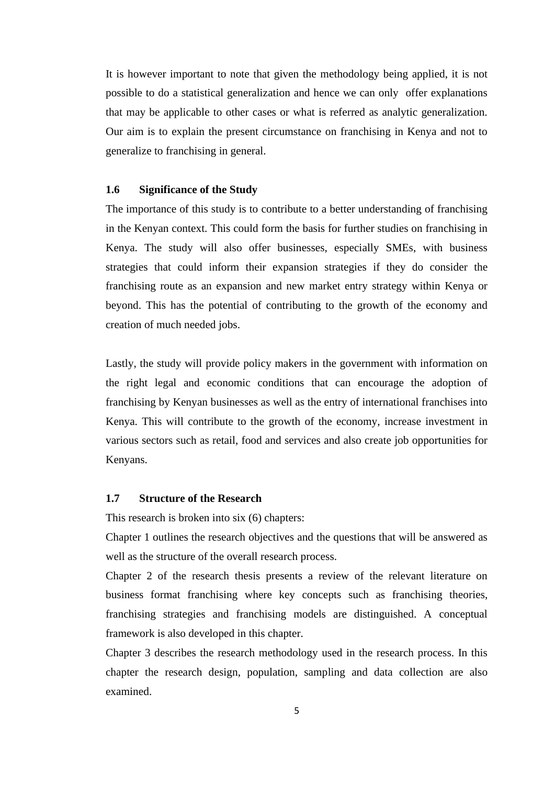It is however important to note that given the methodology being applied, it is not possible to do a statistical generalization and hence we can only offer explanations that may be applicable to other cases or what is referred as analytic generalization. Our aim is to explain the present circumstance on franchising in Kenya and not to generalize to franchising in general.

## **1.6 Significance of the Study**

The importance of this study is to contribute to a better understanding of franchising in the Kenyan context. This could form the basis for further studies on franchising in Kenya. The study will also offer businesses, especially SMEs, with business strategies that could inform their expansion strategies if they do consider the franchising route as an expansion and new market entry strategy within Kenya or beyond. This has the potential of contributing to the growth of the economy and creation of much needed jobs.

Lastly, the study will provide policy makers in the government with information on the right legal and economic conditions that can encourage the adoption of franchising by Kenyan businesses as well as the entry of international franchises into Kenya. This will contribute to the growth of the economy, increase investment in various sectors such as retail, food and services and also create job opportunities for Kenyans.

### **1.7 Structure of the Research**

This research is broken into six (6) chapters:

Chapter 1 outlines the research objectives and the questions that will be answered as well as the structure of the overall research process.

Chapter 2 of the research thesis presents a review of the relevant literature on business format franchising where key concepts such as franchising theories, franchising strategies and franchising models are distinguished. A conceptual framework is also developed in this chapter.

Chapter 3 describes the research methodology used in the research process. In this chapter the research design, population, sampling and data collection are also examined.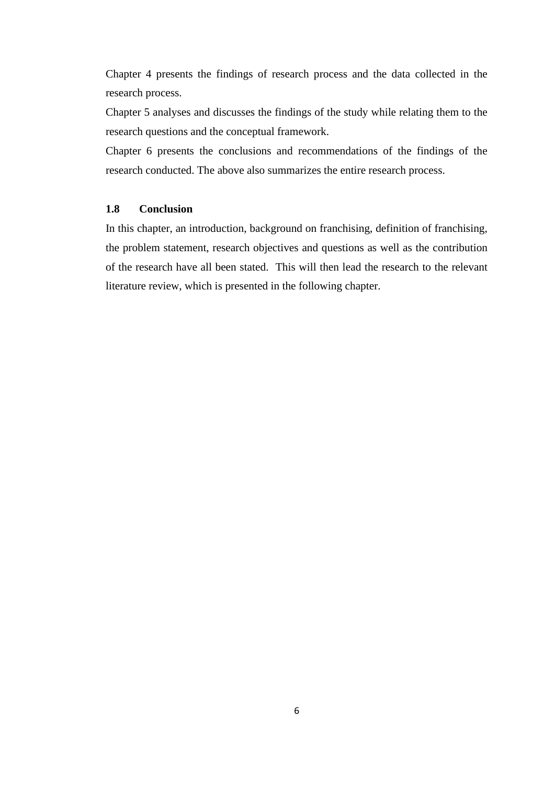Chapter 4 presents the findings of research process and the data collected in the research process.

Chapter 5 analyses and discusses the findings of the study while relating them to the research questions and the conceptual framework.

Chapter 6 presents the conclusions and recommendations of the findings of the research conducted. The above also summarizes the entire research process.

#### **1.8 Conclusion**

In this chapter, an introduction, background on franchising, definition of franchising, the problem statement, research objectives and questions as well as the contribution of the research have all been stated. This will then lead the research to the relevant literature review, which is presented in the following chapter.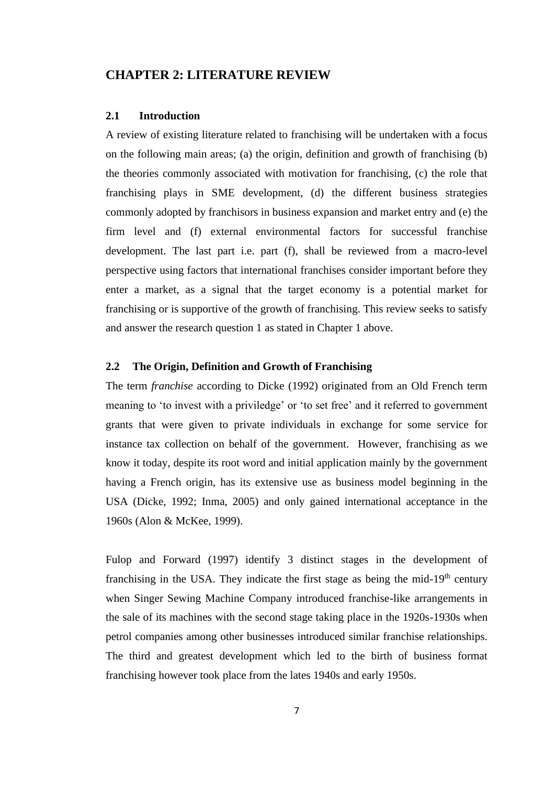## **CHAPTER 2: LITERATURE REVIEW**

#### **2.1 Introduction**

A review of existing literature related to franchising will be undertaken with a focus on the following main areas; (a) the origin, definition and growth of franchising (b) the theories commonly associated with motivation for franchising, (c) the role that franchising plays in SME development, (d) the different business strategies commonly adopted by franchisors in business expansion and market entry and (e) the firm level and (f) external environmental factors for successful franchise development. The last part i.e. part (f), shall be reviewed from a macro-level perspective using factors that international franchises consider important before they enter a market, as a signal that the target economy is a potential market for franchising or is supportive of the growth of franchising. This review seeks to satisfy and answer the research question 1 as stated in Chapter 1 above.

## **2.2 The Origin, Definition and Growth of Franchising**

The term *franchise* according to Dicke (1992) originated from an Old French term meaning to 'to invest with a priviledge' or 'to set free' and it referred to government grants that were given to private individuals in exchange for some service for instance tax collection on behalf of the government. However, franchising as we know it today, despite its root word and initial application mainly by the government having a French origin, has its extensive use as business model beginning in the USA (Dicke, 1992; Inma, 2005) and only gained international acceptance in the 1960s (Alon & McKee, 1999).

Fulop and Forward (1997) identify 3 distinct stages in the development of franchising in the USA. They indicate the first stage as being the mid-19<sup>th</sup> century when Singer Sewing Machine Company introduced franchise-like arrangements in the sale of its machines with the second stage taking place in the 1920s-1930s when petrol companies among other businesses introduced similar franchise relationships. The third and greatest development which led to the birth of business format franchising however took place from the lates 1940s and early 1950s.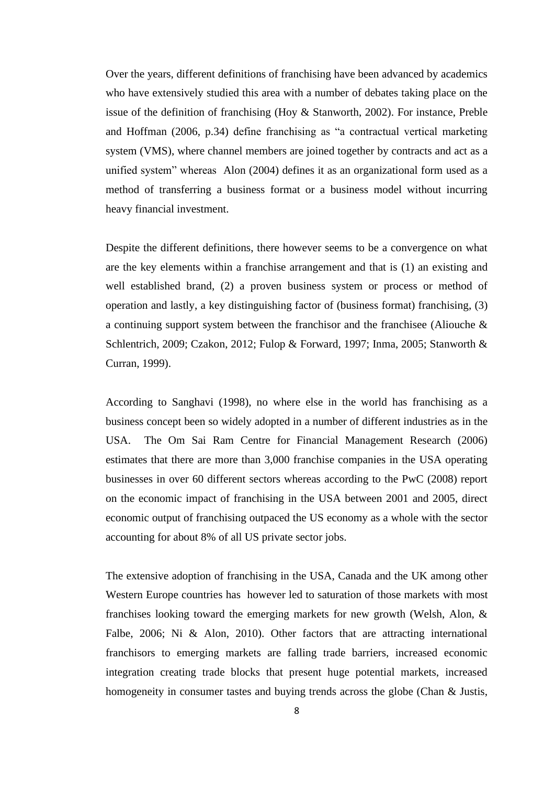Over the years, different definitions of franchising have been advanced by academics who have extensively studied this area with a number of debates taking place on the issue of the definition of franchising (Hoy & Stanworth, 2002). For instance, Preble and Hoffman (2006, p.34) define franchising as "a contractual vertical marketing system (VMS), where channel members are joined together by contracts and act as a unified system" whereas Alon (2004) defines it as an organizational form used as a method of transferring a business format or a business model without incurring heavy financial investment.

Despite the different definitions, there however seems to be a convergence on what are the key elements within a franchise arrangement and that is (1) an existing and well established brand, (2) a proven business system or process or method of operation and lastly, a key distinguishing factor of (business format) franchising, (3) a continuing support system between the franchisor and the franchisee (Aliouche & Schlentrich, 2009; Czakon, 2012; Fulop & Forward, 1997; Inma, 2005; Stanworth & Curran, 1999).

According to Sanghavi (1998), no where else in the world has franchising as a business concept been so widely adopted in a number of different industries as in the USA. The Om Sai Ram Centre for Financial Management Research (2006) estimates that there are more than 3,000 franchise companies in the USA operating businesses in over 60 different sectors whereas according to the PwC (2008) report on the economic impact of franchising in the USA between 2001 and 2005, direct economic output of franchising outpaced the US economy as a whole with the sector accounting for about 8% of all US private sector jobs.

The extensive adoption of franchising in the USA, Canada and the UK among other Western Europe countries has however led to saturation of those markets with most franchises looking toward the emerging markets for new growth (Welsh, Alon, & Falbe, 2006; Ni & Alon, 2010). Other factors that are attracting international franchisors to emerging markets are falling trade barriers, increased economic integration creating trade blocks that present huge potential markets, increased homogeneity in consumer tastes and buying trends across the globe (Chan & Justis,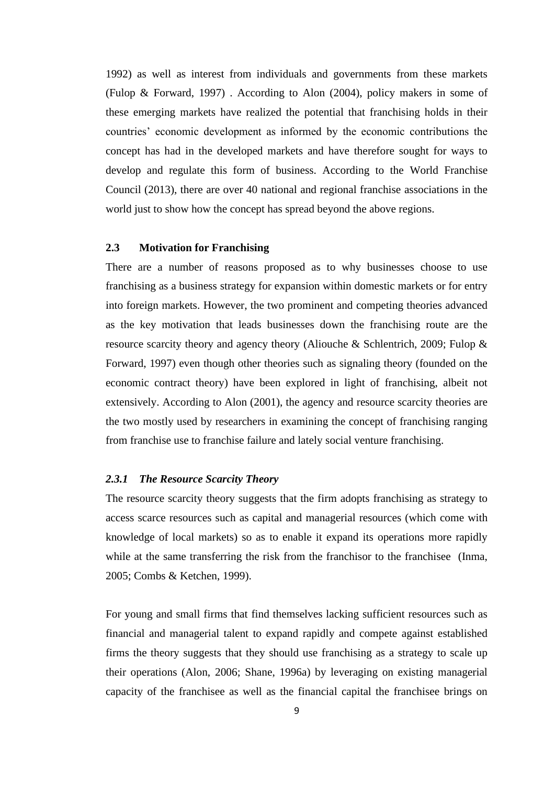1992) as well as interest from individuals and governments from these markets (Fulop & Forward, 1997) . According to Alon (2004), policy makers in some of these emerging markets have realized the potential that franchising holds in their countries' economic development as informed by the economic contributions the concept has had in the developed markets and have therefore sought for ways to develop and regulate this form of business. According to the World Franchise Council (2013), there are over 40 national and regional franchise associations in the world just to show how the concept has spread beyond the above regions.

## **2.3 Motivation for Franchising**

There are a number of reasons proposed as to why businesses choose to use franchising as a business strategy for expansion within domestic markets or for entry into foreign markets. However, the two prominent and competing theories advanced as the key motivation that leads businesses down the franchising route are the resource scarcity theory and agency theory (Aliouche & Schlentrich, 2009; Fulop & Forward, 1997) even though other theories such as signaling theory (founded on the economic contract theory) have been explored in light of franchising, albeit not extensively. According to Alon (2001), the agency and resource scarcity theories are the two mostly used by researchers in examining the concept of franchising ranging from franchise use to franchise failure and lately social venture franchising.

#### *2.3.1 The Resource Scarcity Theory*

The resource scarcity theory suggests that the firm adopts franchising as strategy to access scarce resources such as capital and managerial resources (which come with knowledge of local markets) so as to enable it expand its operations more rapidly while at the same transferring the risk from the franchisor to the franchisee (Inma, 2005; Combs & Ketchen, 1999).

For young and small firms that find themselves lacking sufficient resources such as financial and managerial talent to expand rapidly and compete against established firms the theory suggests that they should use franchising as a strategy to scale up their operations (Alon, 2006; Shane, 1996a) by leveraging on existing managerial capacity of the franchisee as well as the financial capital the franchisee brings on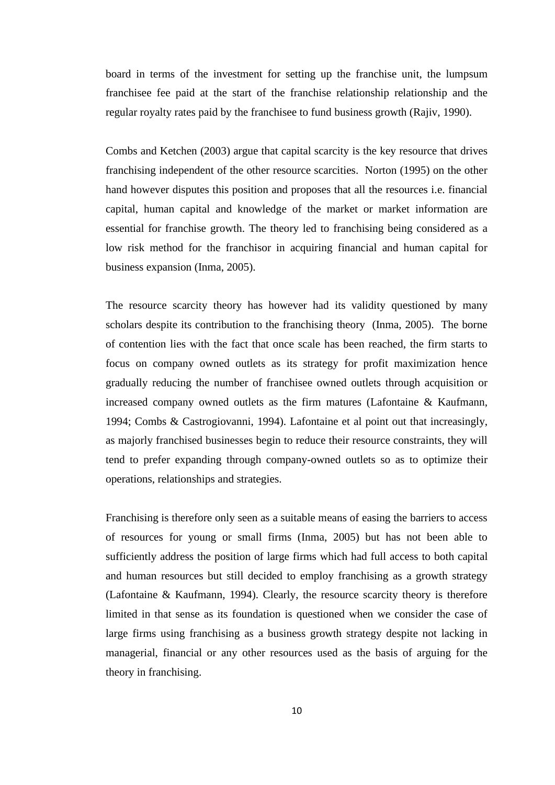board in terms of the investment for setting up the franchise unit, the lumpsum franchisee fee paid at the start of the franchise relationship relationship and the regular royalty rates paid by the franchisee to fund business growth (Rajiv, 1990).

Combs and Ketchen (2003) argue that capital scarcity is the key resource that drives franchising independent of the other resource scarcities. Norton (1995) on the other hand however disputes this position and proposes that all the resources i.e. financial capital, human capital and knowledge of the market or market information are essential for franchise growth. The theory led to franchising being considered as a low risk method for the franchisor in acquiring financial and human capital for business expansion (Inma, 2005).

The resource scarcity theory has however had its validity questioned by many scholars despite its contribution to the franchising theory (Inma, 2005). The borne of contention lies with the fact that once scale has been reached, the firm starts to focus on company owned outlets as its strategy for profit maximization hence gradually reducing the number of franchisee owned outlets through acquisition or increased company owned outlets as the firm matures (Lafontaine & Kaufmann, 1994; Combs & Castrogiovanni, 1994). Lafontaine et al point out that increasingly, as majorly franchised businesses begin to reduce their resource constraints, they will tend to prefer expanding through company-owned outlets so as to optimize their operations, relationships and strategies.

Franchising is therefore only seen as a suitable means of easing the barriers to access of resources for young or small firms (Inma, 2005) but has not been able to sufficiently address the position of large firms which had full access to both capital and human resources but still decided to employ franchising as a growth strategy (Lafontaine & Kaufmann, 1994). Clearly, the resource scarcity theory is therefore limited in that sense as its foundation is questioned when we consider the case of large firms using franchising as a business growth strategy despite not lacking in managerial, financial or any other resources used as the basis of arguing for the theory in franchising.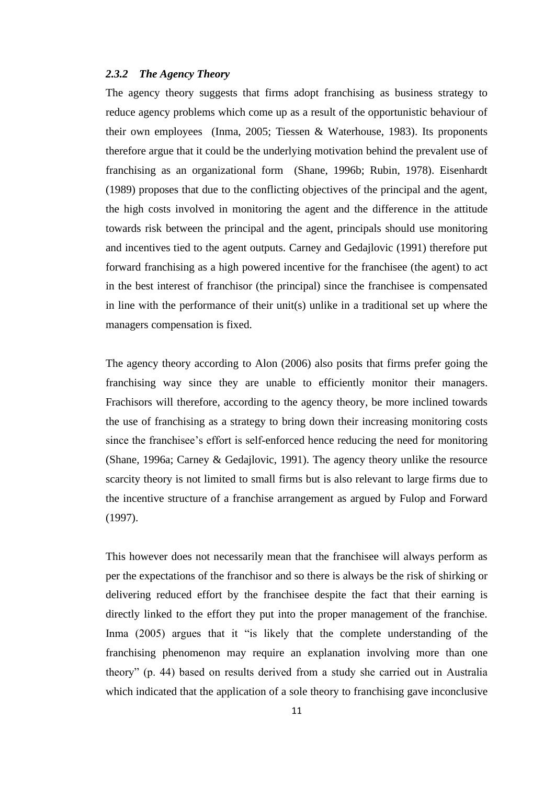#### *2.3.2 The Agency Theory*

The agency theory suggests that firms adopt franchising as business strategy to reduce agency problems which come up as a result of the opportunistic behaviour of their own employees (Inma, 2005; Tiessen & Waterhouse, 1983). Its proponents therefore argue that it could be the underlying motivation behind the prevalent use of franchising as an organizational form (Shane, 1996b; Rubin, 1978). Eisenhardt (1989) proposes that due to the conflicting objectives of the principal and the agent, the high costs involved in monitoring the agent and the difference in the attitude towards risk between the principal and the agent, principals should use monitoring and incentives tied to the agent outputs. Carney and Gedajlovic (1991) therefore put forward franchising as a high powered incentive for the franchisee (the agent) to act in the best interest of franchisor (the principal) since the franchisee is compensated in line with the performance of their unit(s) unlike in a traditional set up where the managers compensation is fixed.

The agency theory according to Alon (2006) also posits that firms prefer going the franchising way since they are unable to efficiently monitor their managers. Frachisors will therefore, according to the agency theory, be more inclined towards the use of franchising as a strategy to bring down their increasing monitoring costs since the franchisee's effort is self-enforced hence reducing the need for monitoring (Shane, 1996a; Carney & Gedajlovic, 1991). The agency theory unlike the resource scarcity theory is not limited to small firms but is also relevant to large firms due to the incentive structure of a franchise arrangement as argued by Fulop and Forward (1997).

This however does not necessarily mean that the franchisee will always perform as per the expectations of the franchisor and so there is always be the risk of shirking or delivering reduced effort by the franchisee despite the fact that their earning is directly linked to the effort they put into the proper management of the franchise. Inma (2005) argues that it "is likely that the complete understanding of the franchising phenomenon may require an explanation involving more than one theory" (p. 44) based on results derived from a study she carried out in Australia which indicated that the application of a sole theory to franchising gave inconclusive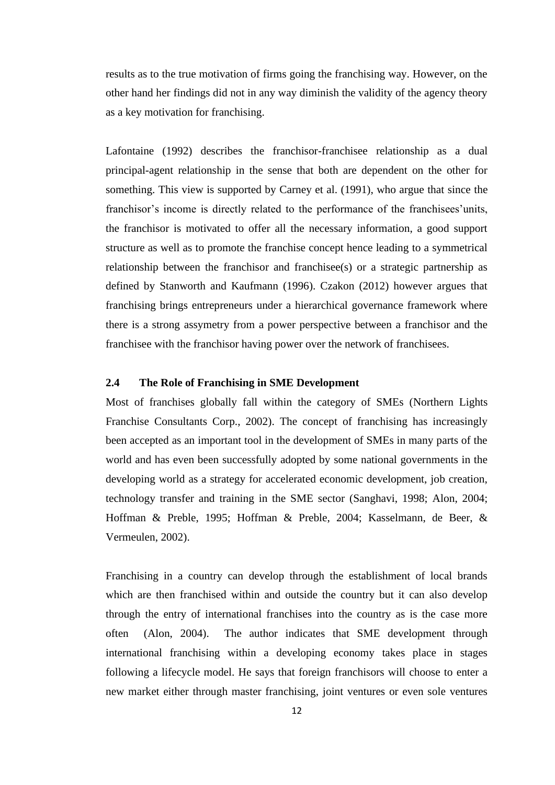results as to the true motivation of firms going the franchising way. However, on the other hand her findings did not in any way diminish the validity of the agency theory as a key motivation for franchising.

Lafontaine (1992) describes the franchisor-franchisee relationship as a dual principal-agent relationship in the sense that both are dependent on the other for something. This view is supported by Carney et al. (1991), who argue that since the franchisor's income is directly related to the performance of the franchisees'units, the franchisor is motivated to offer all the necessary information, a good support structure as well as to promote the franchise concept hence leading to a symmetrical relationship between the franchisor and franchisee(s) or a strategic partnership as defined by Stanworth and Kaufmann (1996). Czakon (2012) however argues that franchising brings entrepreneurs under a hierarchical governance framework where there is a strong assymetry from a power perspective between a franchisor and the franchisee with the franchisor having power over the network of franchisees.

### **2.4 The Role of Franchising in SME Development**

Most of franchises globally fall within the category of SMEs (Northern Lights Franchise Consultants Corp., 2002). The concept of franchising has increasingly been accepted as an important tool in the development of SMEs in many parts of the world and has even been successfully adopted by some national governments in the developing world as a strategy for accelerated economic development, job creation, technology transfer and training in the SME sector (Sanghavi, 1998; Alon, 2004; Hoffman & Preble, 1995; Hoffman & Preble, 2004; Kasselmann, de Beer, & Vermeulen, 2002).

Franchising in a country can develop through the establishment of local brands which are then franchised within and outside the country but it can also develop through the entry of international franchises into the country as is the case more often (Alon, 2004). The author indicates that SME development through international franchising within a developing economy takes place in stages following a lifecycle model. He says that foreign franchisors will choose to enter a new market either through master franchising, joint ventures or even sole ventures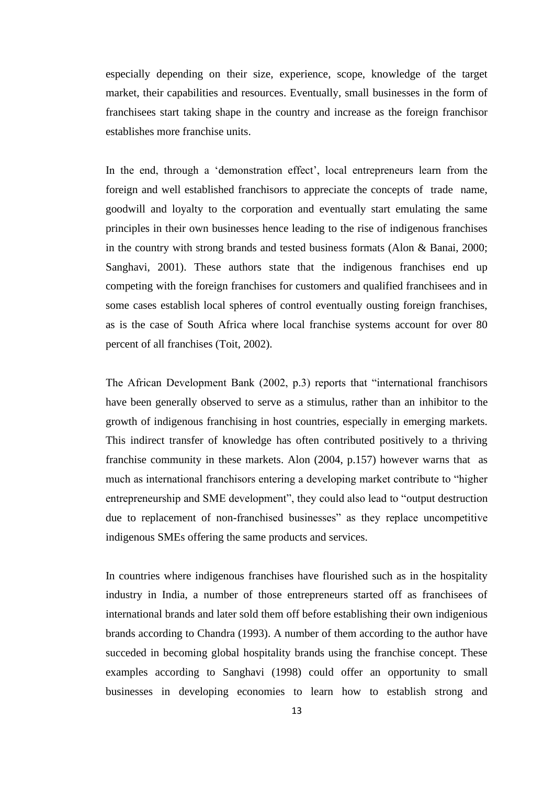especially depending on their size, experience, scope, knowledge of the target market, their capabilities and resources. Eventually, small businesses in the form of franchisees start taking shape in the country and increase as the foreign franchisor establishes more franchise units.

In the end, through a 'demonstration effect', local entrepreneurs learn from the foreign and well established franchisors to appreciate the concepts of trade name, goodwill and loyalty to the corporation and eventually start emulating the same principles in their own businesses hence leading to the rise of indigenous franchises in the country with strong brands and tested business formats (Alon & Banai, 2000; Sanghavi, 2001). These authors state that the indigenous franchises end up competing with the foreign franchises for customers and qualified franchisees and in some cases establish local spheres of control eventually ousting foreign franchises, as is the case of South Africa where local franchise systems account for over 80 percent of all franchises (Toit, 2002).

The African Development Bank (2002, p.3) reports that "international franchisors have been generally observed to serve as a stimulus, rather than an inhibitor to the growth of indigenous franchising in host countries, especially in emerging markets. This indirect transfer of knowledge has often contributed positively to a thriving franchise community in these markets. Alon (2004, p.157) however warns that as much as international franchisors entering a developing market contribute to "higher entrepreneurship and SME development", they could also lead to "output destruction due to replacement of non-franchised businesses" as they replace uncompetitive indigenous SMEs offering the same products and services.

In countries where indigenous franchises have flourished such as in the hospitality industry in India, a number of those entrepreneurs started off as franchisees of international brands and later sold them off before establishing their own indigenious brands according to Chandra (1993). A number of them according to the author have succeded in becoming global hospitality brands using the franchise concept. These examples according to Sanghavi (1998) could offer an opportunity to small businesses in developing economies to learn how to establish strong and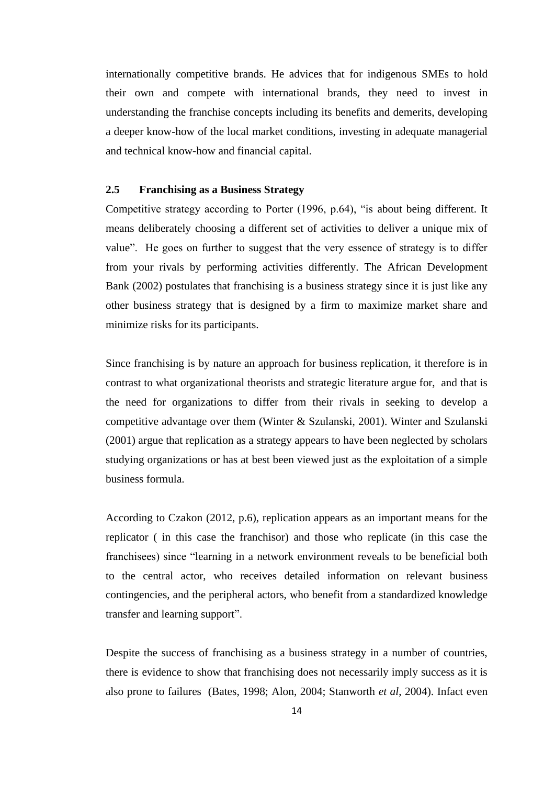internationally competitive brands. He advices that for indigenous SMEs to hold their own and compete with international brands, they need to invest in understanding the franchise concepts including its benefits and demerits, developing a deeper know-how of the local market conditions, investing in adequate managerial and technical know-how and financial capital.

### **2.5 Franchising as a Business Strategy**

Competitive strategy according to Porter (1996, p.64), "is about being different. It means deliberately choosing a different set of activities to deliver a unique mix of value". He goes on further to suggest that the very essence of strategy is to differ from your rivals by performing activities differently. The African Development Bank (2002) postulates that franchising is a business strategy since it is just like any other business strategy that is designed by a firm to maximize market share and minimize risks for its participants.

Since franchising is by nature an approach for business replication, it therefore is in contrast to what organizational theorists and strategic literature argue for, and that is the need for organizations to differ from their rivals in seeking to develop a competitive advantage over them (Winter & Szulanski, 2001). Winter and Szulanski (2001) argue that replication as a strategy appears to have been neglected by scholars studying organizations or has at best been viewed just as the exploitation of a simple business formula.

According to Czakon (2012, p.6), replication appears as an important means for the replicator ( in this case the franchisor) and those who replicate (in this case the franchisees) since "learning in a network environment reveals to be beneficial both to the central actor, who receives detailed information on relevant business contingencies, and the peripheral actors, who benefit from a standardized knowledge transfer and learning support".

Despite the success of franchising as a business strategy in a number of countries, there is evidence to show that franchising does not necessarily imply success as it is also prone to failures (Bates, 1998; Alon, 2004; Stanworth *et al*, 2004). Infact even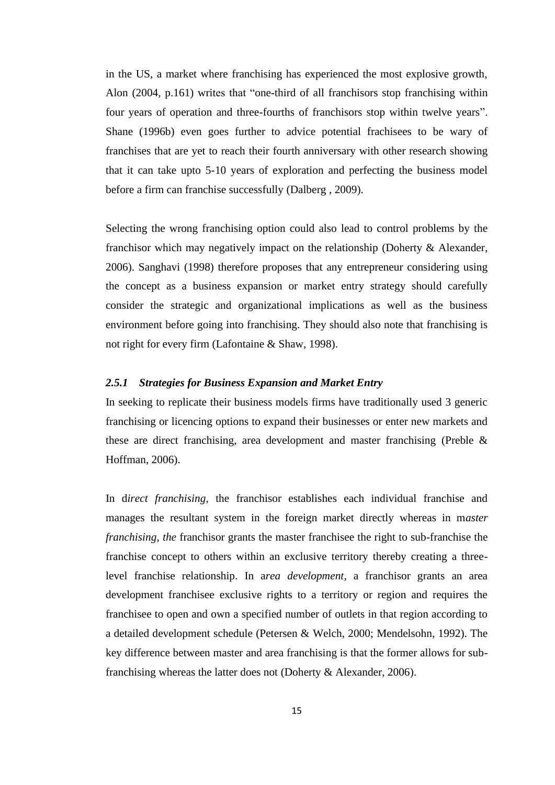in the US, a market where franchising has experienced the most explosive growth, Alon (2004, p.161) writes that "one-third of all franchisors stop franchising within four years of operation and three-fourths of franchisors stop within twelve years". Shane (1996b) even goes further to advice potential frachisees to be wary of franchises that are yet to reach their fourth anniversary with other research showing that it can take upto 5-10 years of exploration and perfecting the business model before a firm can franchise successfully (Dalberg , 2009).

Selecting the wrong franchising option could also lead to control problems by the franchisor which may negatively impact on the relationship (Doherty & Alexander, 2006). Sanghavi (1998) therefore proposes that any entrepreneur considering using the concept as a business expansion or market entry strategy should carefully consider the strategic and organizational implications as well as the business environment before going into franchising. They should also note that franchising is not right for every firm (Lafontaine & Shaw, 1998).

## *2.5.1 Strategies for Business Expansion and Market Entry*

In seeking to replicate their business models firms have traditionally used 3 generic franchising or licencing options to expand their businesses or enter new markets and these are direct franchising, area development and master franchising (Preble & Hoffman, 2006).

In d*irect franchising*, the franchisor establishes each individual franchise and manages the resultant system in the foreign market directly whereas in m*aster franchising, the* franchisor grants the master franchisee the right to sub-franchise the franchise concept to others within an exclusive territory thereby creating a threelevel franchise relationship. In a*rea development,* a franchisor grants an area development franchisee exclusive rights to a territory or region and requires the franchisee to open and own a specified number of outlets in that region according to a detailed development schedule (Petersen & Welch, 2000; Mendelsohn, 1992). The key difference between master and area franchising is that the former allows for subfranchising whereas the latter does not (Doherty & Alexander, 2006).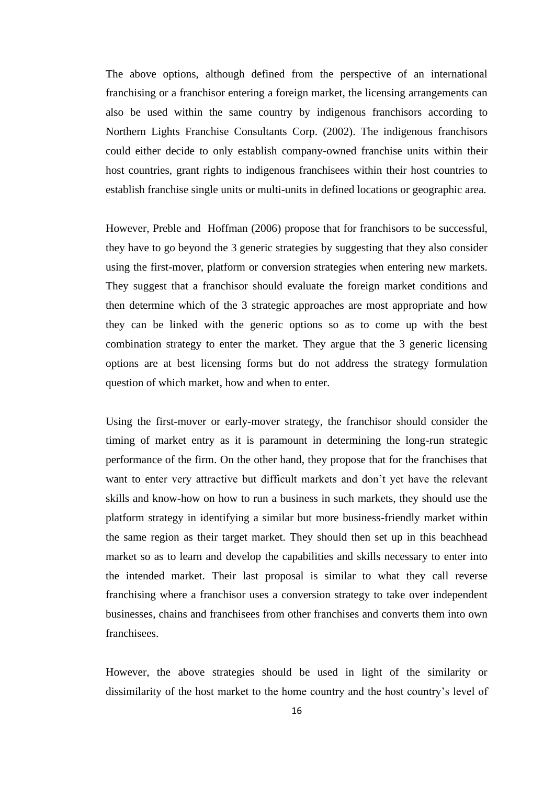The above options, although defined from the perspective of an international franchising or a franchisor entering a foreign market, the licensing arrangements can also be used within the same country by indigenous franchisors according to Northern Lights Franchise Consultants Corp. (2002). The indigenous franchisors could either decide to only establish company-owned franchise units within their host countries, grant rights to indigenous franchisees within their host countries to establish franchise single units or multi-units in defined locations or geographic area.

However, Preble and Hoffman (2006) propose that for franchisors to be successful, they have to go beyond the 3 generic strategies by suggesting that they also consider using the first-mover, platform or conversion strategies when entering new markets. They suggest that a franchisor should evaluate the foreign market conditions and then determine which of the 3 strategic approaches are most appropriate and how they can be linked with the generic options so as to come up with the best combination strategy to enter the market. They argue that the 3 generic licensing options are at best licensing forms but do not address the strategy formulation question of which market, how and when to enter.

Using the first-mover or early-mover strategy, the franchisor should consider the timing of market entry as it is paramount in determining the long-run strategic performance of the firm. On the other hand, they propose that for the franchises that want to enter very attractive but difficult markets and don't yet have the relevant skills and know-how on how to run a business in such markets, they should use the platform strategy in identifying a similar but more business-friendly market within the same region as their target market. They should then set up in this beachhead market so as to learn and develop the capabilities and skills necessary to enter into the intended market. Their last proposal is similar to what they call reverse franchising where a franchisor uses a conversion strategy to take over independent businesses, chains and franchisees from other franchises and converts them into own franchisees.

However, the above strategies should be used in light of the similarity or dissimilarity of the host market to the home country and the host country's level of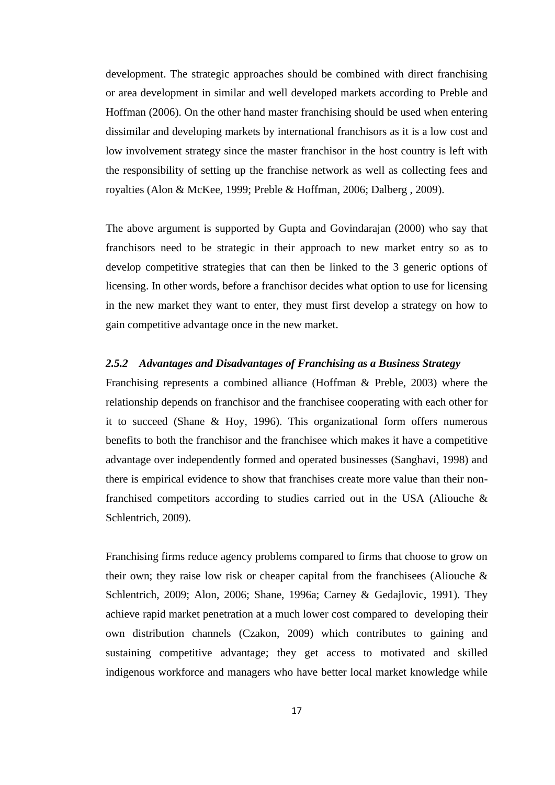development. The strategic approaches should be combined with direct franchising or area development in similar and well developed markets according to Preble and Hoffman (2006). On the other hand master franchising should be used when entering dissimilar and developing markets by international franchisors as it is a low cost and low involvement strategy since the master franchisor in the host country is left with the responsibility of setting up the franchise network as well as collecting fees and royalties (Alon & McKee, 1999; Preble & Hoffman, 2006; Dalberg , 2009).

The above argument is supported by Gupta and Govindarajan (2000) who say that franchisors need to be strategic in their approach to new market entry so as to develop competitive strategies that can then be linked to the 3 generic options of licensing. In other words, before a franchisor decides what option to use for licensing in the new market they want to enter, they must first develop a strategy on how to gain competitive advantage once in the new market.

#### *2.5.2 Advantages and Disadvantages of Franchising as a Business Strategy*

Franchising represents a combined alliance (Hoffman & Preble, 2003) where the relationship depends on franchisor and the franchisee cooperating with each other for it to succeed (Shane & Hoy, 1996). This organizational form offers numerous benefits to both the franchisor and the franchisee which makes it have a competitive advantage over independently formed and operated businesses (Sanghavi, 1998) and there is empirical evidence to show that franchises create more value than their nonfranchised competitors according to studies carried out in the USA (Aliouche & Schlentrich, 2009).

Franchising firms reduce agency problems compared to firms that choose to grow on their own; they raise low risk or cheaper capital from the franchisees (Aliouche  $\&$ Schlentrich, 2009; Alon, 2006; Shane, 1996a; Carney & Gedajlovic, 1991). They achieve rapid market penetration at a much lower cost compared to developing their own distribution channels (Czakon, 2009) which contributes to gaining and sustaining competitive advantage; they get access to motivated and skilled indigenous workforce and managers who have better local market knowledge while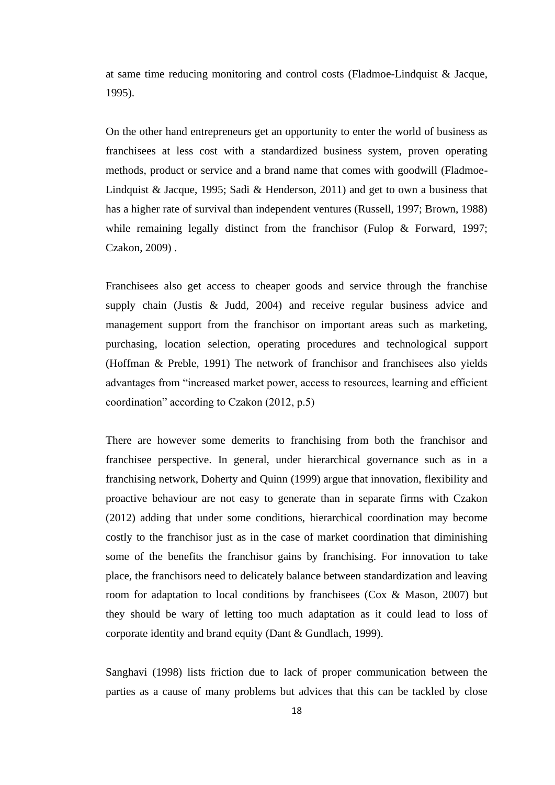at same time reducing monitoring and control costs (Fladmoe-Lindquist & Jacque, 1995).

On the other hand entrepreneurs get an opportunity to enter the world of business as franchisees at less cost with a standardized business system, proven operating methods, product or service and a brand name that comes with goodwill (Fladmoe-Lindquist & Jacque, 1995; Sadi & Henderson, 2011) and get to own a business that has a higher rate of survival than independent ventures (Russell, 1997; Brown, 1988) while remaining legally distinct from the franchisor (Fulop & Forward, 1997; Czakon, 2009) .

Franchisees also get access to cheaper goods and service through the franchise supply chain (Justis & Judd, 2004) and receive regular business advice and management support from the franchisor on important areas such as marketing, purchasing, location selection, operating procedures and technological support (Hoffman & Preble, 1991) The network of franchisor and franchisees also yields advantages from "increased market power, access to resources, learning and efficient coordination" according to Czakon (2012, p.5)

There are however some demerits to franchising from both the franchisor and franchisee perspective. In general, under hierarchical governance such as in a franchising network, Doherty and Quinn (1999) argue that innovation, flexibility and proactive behaviour are not easy to generate than in separate firms with Czakon (2012) adding that under some conditions, hierarchical coordination may become costly to the franchisor just as in the case of market coordination that diminishing some of the benefits the franchisor gains by franchising. For innovation to take place, the franchisors need to delicately balance between standardization and leaving room for adaptation to local conditions by franchisees (Cox & Mason, 2007) but they should be wary of letting too much adaptation as it could lead to loss of corporate identity and brand equity (Dant & Gundlach, 1999).

Sanghavi (1998) lists friction due to lack of proper communication between the parties as a cause of many problems but advices that this can be tackled by close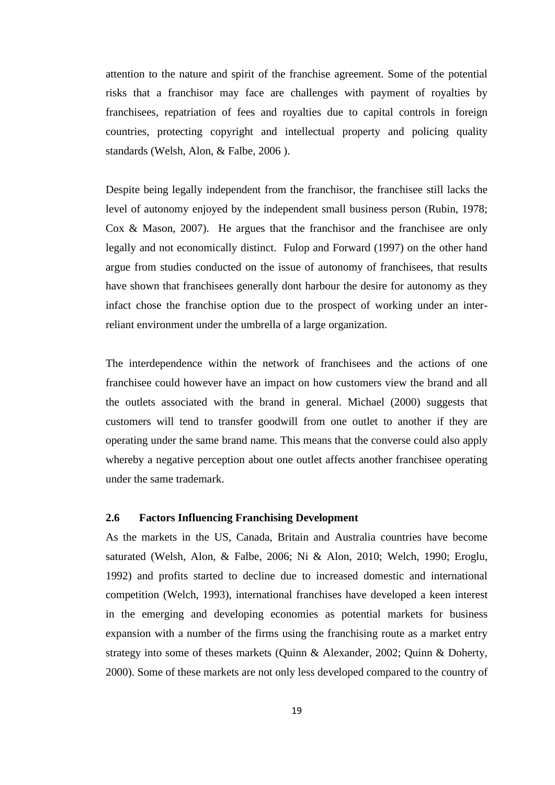attention to the nature and spirit of the franchise agreement. Some of the potential risks that a franchisor may face are challenges with payment of royalties by franchisees, repatriation of fees and royalties due to capital controls in foreign countries, protecting copyright and intellectual property and policing quality standards (Welsh, Alon, & Falbe, 2006 ).

Despite being legally independent from the franchisor, the franchisee still lacks the level of autonomy enjoyed by the independent small business person (Rubin, 1978; Cox & Mason, 2007). He argues that the franchisor and the franchisee are only legally and not economically distinct. Fulop and Forward (1997) on the other hand argue from studies conducted on the issue of autonomy of franchisees, that results have shown that franchisees generally dont harbour the desire for autonomy as they infact chose the franchise option due to the prospect of working under an interreliant environment under the umbrella of a large organization.

The interdependence within the network of franchisees and the actions of one franchisee could however have an impact on how customers view the brand and all the outlets associated with the brand in general. Michael (2000) suggests that customers will tend to transfer goodwill from one outlet to another if they are operating under the same brand name. This means that the converse could also apply whereby a negative perception about one outlet affects another franchisee operating under the same trademark.

### **2.6 Factors Influencing Franchising Development**

As the markets in the US, Canada, Britain and Australia countries have become saturated (Welsh, Alon, & Falbe, 2006; Ni & Alon, 2010; Welch, 1990; Eroglu, 1992) and profits started to decline due to increased domestic and international competition (Welch, 1993), international franchises have developed a keen interest in the emerging and developing economies as potential markets for business expansion with a number of the firms using the franchising route as a market entry strategy into some of theses markets (Quinn & Alexander, 2002; Quinn & Doherty, 2000). Some of these markets are not only less developed compared to the country of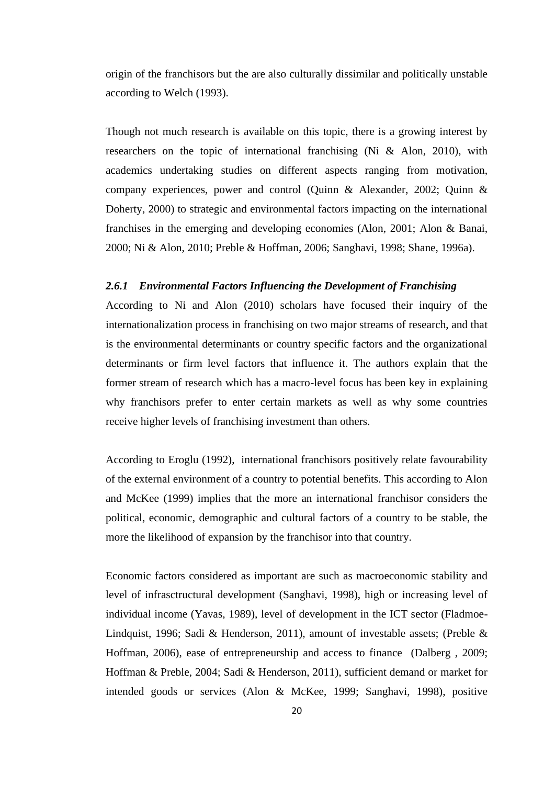origin of the franchisors but the are also culturally dissimilar and politically unstable according to Welch (1993).

Though not much research is available on this topic, there is a growing interest by researchers on the topic of international franchising (Ni & Alon, 2010), with academics undertaking studies on different aspects ranging from motivation, company experiences, power and control (Quinn & Alexander, 2002; Quinn & Doherty, 2000) to strategic and environmental factors impacting on the international franchises in the emerging and developing economies (Alon, 2001; Alon & Banai, 2000; Ni & Alon, 2010; Preble & Hoffman, 2006; Sanghavi, 1998; Shane, 1996a).

#### *2.6.1 Environmental Factors Influencing the Development of Franchising*

According to Ni and Alon (2010) scholars have focused their inquiry of the internationalization process in franchising on two major streams of research, and that is the environmental determinants or country specific factors and the organizational determinants or firm level factors that influence it. The authors explain that the former stream of research which has a macro-level focus has been key in explaining why franchisors prefer to enter certain markets as well as why some countries receive higher levels of franchising investment than others.

According to Eroglu (1992), international franchisors positively relate favourability of the external environment of a country to potential benefits. This according to Alon and McKee (1999) implies that the more an international franchisor considers the political, economic, demographic and cultural factors of a country to be stable, the more the likelihood of expansion by the franchisor into that country.

Economic factors considered as important are such as macroeconomic stability and level of infrasctructural development (Sanghavi, 1998), high or increasing level of individual income (Yavas, 1989), level of development in the ICT sector (Fladmoe-Lindquist, 1996; Sadi & Henderson, 2011), amount of investable assets; (Preble & Hoffman, 2006), ease of entrepreneurship and access to finance (Dalberg , 2009; Hoffman & Preble, 2004; Sadi & Henderson, 2011), sufficient demand or market for intended goods or services (Alon & McKee, 1999; Sanghavi, 1998), positive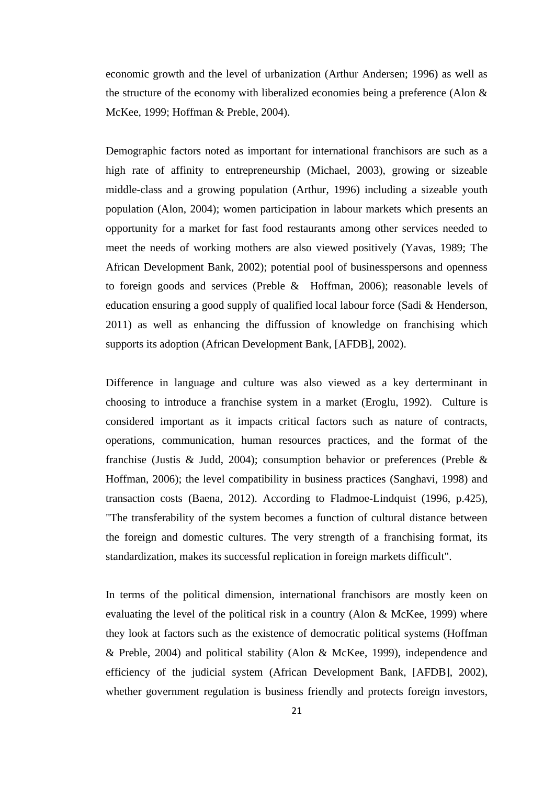economic growth and the level of urbanization (Arthur Andersen; 1996) as well as the structure of the economy with liberalized economies being a preference (Alon & McKee, 1999; Hoffman & Preble, 2004).

Demographic factors noted as important for international franchisors are such as a high rate of affinity to entrepreneurship (Michael, 2003), growing or sizeable middle-class and a growing population (Arthur, 1996) including a sizeable youth population (Alon, 2004); women participation in labour markets which presents an opportunity for a market for fast food restaurants among other services needed to meet the needs of working mothers are also viewed positively (Yavas, 1989; The African Development Bank, 2002); potential pool of businesspersons and openness to foreign goods and services (Preble & Hoffman, 2006); reasonable levels of education ensuring a good supply of qualified local labour force (Sadi & Henderson, 2011) as well as enhancing the diffussion of knowledge on franchising which supports its adoption (African Development Bank, [AFDB], 2002).

Difference in language and culture was also viewed as a key derterminant in choosing to introduce a franchise system in a market (Eroglu, 1992). Culture is considered important as it impacts critical factors such as nature of contracts, operations, communication, human resources practices, and the format of the franchise (Justis & Judd, 2004); consumption behavior or preferences (Preble & Hoffman, 2006); the level compatibility in business practices (Sanghavi, 1998) and transaction costs (Baena, 2012). According to Fladmoe-Lindquist (1996, p.425), "The transferability of the system becomes a function of cultural distance between the foreign and domestic cultures. The very strength of a franchising format, its standardization, makes its successful replication in foreign markets difficult".

In terms of the political dimension, international franchisors are mostly keen on evaluating the level of the political risk in a country (Alon & McKee, 1999) where they look at factors such as the existence of democratic political systems (Hoffman & Preble, 2004) and political stability (Alon & McKee, 1999), independence and efficiency of the judicial system (African Development Bank, [AFDB], 2002), whether government regulation is business friendly and protects foreign investors,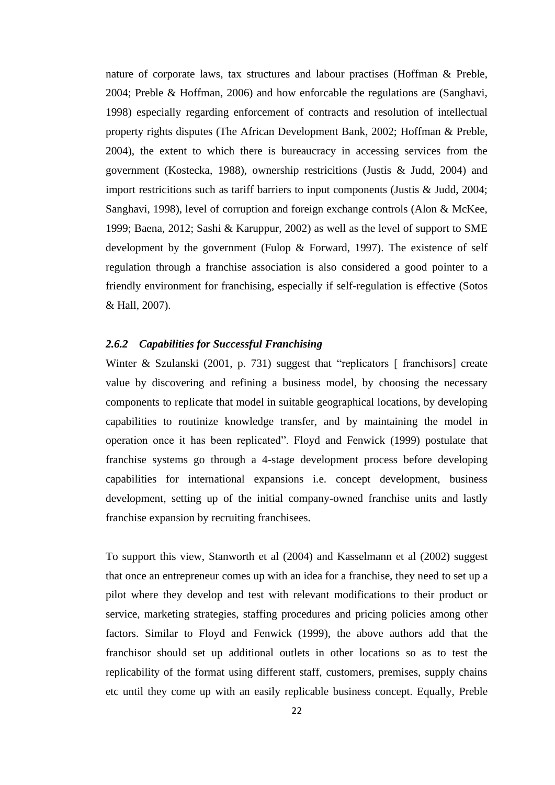nature of corporate laws, tax structures and labour practises (Hoffman & Preble, 2004; Preble & Hoffman, 2006) and how enforcable the regulations are (Sanghavi, 1998) especially regarding enforcement of contracts and resolution of intellectual property rights disputes (The African Development Bank, 2002; Hoffman & Preble, 2004), the extent to which there is bureaucracy in accessing services from the government (Kostecka, 1988), ownership restricitions (Justis & Judd, 2004) and import restricitions such as tariff barriers to input components (Justis & Judd, 2004; Sanghavi, 1998), level of corruption and foreign exchange controls (Alon & McKee, 1999; Baena, 2012; Sashi & Karuppur, 2002) as well as the level of support to SME development by the government (Fulop  $\&$  Forward, 1997). The existence of self regulation through a franchise association is also considered a good pointer to a friendly environment for franchising, especially if self-regulation is effective (Sotos & Hall, 2007).

## *2.6.2 Capabilities for Successful Franchising*

Winter & Szulanski (2001, p. 731) suggest that "replicators [ franchisors] create value by discovering and refining a business model, by choosing the necessary components to replicate that model in suitable geographical locations, by developing capabilities to routinize knowledge transfer, and by maintaining the model in operation once it has been replicated". Floyd and Fenwick (1999) postulate that franchise systems go through a 4-stage development process before developing capabilities for international expansions i.e. concept development, business development, setting up of the initial company-owned franchise units and lastly franchise expansion by recruiting franchisees.

To support this view, Stanworth et al (2004) and Kasselmann et al (2002) suggest that once an entrepreneur comes up with an idea for a franchise, they need to set up a pilot where they develop and test with relevant modifications to their product or service, marketing strategies, staffing procedures and pricing policies among other factors. Similar to Floyd and Fenwick (1999), the above authors add that the franchisor should set up additional outlets in other locations so as to test the replicability of the format using different staff, customers, premises, supply chains etc until they come up with an easily replicable business concept. Equally, Preble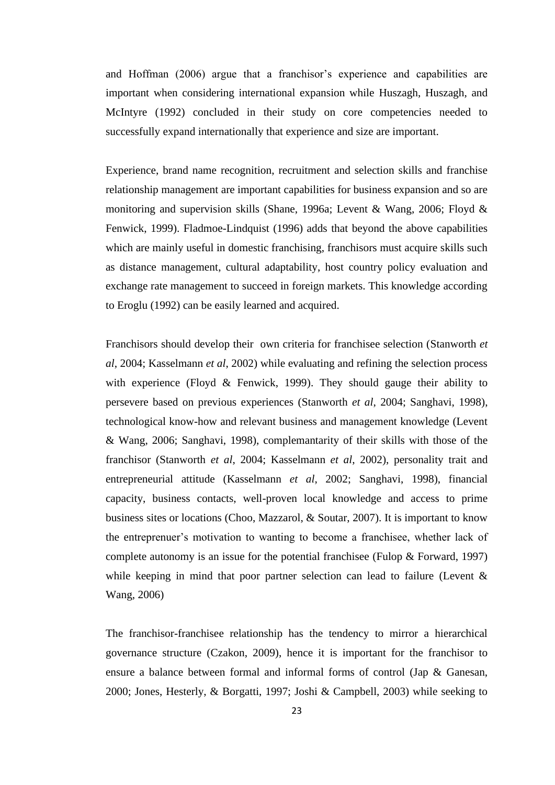and Hoffman (2006) argue that a franchisor's experience and capabilities are important when considering international expansion while Huszagh, Huszagh, and McIntyre (1992) concluded in their study on core competencies needed to successfully expand internationally that experience and size are important.

Experience, brand name recognition, recruitment and selection skills and franchise relationship management are important capabilities for business expansion and so are monitoring and supervision skills (Shane, 1996a; Levent & Wang, 2006; Floyd & Fenwick, 1999). Fladmoe-Lindquist (1996) adds that beyond the above capabilities which are mainly useful in domestic franchising, franchisors must acquire skills such as distance management, cultural adaptability, host country policy evaluation and exchange rate management to succeed in foreign markets. This knowledge according to Eroglu (1992) can be easily learned and acquired.

Franchisors should develop their own criteria for franchisee selection (Stanworth *et al*, 2004; Kasselmann *et al*, 2002) while evaluating and refining the selection process with experience (Floyd & Fenwick, 1999). They should gauge their ability to persevere based on previous experiences (Stanworth *et al*, 2004; Sanghavi, 1998), technological know-how and relevant business and management knowledge (Levent & Wang, 2006; Sanghavi, 1998), complemantarity of their skills with those of the franchisor (Stanworth *et al*, 2004; Kasselmann *et al*, 2002), personality trait and entrepreneurial attitude (Kasselmann *et al*, 2002; Sanghavi, 1998), financial capacity, business contacts, well-proven local knowledge and access to prime business sites or locations (Choo, Mazzarol, & Soutar, 2007). It is important to know the entreprenuer's motivation to wanting to become a franchisee, whether lack of complete autonomy is an issue for the potential franchisee (Fulop & Forward, 1997) while keeping in mind that poor partner selection can lead to failure (Levent  $\&$ Wang, 2006)

The franchisor-franchisee relationship has the tendency to mirror a hierarchical governance structure (Czakon, 2009), hence it is important for the franchisor to ensure a balance between formal and informal forms of control (Jap & Ganesan, 2000; Jones, Hesterly, & Borgatti, 1997; Joshi & Campbell, 2003) while seeking to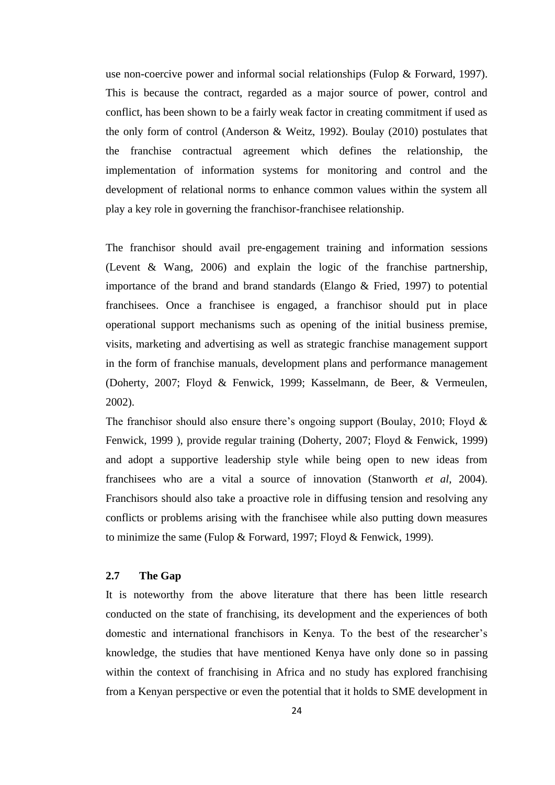use non-coercive power and informal social relationships (Fulop & Forward, 1997). This is because the contract, regarded as a major source of power, control and conflict, has been shown to be a fairly weak factor in creating commitment if used as the only form of control (Anderson & Weitz, 1992). Boulay (2010) postulates that the franchise contractual agreement which defines the relationship, the implementation of information systems for monitoring and control and the development of relational norms to enhance common values within the system all play a key role in governing the franchisor-franchisee relationship.

The franchisor should avail pre-engagement training and information sessions (Levent & Wang, 2006) and explain the logic of the franchise partnership, importance of the brand and brand standards (Elango & Fried, 1997) to potential franchisees. Once a franchisee is engaged, a franchisor should put in place operational support mechanisms such as opening of the initial business premise, visits, marketing and advertising as well as strategic franchise management support in the form of franchise manuals, development plans and performance management (Doherty, 2007; Floyd & Fenwick, 1999; Kasselmann, de Beer, & Vermeulen, 2002).

The franchisor should also ensure there's ongoing support (Boulay, 2010; Floyd & Fenwick, 1999 ), provide regular training (Doherty, 2007; Floyd & Fenwick, 1999) and adopt a supportive leadership style while being open to new ideas from franchisees who are a vital a source of innovation (Stanworth *et al*, 2004). Franchisors should also take a proactive role in diffusing tension and resolving any conflicts or problems arising with the franchisee while also putting down measures to minimize the same (Fulop & Forward, 1997; Floyd & Fenwick, 1999).

## **2.7 The Gap**

It is noteworthy from the above literature that there has been little research conducted on the state of franchising, its development and the experiences of both domestic and international franchisors in Kenya. To the best of the researcher's knowledge, the studies that have mentioned Kenya have only done so in passing within the context of franchising in Africa and no study has explored franchising from a Kenyan perspective or even the potential that it holds to SME development in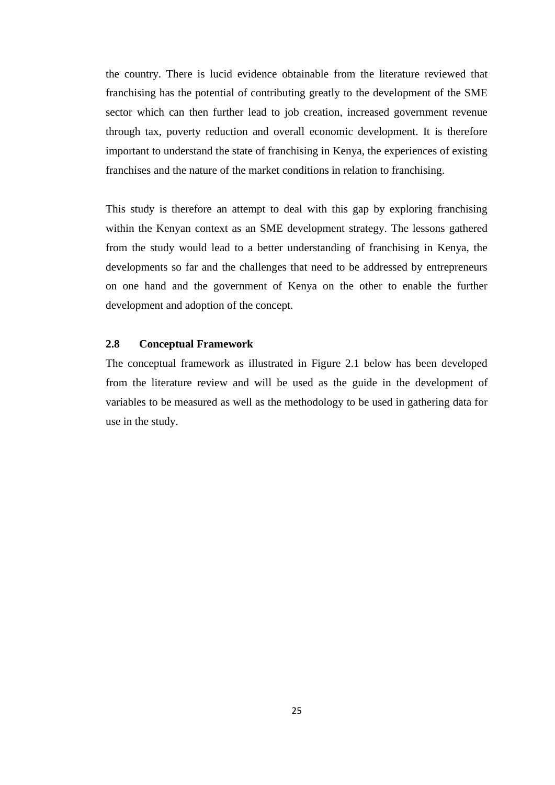the country. There is lucid evidence obtainable from the literature reviewed that franchising has the potential of contributing greatly to the development of the SME sector which can then further lead to job creation, increased government revenue through tax, poverty reduction and overall economic development. It is therefore important to understand the state of franchising in Kenya, the experiences of existing franchises and the nature of the market conditions in relation to franchising.

This study is therefore an attempt to deal with this gap by exploring franchising within the Kenyan context as an SME development strategy. The lessons gathered from the study would lead to a better understanding of franchising in Kenya, the developments so far and the challenges that need to be addressed by entrepreneurs on one hand and the government of Kenya on the other to enable the further development and adoption of the concept.

# **2.8 Conceptual Framework**

The conceptual framework as illustrated in Figure 2.1 below has been developed from the literature review and will be used as the guide in the development of variables to be measured as well as the methodology to be used in gathering data for use in the study.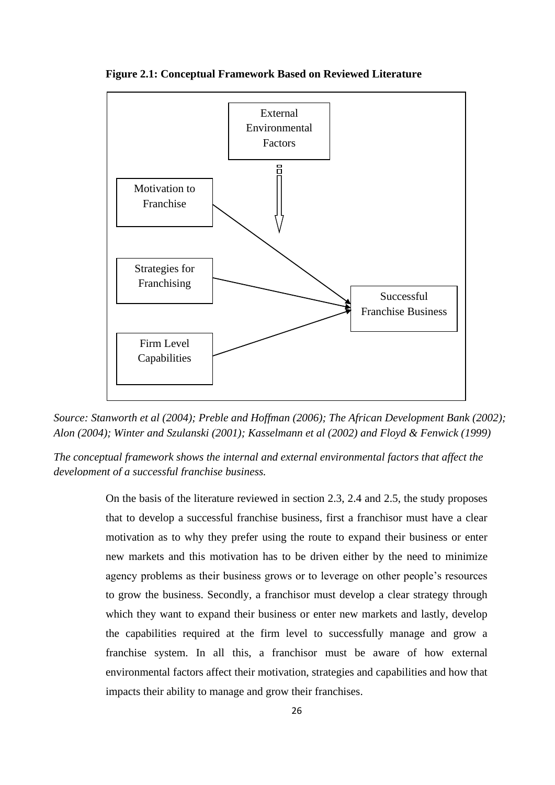

**Figure 2.1: Conceptual Framework Based on Reviewed Literature**

*Source: Stanworth et al (2004); Preble and Hoffman (2006); The African Development Bank (2002); Alon (2004); Winter and Szulanski (2001); Kasselmann et al (2002) and Floyd & Fenwick (1999)*

*The conceptual framework shows the internal and external environmental factors that affect the development of a successful franchise business.*

> On the basis of the literature reviewed in section 2.3, 2.4 and 2.5, the study proposes that to develop a successful franchise business, first a franchisor must have a clear motivation as to why they prefer using the route to expand their business or enter new markets and this motivation has to be driven either by the need to minimize agency problems as their business grows or to leverage on other people's resources to grow the business. Secondly, a franchisor must develop a clear strategy through which they want to expand their business or enter new markets and lastly, develop the capabilities required at the firm level to successfully manage and grow a franchise system. In all this, a franchisor must be aware of how external environmental factors affect their motivation, strategies and capabilities and how that impacts their ability to manage and grow their franchises.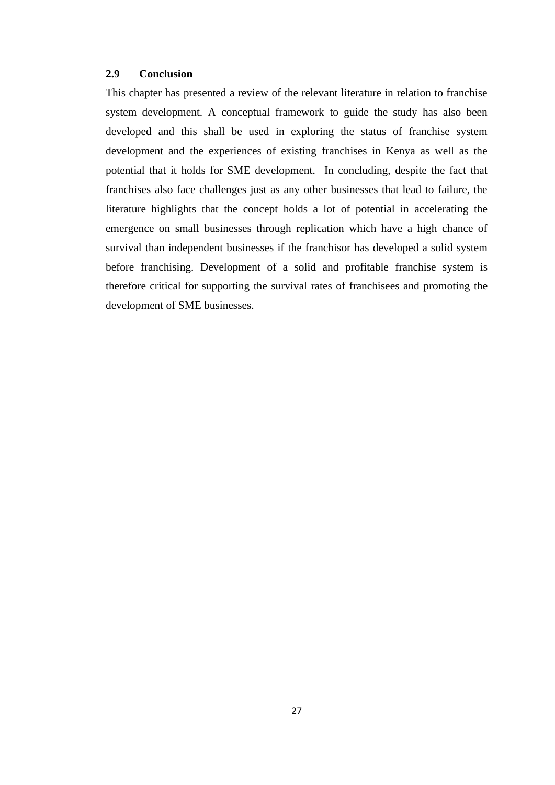## **2.9 Conclusion**

This chapter has presented a review of the relevant literature in relation to franchise system development. A conceptual framework to guide the study has also been developed and this shall be used in exploring the status of franchise system development and the experiences of existing franchises in Kenya as well as the potential that it holds for SME development. In concluding, despite the fact that franchises also face challenges just as any other businesses that lead to failure, the literature highlights that the concept holds a lot of potential in accelerating the emergence on small businesses through replication which have a high chance of survival than independent businesses if the franchisor has developed a solid system before franchising. Development of a solid and profitable franchise system is therefore critical for supporting the survival rates of franchisees and promoting the development of SME businesses.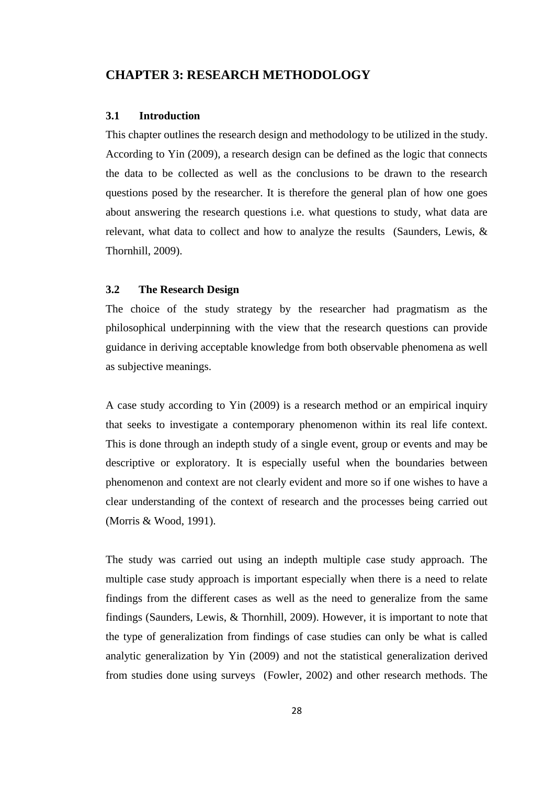# **CHAPTER 3: RESEARCH METHODOLOGY**

#### **3.1 Introduction**

This chapter outlines the research design and methodology to be utilized in the study. According to Yin (2009), a research design can be defined as the logic that connects the data to be collected as well as the conclusions to be drawn to the research questions posed by the researcher. It is therefore the general plan of how one goes about answering the research questions i.e. what questions to study, what data are relevant, what data to collect and how to analyze the results (Saunders, Lewis, & Thornhill, 2009).

#### **3.2 The Research Design**

The choice of the study strategy by the researcher had pragmatism as the philosophical underpinning with the view that the research questions can provide guidance in deriving acceptable knowledge from both observable phenomena as well as subjective meanings.

A case study according to Yin (2009) is a research method or an empirical inquiry that seeks to investigate a contemporary phenomenon within its real life context. This is done through an indepth study of a single event, group or events and may be descriptive or exploratory. It is especially useful when the boundaries between phenomenon and context are not clearly evident and more so if one wishes to have a clear understanding of the context of research and the processes being carried out (Morris & Wood, 1991).

The study was carried out using an indepth multiple case study approach. The multiple case study approach is important especially when there is a need to relate findings from the different cases as well as the need to generalize from the same findings (Saunders, Lewis, & Thornhill, 2009). However, it is important to note that the type of generalization from findings of case studies can only be what is called analytic generalization by Yin (2009) and not the statistical generalization derived from studies done using surveys (Fowler, 2002) and other research methods. The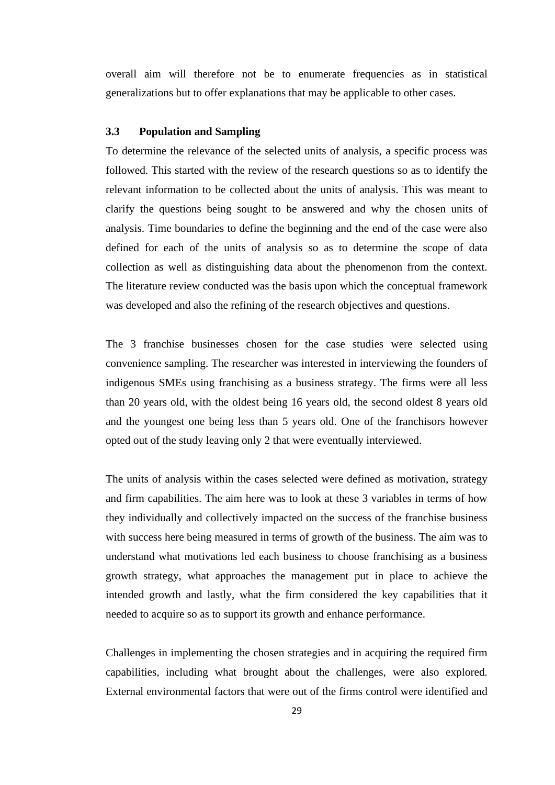overall aim will therefore not be to enumerate frequencies as in statistical generalizations but to offer explanations that may be applicable to other cases.

# **3.3 Population and Sampling**

To determine the relevance of the selected units of analysis, a specific process was followed. This started with the review of the research questions so as to identify the relevant information to be collected about the units of analysis. This was meant to clarify the questions being sought to be answered and why the chosen units of analysis. Time boundaries to define the beginning and the end of the case were also defined for each of the units of analysis so as to determine the scope of data collection as well as distinguishing data about the phenomenon from the context. The literature review conducted was the basis upon which the conceptual framework was developed and also the refining of the research objectives and questions.

The 3 franchise businesses chosen for the case studies were selected using convenience sampling. The researcher was interested in interviewing the founders of indigenous SMEs using franchising as a business strategy. The firms were all less than 20 years old, with the oldest being 16 years old, the second oldest 8 years old and the youngest one being less than 5 years old. One of the franchisors however opted out of the study leaving only 2 that were eventually interviewed.

The units of analysis within the cases selected were defined as motivation, strategy and firm capabilities. The aim here was to look at these 3 variables in terms of how they individually and collectively impacted on the success of the franchise business with success here being measured in terms of growth of the business. The aim was to understand what motivations led each business to choose franchising as a business growth strategy, what approaches the management put in place to achieve the intended growth and lastly, what the firm considered the key capabilities that it needed to acquire so as to support its growth and enhance performance.

Challenges in implementing the chosen strategies and in acquiring the required firm capabilities, including what brought about the challenges, were also explored. External environmental factors that were out of the firms control were identified and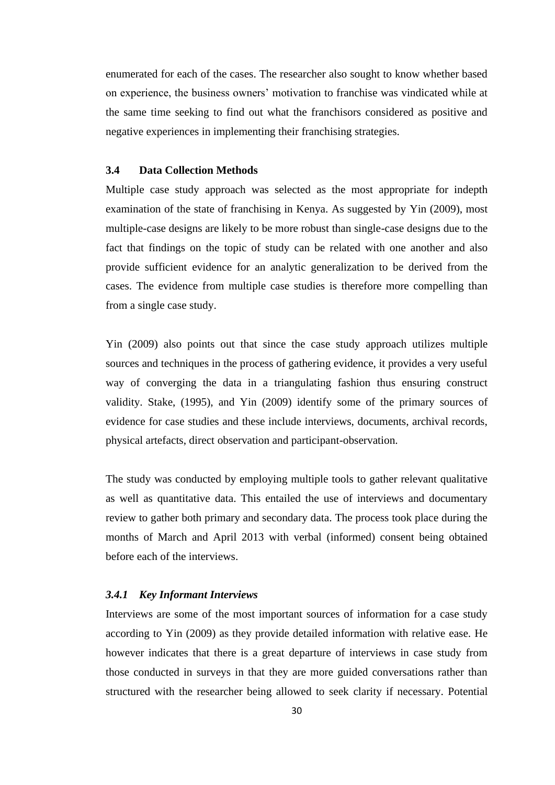enumerated for each of the cases. The researcher also sought to know whether based on experience, the business owners' motivation to franchise was vindicated while at the same time seeking to find out what the franchisors considered as positive and negative experiences in implementing their franchising strategies.

#### **3.4 Data Collection Methods**

Multiple case study approach was selected as the most appropriate for indepth examination of the state of franchising in Kenya. As suggested by Yin (2009), most multiple-case designs are likely to be more robust than single-case designs due to the fact that findings on the topic of study can be related with one another and also provide sufficient evidence for an analytic generalization to be derived from the cases. The evidence from multiple case studies is therefore more compelling than from a single case study.

Yin (2009) also points out that since the case study approach utilizes multiple sources and techniques in the process of gathering evidence, it provides a very useful way of converging the data in a triangulating fashion thus ensuring construct validity. Stake, (1995), and Yin (2009) identify some of the primary sources of evidence for case studies and these include interviews, documents, archival records, physical artefacts, direct observation and participant-observation.

The study was conducted by employing multiple tools to gather relevant qualitative as well as quantitative data. This entailed the use of interviews and documentary review to gather both primary and secondary data. The process took place during the months of March and April 2013 with verbal (informed) consent being obtained before each of the interviews.

# *3.4.1 Key Informant Interviews*

Interviews are some of the most important sources of information for a case study according to Yin (2009) as they provide detailed information with relative ease. He however indicates that there is a great departure of interviews in case study from those conducted in surveys in that they are more guided conversations rather than structured with the researcher being allowed to seek clarity if necessary. Potential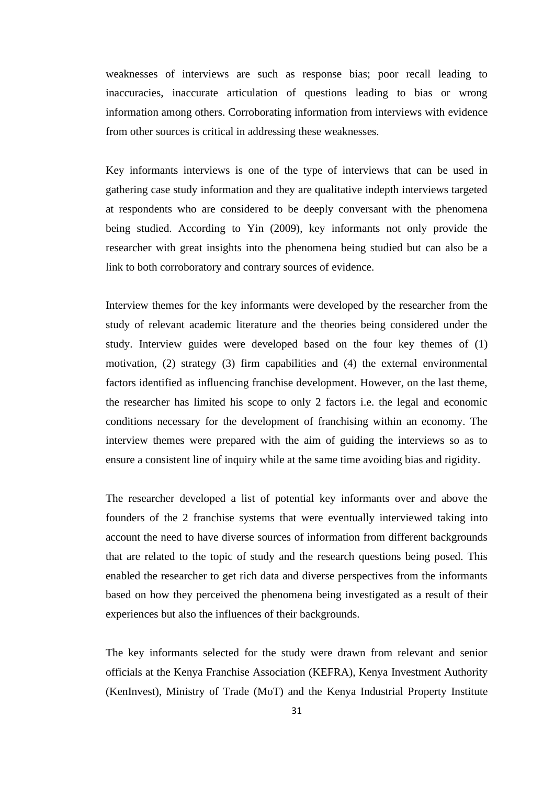weaknesses of interviews are such as response bias; poor recall leading to inaccuracies, inaccurate articulation of questions leading to bias or wrong information among others. Corroborating information from interviews with evidence from other sources is critical in addressing these weaknesses.

Key informants interviews is one of the type of interviews that can be used in gathering case study information and they are qualitative indepth interviews targeted at respondents who are considered to be deeply conversant with the phenomena being studied. According to Yin (2009), key informants not only provide the researcher with great insights into the phenomena being studied but can also be a link to both corroboratory and contrary sources of evidence.

Interview themes for the key informants were developed by the researcher from the study of relevant academic literature and the theories being considered under the study. Interview guides were developed based on the four key themes of (1) motivation, (2) strategy (3) firm capabilities and (4) the external environmental factors identified as influencing franchise development. However, on the last theme, the researcher has limited his scope to only 2 factors i.e. the legal and economic conditions necessary for the development of franchising within an economy. The interview themes were prepared with the aim of guiding the interviews so as to ensure a consistent line of inquiry while at the same time avoiding bias and rigidity.

The researcher developed a list of potential key informants over and above the founders of the 2 franchise systems that were eventually interviewed taking into account the need to have diverse sources of information from different backgrounds that are related to the topic of study and the research questions being posed. This enabled the researcher to get rich data and diverse perspectives from the informants based on how they perceived the phenomena being investigated as a result of their experiences but also the influences of their backgrounds.

The key informants selected for the study were drawn from relevant and senior officials at the Kenya Franchise Association (KEFRA), Kenya Investment Authority (KenInvest), Ministry of Trade (MoT) and the Kenya Industrial Property Institute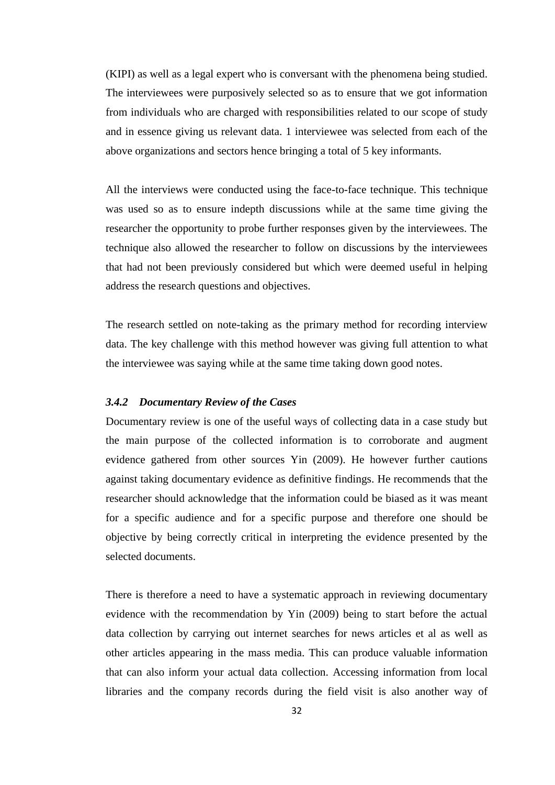(KIPI) as well as a legal expert who is conversant with the phenomena being studied. The interviewees were purposively selected so as to ensure that we got information from individuals who are charged with responsibilities related to our scope of study and in essence giving us relevant data. 1 interviewee was selected from each of the above organizations and sectors hence bringing a total of 5 key informants.

All the interviews were conducted using the face-to-face technique. This technique was used so as to ensure indepth discussions while at the same time giving the researcher the opportunity to probe further responses given by the interviewees. The technique also allowed the researcher to follow on discussions by the interviewees that had not been previously considered but which were deemed useful in helping address the research questions and objectives.

The research settled on note-taking as the primary method for recording interview data. The key challenge with this method however was giving full attention to what the interviewee was saying while at the same time taking down good notes.

# *3.4.2 Documentary Review of the Cases*

Documentary review is one of the useful ways of collecting data in a case study but the main purpose of the collected information is to corroborate and augment evidence gathered from other sources Yin (2009). He however further cautions against taking documentary evidence as definitive findings. He recommends that the researcher should acknowledge that the information could be biased as it was meant for a specific audience and for a specific purpose and therefore one should be objective by being correctly critical in interpreting the evidence presented by the selected documents.

There is therefore a need to have a systematic approach in reviewing documentary evidence with the recommendation by Yin (2009) being to start before the actual data collection by carrying out internet searches for news articles et al as well as other articles appearing in the mass media. This can produce valuable information that can also inform your actual data collection. Accessing information from local libraries and the company records during the field visit is also another way of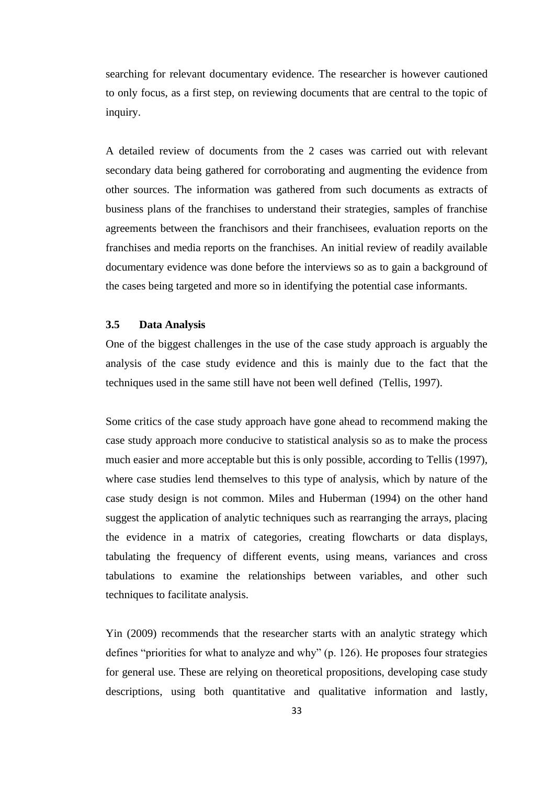searching for relevant documentary evidence. The researcher is however cautioned to only focus, as a first step, on reviewing documents that are central to the topic of inquiry.

A detailed review of documents from the 2 cases was carried out with relevant secondary data being gathered for corroborating and augmenting the evidence from other sources. The information was gathered from such documents as extracts of business plans of the franchises to understand their strategies, samples of franchise agreements between the franchisors and their franchisees, evaluation reports on the franchises and media reports on the franchises. An initial review of readily available documentary evidence was done before the interviews so as to gain a background of the cases being targeted and more so in identifying the potential case informants.

# **3.5 Data Analysis**

One of the biggest challenges in the use of the case study approach is arguably the analysis of the case study evidence and this is mainly due to the fact that the techniques used in the same still have not been well defined (Tellis, 1997).

Some critics of the case study approach have gone ahead to recommend making the case study approach more conducive to statistical analysis so as to make the process much easier and more acceptable but this is only possible, according to Tellis (1997), where case studies lend themselves to this type of analysis, which by nature of the case study design is not common. Miles and Huberman (1994) on the other hand suggest the application of analytic techniques such as rearranging the arrays, placing the evidence in a matrix of categories, creating flowcharts or data displays, tabulating the frequency of different events, using means, variances and cross tabulations to examine the relationships between variables, and other such techniques to facilitate analysis.

Yin (2009) recommends that the researcher starts with an analytic strategy which defines "priorities for what to analyze and why" (p. 126). He proposes four strategies for general use. These are relying on theoretical propositions, developing case study descriptions, using both quantitative and qualitative information and lastly,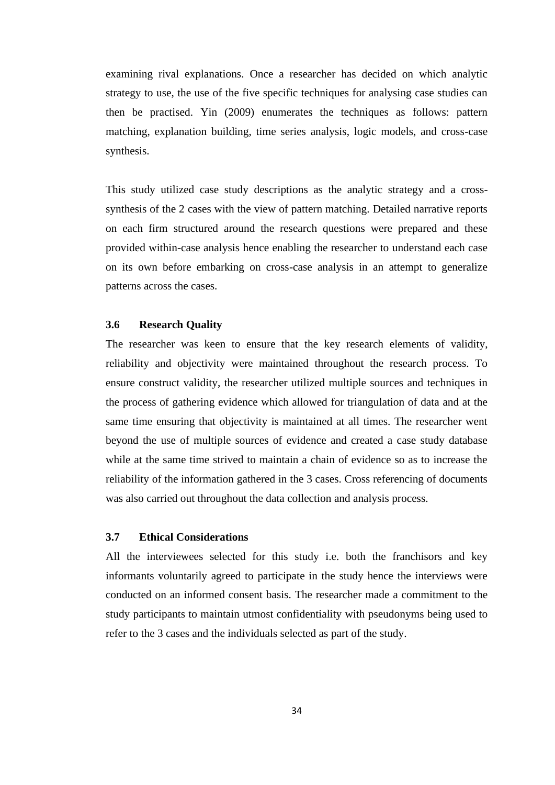examining rival explanations. Once a researcher has decided on which analytic strategy to use, the use of the five specific techniques for analysing case studies can then be practised. Yin (2009) enumerates the techniques as follows: pattern matching, explanation building, time series analysis, logic models, and cross-case synthesis.

This study utilized case study descriptions as the analytic strategy and a crosssynthesis of the 2 cases with the view of pattern matching. Detailed narrative reports on each firm structured around the research questions were prepared and these provided within-case analysis hence enabling the researcher to understand each case on its own before embarking on cross-case analysis in an attempt to generalize patterns across the cases.

#### **3.6 Research Quality**

The researcher was keen to ensure that the key research elements of validity, reliability and objectivity were maintained throughout the research process. To ensure construct validity, the researcher utilized multiple sources and techniques in the process of gathering evidence which allowed for triangulation of data and at the same time ensuring that objectivity is maintained at all times. The researcher went beyond the use of multiple sources of evidence and created a case study database while at the same time strived to maintain a chain of evidence so as to increase the reliability of the information gathered in the 3 cases. Cross referencing of documents was also carried out throughout the data collection and analysis process.

# **3.7 Ethical Considerations**

All the interviewees selected for this study i.e. both the franchisors and key informants voluntarily agreed to participate in the study hence the interviews were conducted on an informed consent basis. The researcher made a commitment to the study participants to maintain utmost confidentiality with pseudonyms being used to refer to the 3 cases and the individuals selected as part of the study.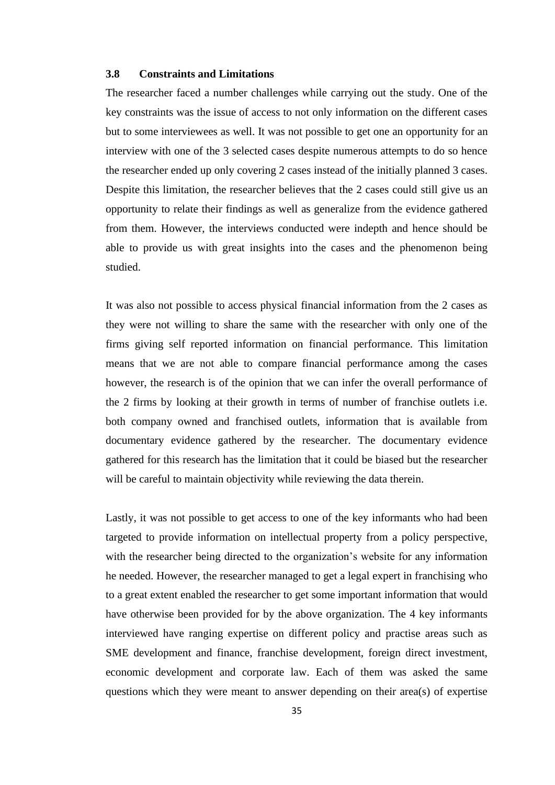#### **3.8 Constraints and Limitations**

The researcher faced a number challenges while carrying out the study. One of the key constraints was the issue of access to not only information on the different cases but to some interviewees as well. It was not possible to get one an opportunity for an interview with one of the 3 selected cases despite numerous attempts to do so hence the researcher ended up only covering 2 cases instead of the initially planned 3 cases. Despite this limitation, the researcher believes that the 2 cases could still give us an opportunity to relate their findings as well as generalize from the evidence gathered from them. However, the interviews conducted were indepth and hence should be able to provide us with great insights into the cases and the phenomenon being studied.

It was also not possible to access physical financial information from the 2 cases as they were not willing to share the same with the researcher with only one of the firms giving self reported information on financial performance. This limitation means that we are not able to compare financial performance among the cases however, the research is of the opinion that we can infer the overall performance of the 2 firms by looking at their growth in terms of number of franchise outlets i.e. both company owned and franchised outlets, information that is available from documentary evidence gathered by the researcher. The documentary evidence gathered for this research has the limitation that it could be biased but the researcher will be careful to maintain objectivity while reviewing the data therein.

Lastly, it was not possible to get access to one of the key informants who had been targeted to provide information on intellectual property from a policy perspective, with the researcher being directed to the organization's website for any information he needed. However, the researcher managed to get a legal expert in franchising who to a great extent enabled the researcher to get some important information that would have otherwise been provided for by the above organization. The 4 key informants interviewed have ranging expertise on different policy and practise areas such as SME development and finance, franchise development, foreign direct investment, economic development and corporate law. Each of them was asked the same questions which they were meant to answer depending on their area(s) of expertise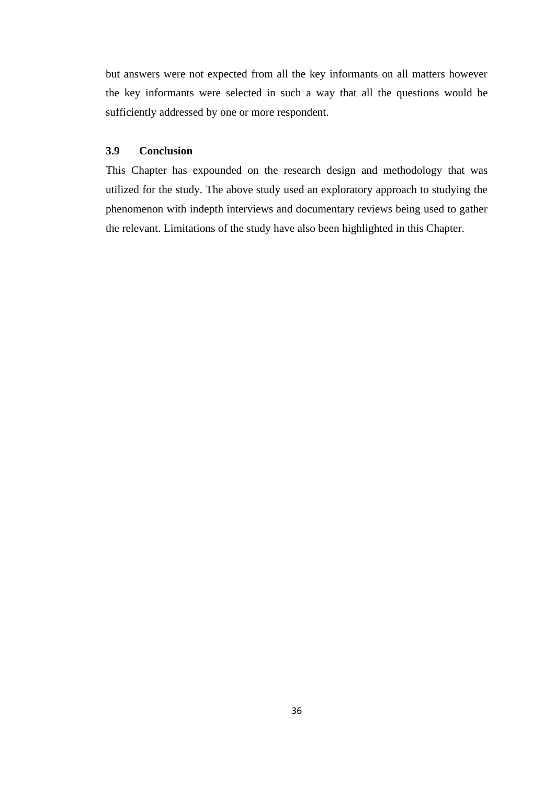but answers were not expected from all the key informants on all matters however the key informants were selected in such a way that all the questions would be sufficiently addressed by one or more respondent.

# **3.9 Conclusion**

This Chapter has expounded on the research design and methodology that was utilized for the study. The above study used an exploratory approach to studying the phenomenon with indepth interviews and documentary reviews being used to gather the relevant. Limitations of the study have also been highlighted in this Chapter.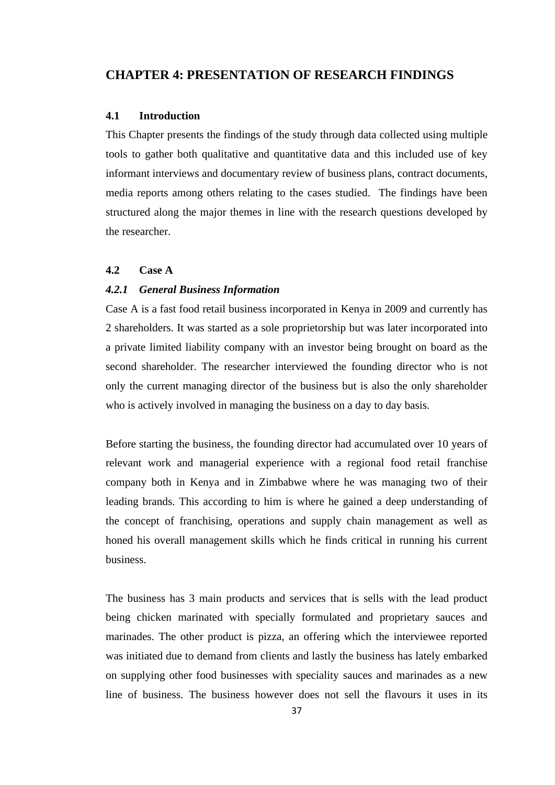# **CHAPTER 4: PRESENTATION OF RESEARCH FINDINGS**

## **4.1 Introduction**

This Chapter presents the findings of the study through data collected using multiple tools to gather both qualitative and quantitative data and this included use of key informant interviews and documentary review of business plans, contract documents, media reports among others relating to the cases studied. The findings have been structured along the major themes in line with the research questions developed by the researcher.

#### **4.2 Case A**

#### *4.2.1 General Business Information*

Case A is a fast food retail business incorporated in Kenya in 2009 and currently has 2 shareholders. It was started as a sole proprietorship but was later incorporated into a private limited liability company with an investor being brought on board as the second shareholder. The researcher interviewed the founding director who is not only the current managing director of the business but is also the only shareholder who is actively involved in managing the business on a day to day basis.

Before starting the business, the founding director had accumulated over 10 years of relevant work and managerial experience with a regional food retail franchise company both in Kenya and in Zimbabwe where he was managing two of their leading brands. This according to him is where he gained a deep understanding of the concept of franchising, operations and supply chain management as well as honed his overall management skills which he finds critical in running his current business.

The business has 3 main products and services that is sells with the lead product being chicken marinated with specially formulated and proprietary sauces and marinades. The other product is pizza, an offering which the interviewee reported was initiated due to demand from clients and lastly the business has lately embarked on supplying other food businesses with speciality sauces and marinades as a new line of business. The business however does not sell the flavours it uses in its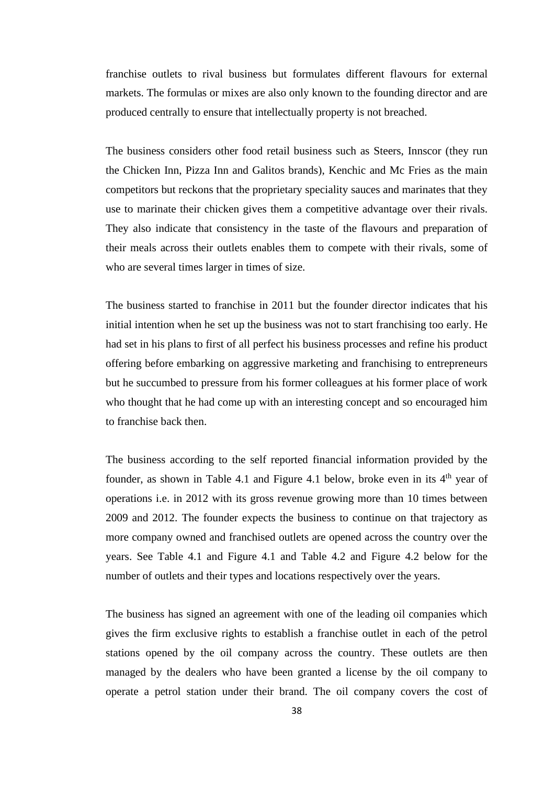franchise outlets to rival business but formulates different flavours for external markets. The formulas or mixes are also only known to the founding director and are produced centrally to ensure that intellectually property is not breached.

The business considers other food retail business such as Steers, Innscor (they run the Chicken Inn, Pizza Inn and Galitos brands), Kenchic and Mc Fries as the main competitors but reckons that the proprietary speciality sauces and marinates that they use to marinate their chicken gives them a competitive advantage over their rivals. They also indicate that consistency in the taste of the flavours and preparation of their meals across their outlets enables them to compete with their rivals, some of who are several times larger in times of size.

The business started to franchise in 2011 but the founder director indicates that his initial intention when he set up the business was not to start franchising too early. He had set in his plans to first of all perfect his business processes and refine his product offering before embarking on aggressive marketing and franchising to entrepreneurs but he succumbed to pressure from his former colleagues at his former place of work who thought that he had come up with an interesting concept and so encouraged him to franchise back then.

The business according to the self reported financial information provided by the founder, as shown in Table 4.1 and Figure 4.1 below, broke even in its  $4<sup>th</sup>$  year of operations i.e. in 2012 with its gross revenue growing more than 10 times between 2009 and 2012. The founder expects the business to continue on that trajectory as more company owned and franchised outlets are opened across the country over the years. See Table 4.1 and Figure 4.1 and Table 4.2 and Figure 4.2 below for the number of outlets and their types and locations respectively over the years.

The business has signed an agreement with one of the leading oil companies which gives the firm exclusive rights to establish a franchise outlet in each of the petrol stations opened by the oil company across the country. These outlets are then managed by the dealers who have been granted a license by the oil company to operate a petrol station under their brand. The oil company covers the cost of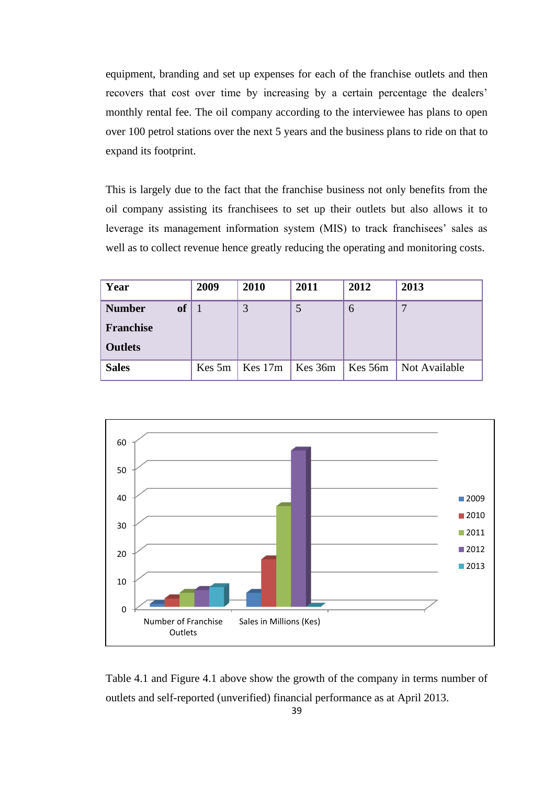equipment, branding and set up expenses for each of the franchise outlets and then recovers that cost over time by increasing by a certain percentage the dealers' monthly rental fee. The oil company according to the interviewee has plans to open over 100 petrol stations over the next 5 years and the business plans to ride on that to expand its footprint.

This is largely due to the fact that the franchise business not only benefits from the oil company assisting its franchisees to set up their outlets but also allows it to leverage its management information system (MIS) to track franchisees' sales as well as to collect revenue hence greatly reducing the operating and monitoring costs.

| Year             |           | 2009   | 2010      | 2011    | 2012    | 2013          |
|------------------|-----------|--------|-----------|---------|---------|---------------|
| <b>Number</b>    | <b>of</b> |        | 3         |         | 6       | 7             |
| <b>Franchise</b> |           |        |           |         |         |               |
| <b>Outlets</b>   |           |        |           |         |         |               |
| <b>Sales</b>     |           | Kes 5m | Kes $17m$ | Kes 36m | Kes 56m | Not Available |



Table 4.1 and Figure 4.1 above show the growth of the company in terms number of outlets and self-reported (unverified) financial performance as at April 2013.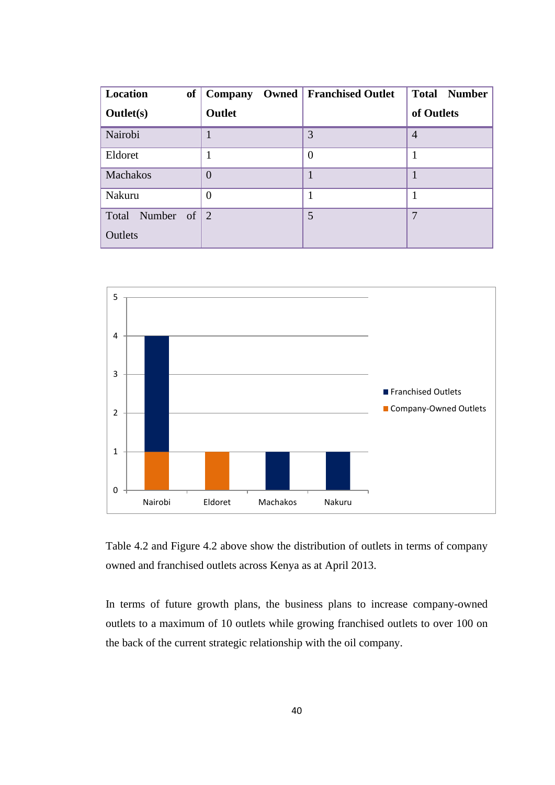| Location<br>of                     | Owned<br>Company | <b>Franchised Outlet</b> | <b>Total Number</b> |
|------------------------------------|------------------|--------------------------|---------------------|
| <b>Outlet(s)</b>                   | Outlet           |                          | of Outlets          |
| Nairobi                            | $\mathbf{1}$     | 3                        | $\overline{4}$      |
| Eldoret                            | 1                | $\theta$                 |                     |
| Machakos                           | $\theta$         |                          |                     |
| Nakuru                             | $\overline{0}$   |                          | 1                   |
| Number of $\vert 2 \vert$<br>Total |                  | 5                        | 7                   |
| Outlets                            |                  |                          |                     |



Table 4.2 and Figure 4.2 above show the distribution of outlets in terms of company owned and franchised outlets across Kenya as at April 2013.

In terms of future growth plans, the business plans to increase company-owned outlets to a maximum of 10 outlets while growing franchised outlets to over 100 on the back of the current strategic relationship with the oil company.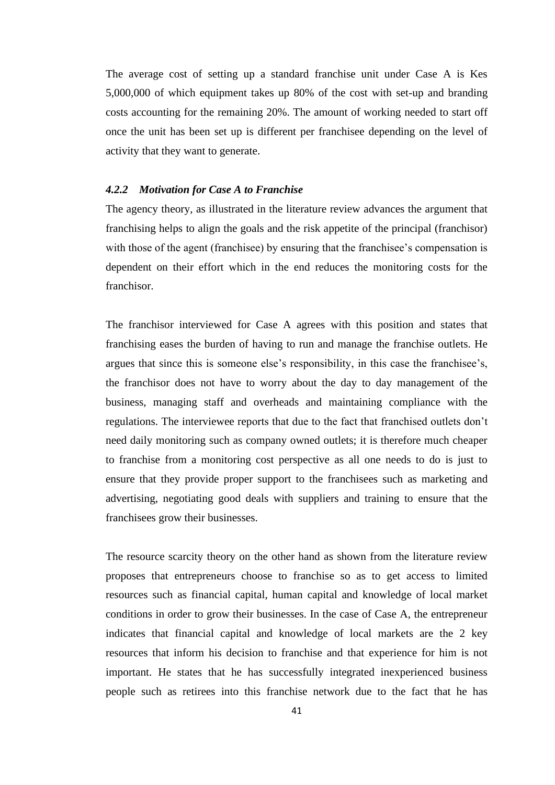The average cost of setting up a standard franchise unit under Case A is Kes 5,000,000 of which equipment takes up 80% of the cost with set-up and branding costs accounting for the remaining 20%. The amount of working needed to start off once the unit has been set up is different per franchisee depending on the level of activity that they want to generate.

### *4.2.2 Motivation for Case A to Franchise*

The agency theory, as illustrated in the literature review advances the argument that franchising helps to align the goals and the risk appetite of the principal (franchisor) with those of the agent (franchisee) by ensuring that the franchisee's compensation is dependent on their effort which in the end reduces the monitoring costs for the franchisor.

The franchisor interviewed for Case A agrees with this position and states that franchising eases the burden of having to run and manage the franchise outlets. He argues that since this is someone else's responsibility, in this case the franchisee's, the franchisor does not have to worry about the day to day management of the business, managing staff and overheads and maintaining compliance with the regulations. The interviewee reports that due to the fact that franchised outlets don't need daily monitoring such as company owned outlets; it is therefore much cheaper to franchise from a monitoring cost perspective as all one needs to do is just to ensure that they provide proper support to the franchisees such as marketing and advertising, negotiating good deals with suppliers and training to ensure that the franchisees grow their businesses.

The resource scarcity theory on the other hand as shown from the literature review proposes that entrepreneurs choose to franchise so as to get access to limited resources such as financial capital, human capital and knowledge of local market conditions in order to grow their businesses. In the case of Case A, the entrepreneur indicates that financial capital and knowledge of local markets are the 2 key resources that inform his decision to franchise and that experience for him is not important. He states that he has successfully integrated inexperienced business people such as retirees into this franchise network due to the fact that he has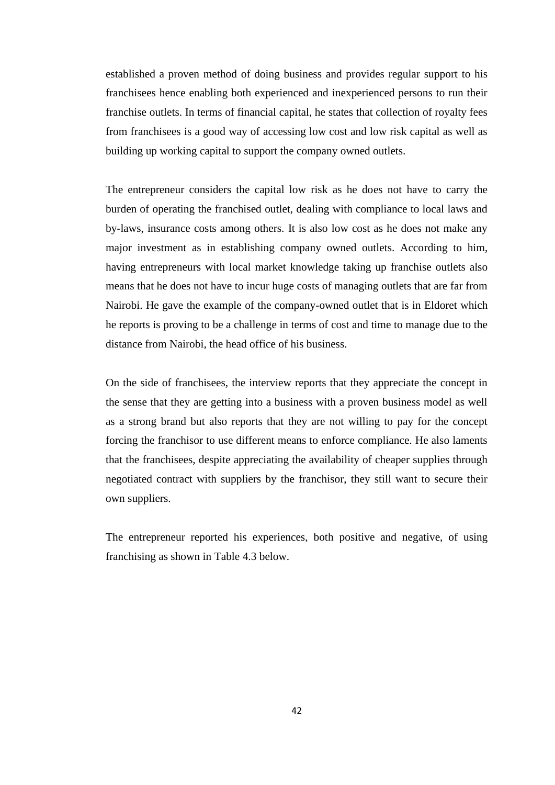established a proven method of doing business and provides regular support to his franchisees hence enabling both experienced and inexperienced persons to run their franchise outlets. In terms of financial capital, he states that collection of royalty fees from franchisees is a good way of accessing low cost and low risk capital as well as building up working capital to support the company owned outlets.

The entrepreneur considers the capital low risk as he does not have to carry the burden of operating the franchised outlet, dealing with compliance to local laws and by-laws, insurance costs among others. It is also low cost as he does not make any major investment as in establishing company owned outlets. According to him, having entrepreneurs with local market knowledge taking up franchise outlets also means that he does not have to incur huge costs of managing outlets that are far from Nairobi. He gave the example of the company-owned outlet that is in Eldoret which he reports is proving to be a challenge in terms of cost and time to manage due to the distance from Nairobi, the head office of his business.

On the side of franchisees, the interview reports that they appreciate the concept in the sense that they are getting into a business with a proven business model as well as a strong brand but also reports that they are not willing to pay for the concept forcing the franchisor to use different means to enforce compliance. He also laments that the franchisees, despite appreciating the availability of cheaper supplies through negotiated contract with suppliers by the franchisor, they still want to secure their own suppliers.

The entrepreneur reported his experiences, both positive and negative, of using franchising as shown in Table 4.3 below.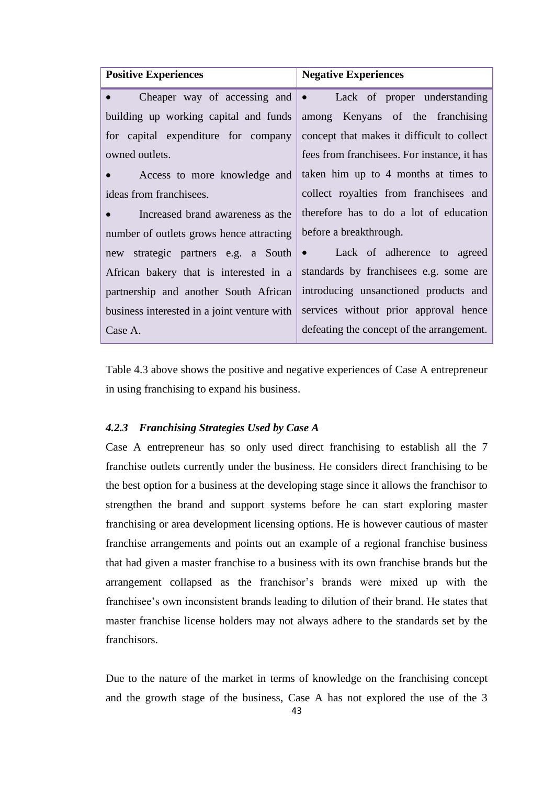| <b>Positive Experiences</b>                 | <b>Negative Experiences</b>                 |  |
|---------------------------------------------|---------------------------------------------|--|
| Cheaper way of accessing and $\bullet$      | Lack of proper understanding                |  |
| building up working capital and funds       | among Kenyans of the franchising            |  |
| for capital expenditure for company         | concept that makes it difficult to collect  |  |
| owned outlets.                              | fees from franchisees. For instance, it has |  |
| Access to more knowledge and<br>$\bullet$   | taken him up to 4 months at times to        |  |
| ideas from franchisees.                     | collect royalties from franchisees and      |  |
| Increased brand awareness as the            | therefore has to do a lot of education      |  |
| number of outlets grows hence attracting    | before a breakthrough.                      |  |
| new strategic partners e.g. a South         | • Lack of adherence to agreed               |  |
| African bakery that is interested in a      | standards by franchisees e.g. some are      |  |
| partnership and another South African       | introducing unsanctioned products and       |  |
| business interested in a joint venture with | services without prior approval hence       |  |
| Case A.                                     | defeating the concept of the arrangement.   |  |

Table 4.3 above shows the positive and negative experiences of Case A entrepreneur in using franchising to expand his business.

#### *4.2.3 Franchising Strategies Used by Case A*

Case A entrepreneur has so only used direct franchising to establish all the 7 franchise outlets currently under the business. He considers direct franchising to be the best option for a business at the developing stage since it allows the franchisor to strengthen the brand and support systems before he can start exploring master franchising or area development licensing options. He is however cautious of master franchise arrangements and points out an example of a regional franchise business that had given a master franchise to a business with its own franchise brands but the arrangement collapsed as the franchisor's brands were mixed up with the franchisee's own inconsistent brands leading to dilution of their brand. He states that master franchise license holders may not always adhere to the standards set by the franchisors.

Due to the nature of the market in terms of knowledge on the franchising concept and the growth stage of the business, Case A has not explored the use of the 3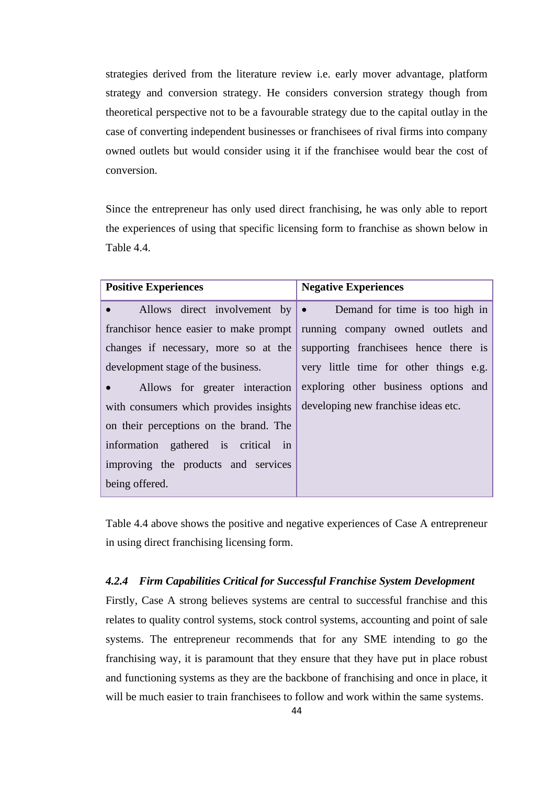strategies derived from the literature review i.e. early mover advantage, platform strategy and conversion strategy. He considers conversion strategy though from theoretical perspective not to be a favourable strategy due to the capital outlay in the case of converting independent businesses or franchisees of rival firms into company owned outlets but would consider using it if the franchisee would bear the cost of conversion.

Since the entrepreneur has only used direct franchising, he was only able to report the experiences of using that specific licensing form to franchise as shown below in Table 4.4.

| <b>Positive Experiences</b>                                                | <b>Negative Experiences</b>                                           |
|----------------------------------------------------------------------------|-----------------------------------------------------------------------|
| $\bullet$ . The set of $\bullet$                                           | Allows direct involvement by $\bullet$ Demand for time is too high in |
| franchisor hence easier to make prompt   running company owned outlets and |                                                                       |
| changes if necessary, more so at the                                       | supporting franchises hence there is                                  |
| development stage of the business.                                         | very little time for other things e.g.                                |
| Allows for greater interaction<br>$\bullet$ . The set of $\bullet$         | exploring other business options and                                  |
| with consumers which provides insights                                     | developing new franchise ideas etc.                                   |
| on their perceptions on the brand. The                                     |                                                                       |
| information gathered is critical in                                        |                                                                       |
| improving the products and services                                        |                                                                       |
| being offered.                                                             |                                                                       |

Table 4.4 above shows the positive and negative experiences of Case A entrepreneur in using direct franchising licensing form.

# *4.2.4 Firm Capabilities Critical for Successful Franchise System Development*

Firstly, Case A strong believes systems are central to successful franchise and this relates to quality control systems, stock control systems, accounting and point of sale systems. The entrepreneur recommends that for any SME intending to go the franchising way, it is paramount that they ensure that they have put in place robust and functioning systems as they are the backbone of franchising and once in place, it will be much easier to train franchisees to follow and work within the same systems.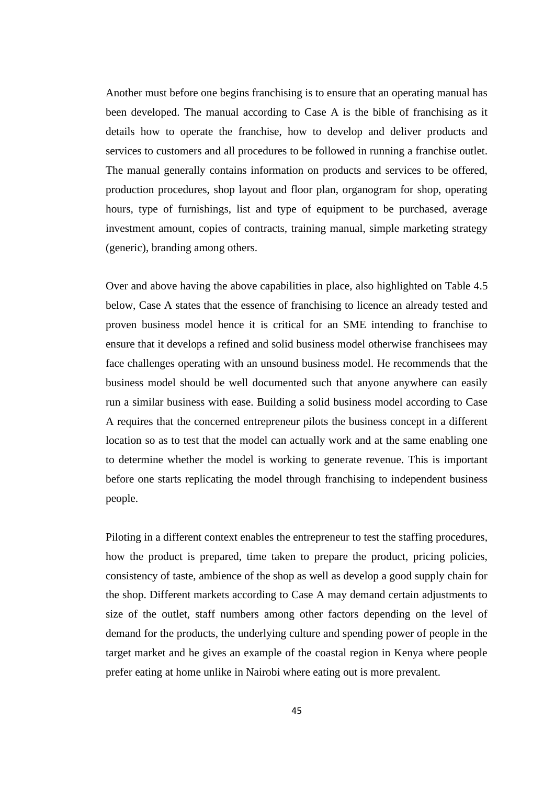Another must before one begins franchising is to ensure that an operating manual has been developed. The manual according to Case A is the bible of franchising as it details how to operate the franchise, how to develop and deliver products and services to customers and all procedures to be followed in running a franchise outlet. The manual generally contains information on products and services to be offered, production procedures, shop layout and floor plan, organogram for shop, operating hours, type of furnishings, list and type of equipment to be purchased, average investment amount, copies of contracts, training manual, simple marketing strategy (generic), branding among others.

Over and above having the above capabilities in place, also highlighted on Table 4.5 below, Case A states that the essence of franchising to licence an already tested and proven business model hence it is critical for an SME intending to franchise to ensure that it develops a refined and solid business model otherwise franchisees may face challenges operating with an unsound business model. He recommends that the business model should be well documented such that anyone anywhere can easily run a similar business with ease. Building a solid business model according to Case A requires that the concerned entrepreneur pilots the business concept in a different location so as to test that the model can actually work and at the same enabling one to determine whether the model is working to generate revenue. This is important before one starts replicating the model through franchising to independent business people.

Piloting in a different context enables the entrepreneur to test the staffing procedures, how the product is prepared, time taken to prepare the product, pricing policies, consistency of taste, ambience of the shop as well as develop a good supply chain for the shop. Different markets according to Case A may demand certain adjustments to size of the outlet, staff numbers among other factors depending on the level of demand for the products, the underlying culture and spending power of people in the target market and he gives an example of the coastal region in Kenya where people prefer eating at home unlike in Nairobi where eating out is more prevalent.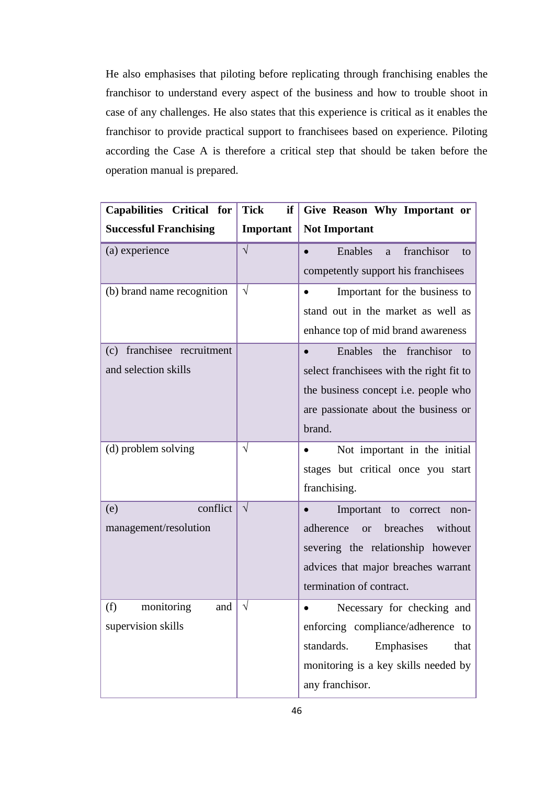He also emphasises that piloting before replicating through franchising enables the franchisor to understand every aspect of the business and how to trouble shoot in case of any challenges. He also states that this experience is critical as it enables the franchisor to provide practical support to franchisees based on experience. Piloting according the Case A is therefore a critical step that should be taken before the operation manual is prepared.

| Capabilities Critical for     | <b>Tick</b><br>if | Give Reason Why Important or                             |
|-------------------------------|-------------------|----------------------------------------------------------|
| <b>Successful Franchising</b> | Important         | <b>Not Important</b>                                     |
| (a) experience                | $\sqrt{}$         | franchisor<br>Enables<br>$\bullet$<br><sub>a</sub><br>to |
|                               |                   | competently support his franchisees                      |
| (b) brand name recognition    | $\sqrt{}$         | Important for the business to<br>$\bullet$               |
|                               |                   | stand out in the market as well as                       |
|                               |                   | enhance top of mid brand awareness                       |
| franchisee recruitment<br>(c) |                   | Enables the franchisor to<br>$\bullet$                   |
| and selection skills          |                   | select franchisees with the right fit to                 |
|                               |                   | the business concept <i>i.e.</i> people who              |
|                               |                   | are passionate about the business or                     |
|                               |                   | brand.                                                   |
| (d) problem solving           | $\sqrt{ }$        | Not important in the initial                             |
|                               |                   | stages but critical once you start                       |
|                               |                   | franchising.                                             |
| conflict<br>(e)               | $\sqrt{ }$        | Important to<br>$\bullet$<br>correct<br>non-             |
| management/resolution         |                   | adherence<br>breaches<br>without<br><b>or</b>            |
|                               |                   | severing the relationship however                        |
|                               |                   | advices that major breaches warrant                      |
|                               |                   | termination of contract.                                 |
| monitoring<br>(f)<br>and      | $\sqrt{}$         | Necessary for checking and                               |
| supervision skills            |                   | enforcing compliance/adherence to                        |
|                               |                   | standards.<br>Emphasises<br>that                         |
|                               |                   | monitoring is a key skills needed by                     |
|                               |                   | any franchisor.                                          |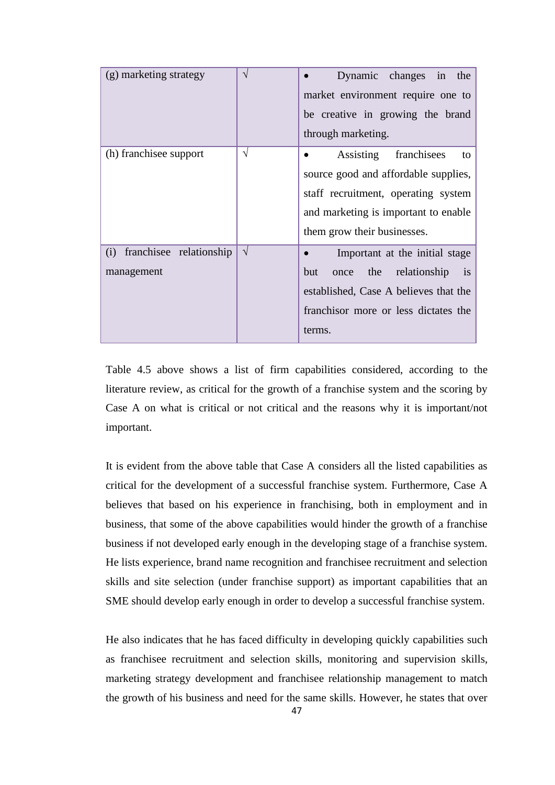| (g) marketing strategy                       | N | Dynamic changes in the<br>market environment require one to<br>be creative in growing the brand<br>through marketing.                                                                |
|----------------------------------------------|---|--------------------------------------------------------------------------------------------------------------------------------------------------------------------------------------|
| (h) franchisee support                       | V | Assisting<br>franchisees<br>to<br>source good and affordable supplies,<br>staff recruitment, operating system<br>and marketing is important to enable<br>them grow their businesses. |
| franchisee relationship<br>(i)<br>management | V | Important at the initial stage<br>relationship<br>but<br>the<br>once<br><i>is</i><br>established, Case A believes that the<br>franchisor more or less dictates the<br>terms.         |

Table 4.5 above shows a list of firm capabilities considered, according to the literature review, as critical for the growth of a franchise system and the scoring by Case A on what is critical or not critical and the reasons why it is important/not important.

It is evident from the above table that Case A considers all the listed capabilities as critical for the development of a successful franchise system. Furthermore, Case A believes that based on his experience in franchising, both in employment and in business, that some of the above capabilities would hinder the growth of a franchise business if not developed early enough in the developing stage of a franchise system. He lists experience, brand name recognition and franchisee recruitment and selection skills and site selection (under franchise support) as important capabilities that an SME should develop early enough in order to develop a successful franchise system.

He also indicates that he has faced difficulty in developing quickly capabilities such as franchisee recruitment and selection skills, monitoring and supervision skills, marketing strategy development and franchisee relationship management to match the growth of his business and need for the same skills. However, he states that over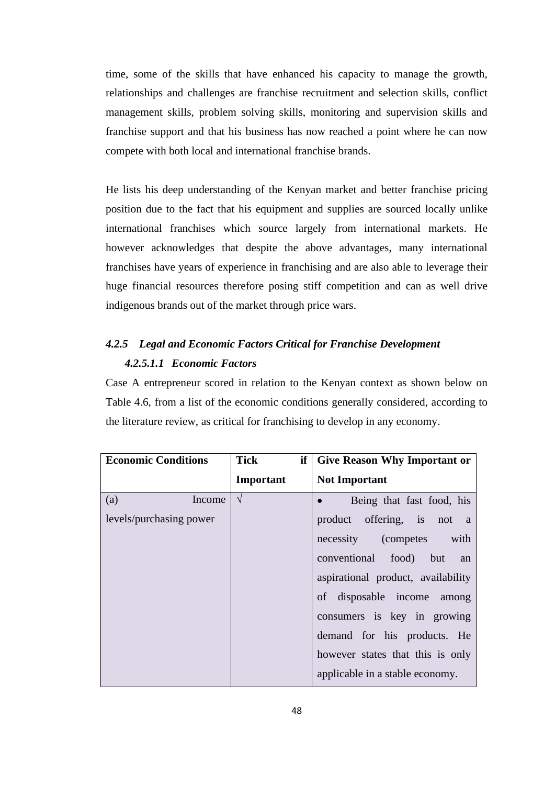time, some of the skills that have enhanced his capacity to manage the growth, relationships and challenges are franchise recruitment and selection skills, conflict management skills, problem solving skills, monitoring and supervision skills and franchise support and that his business has now reached a point where he can now compete with both local and international franchise brands.

He lists his deep understanding of the Kenyan market and better franchise pricing position due to the fact that his equipment and supplies are sourced locally unlike international franchises which source largely from international markets. He however acknowledges that despite the above advantages, many international franchises have years of experience in franchising and are also able to leverage their huge financial resources therefore posing stiff competition and can as well drive indigenous brands out of the market through price wars.

# *4.2.5 Legal and Economic Factors Critical for Franchise Development 4.2.5.1.1 Economic Factors*

Case A entrepreneur scored in relation to the Kenyan context as shown below on Table 4.6, from a list of the economic conditions generally considered, according to the literature review, as critical for franchising to develop in any economy.

| <b>Economic Conditions</b> | <b>Tick</b><br>if | <b>Give Reason Why Important or</b>      |
|----------------------------|-------------------|------------------------------------------|
|                            | Important         | <b>Not Important</b>                     |
| (a)<br>Income              | $\sqrt{ }$        | Being that fast food, his                |
| levels/purchasing power    |                   | product offering, is not<br><sub>a</sub> |
|                            |                   | necessity (competes<br>with              |
|                            |                   | conventional food) but<br>an             |
|                            |                   | aspirational product, availability       |
|                            |                   | of disposable income among               |
|                            |                   | consumers is key in growing              |
|                            |                   | demand for his products. He              |
|                            |                   | however states that this is only         |
|                            |                   | applicable in a stable economy.          |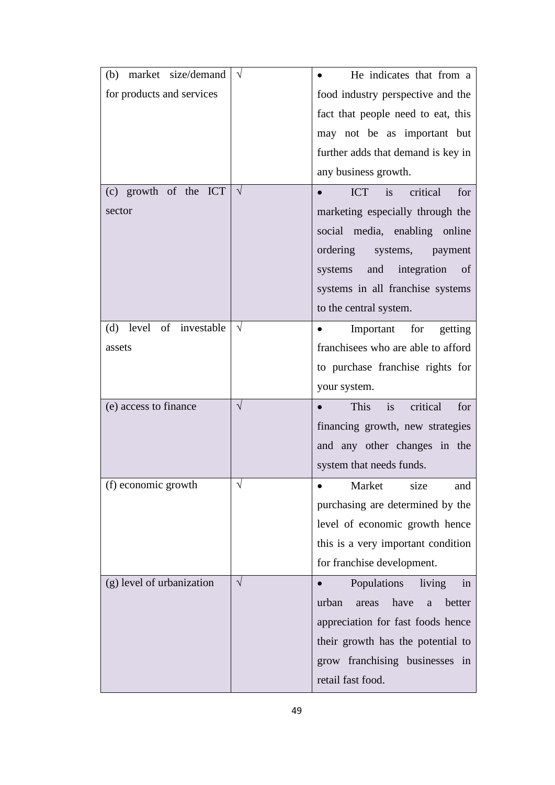| (b) market size/demand     | $\sqrt{ }$ | He indicates that from a              |
|----------------------------|------------|---------------------------------------|
| for products and services  |            | food industry perspective and the     |
|                            |            | fact that people need to eat, this    |
|                            |            | may not be as important but           |
|                            |            | further adds that demand is key in    |
|                            |            | any business growth.                  |
| (c) growth of the ICT      | $\sqrt{ }$ | critical<br><b>ICT</b><br>is<br>for   |
| sector                     |            | marketing especially through the      |
|                            |            | social media, enabling online         |
|                            |            | ordering<br>systems,<br>payment       |
|                            |            | and integration<br>systems<br>of      |
|                            |            | systems in all franchise systems      |
|                            |            | to the central system.                |
| level of investable<br>(d) | $\sqrt{}$  | Important for getting                 |
| assets                     |            | franchisees who are able to afford    |
|                            |            | to purchase franchise rights for      |
|                            |            | your system.                          |
| (e) access to finance      | $\sqrt{}$  | critical<br>This<br>is<br>for         |
|                            |            | financing growth, new strategies      |
|                            |            | and any other changes in the          |
|                            |            | system that needs funds.              |
| (f) economic growth        |            | size<br>Market<br>and                 |
|                            |            | purchasing are determined by the      |
|                            |            | level of economic growth hence        |
|                            |            | this is a very important condition    |
|                            |            | for franchise development.            |
| (g) level of urbanization  | $\sqrt{ }$ | Populations<br>living<br>in           |
|                            |            | have<br>urban<br>better<br>areas<br>a |
|                            |            | appreciation for fast foods hence     |
|                            |            | their growth has the potential to     |
|                            |            | grow franchising businesses in        |
|                            |            | retail fast food.                     |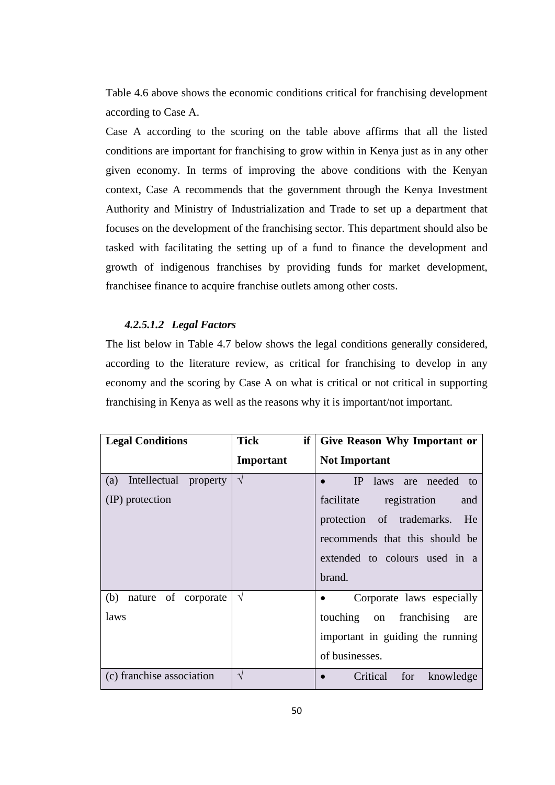Table 4.6 above shows the economic conditions critical for franchising development according to Case A.

Case A according to the scoring on the table above affirms that all the listed conditions are important for franchising to grow within in Kenya just as in any other given economy. In terms of improving the above conditions with the Kenyan context, Case A recommends that the government through the Kenya Investment Authority and Ministry of Industrialization and Trade to set up a department that focuses on the development of the franchising sector. This department should also be tasked with facilitating the setting up of a fund to finance the development and growth of indigenous franchises by providing funds for market development, franchisee finance to acquire franchise outlets among other costs.

# *4.2.5.1.2 Legal Factors*

The list below in Table 4.7 below shows the legal conditions generally considered, according to the literature review, as critical for franchising to develop in any economy and the scoring by Case A on what is critical or not critical in supporting franchising in Kenya as well as the reasons why it is important/not important.

| <b>Legal Conditions</b>      | <b>Tick</b><br>if | Give Reason Why Important or      |
|------------------------------|-------------------|-----------------------------------|
|                              | Important         | <b>Not Important</b>              |
| Intellectual property<br>(a) | $\sqrt{ }$        | IP<br>laws are needed to          |
| (IP) protection              |                   | facilitate<br>registration<br>and |
|                              |                   | protection of trademarks. He      |
|                              |                   | recommends that this should be    |
|                              |                   | extended to colours used in a     |
|                              |                   | brand.                            |
| (b)<br>nature of corporate   | $\sqrt{}$         | Corporate laws especially         |
| laws                         |                   | touching on franchising<br>are    |
|                              |                   | important in guiding the running  |
|                              |                   | of businesses.                    |
| (c) franchise association    | $\sqrt{ }$        | Critical<br>for<br>knowledge      |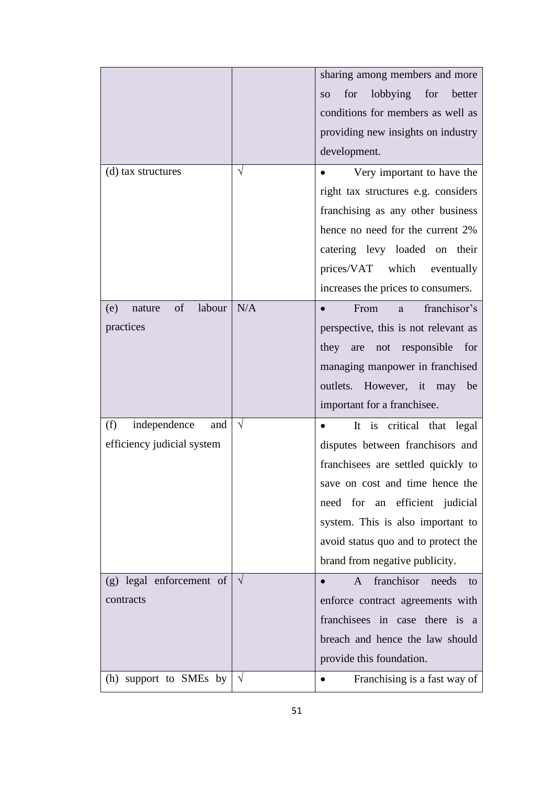|                               |            | sharing among members and more                         |
|-------------------------------|------------|--------------------------------------------------------|
|                               |            | lobbying<br>for<br>for<br>better<br><b>SO</b>          |
|                               |            | conditions for members as well as                      |
|                               |            | providing new insights on industry                     |
|                               |            | development.                                           |
| (d) tax structures            | $\sqrt{}$  | Very important to have the                             |
|                               |            | right tax structures e.g. considers                    |
|                               |            | franchising as any other business                      |
|                               |            | hence no need for the current 2%                       |
|                               |            | catering levy loaded on their                          |
|                               |            | which eventually<br>prices/VAT                         |
|                               |            | increases the prices to consumers.                     |
| of<br>labour<br>(e)<br>nature | N/A        | franchisor's<br>From<br>a                              |
| practices                     |            | perspective, this is not relevant as                   |
|                               |            | responsible<br>for<br>they<br>not<br>are               |
|                               |            | managing manpower in franchised                        |
|                               |            | However, it may<br>outlets.<br>be                      |
|                               |            | important for a franchisee.                            |
| independence<br>(f)<br>and    | $\sqrt{}$  | is critical that legal<br>It<br>$\bullet$              |
| efficiency judicial system    |            | disputes between franchisors and                       |
|                               |            | franchisees are settled quickly to                     |
|                               |            | save on cost and time hence the                        |
|                               |            | need for an efficient judicial                         |
|                               |            | system. This is also important to                      |
|                               |            | avoid status quo and to protect the                    |
|                               |            | brand from negative publicity.                         |
| (g) legal enforcement of      | $\sqrt{ }$ | franchisor<br>needs<br>$\mathsf{A}$<br>$\bullet$<br>to |
| contracts                     |            | enforce contract agreements with                       |
|                               |            | franchisees in case there is<br><sub>a</sub>           |
|                               |            | breach and hence the law should                        |
|                               |            | provide this foundation.                               |
| (h) support to SMEs by        | $\sqrt{ }$ | Franchising is a fast way of<br>$\bullet$              |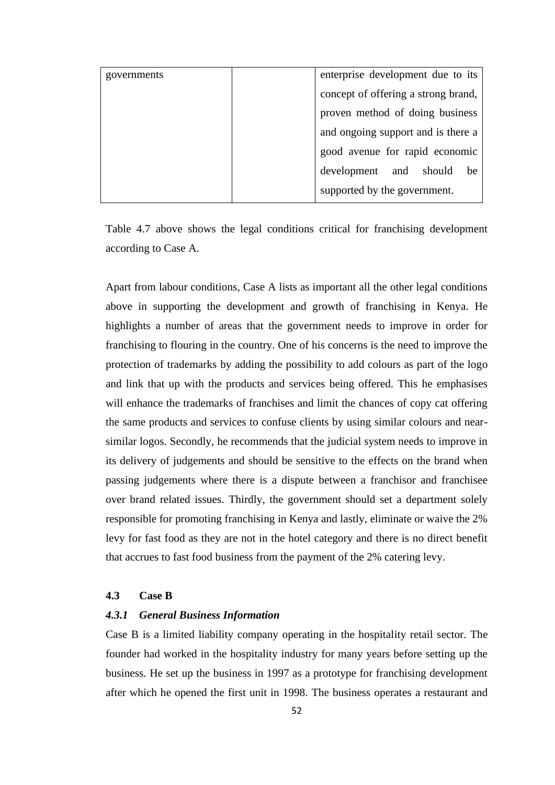| governments | enterprise development due to its   |
|-------------|-------------------------------------|
|             | concept of offering a strong brand, |
|             | proven method of doing business     |
|             | and ongoing support and is there a  |
|             | good avenue for rapid economic      |
|             | development and<br>should be        |
|             | supported by the government.        |

Table 4.7 above shows the legal conditions critical for franchising development according to Case A.

Apart from labour conditions, Case A lists as important all the other legal conditions above in supporting the development and growth of franchising in Kenya. He highlights a number of areas that the government needs to improve in order for franchising to flouring in the country. One of his concerns is the need to improve the protection of trademarks by adding the possibility to add colours as part of the logo and link that up with the products and services being offered. This he emphasises will enhance the trademarks of franchises and limit the chances of copy cat offering the same products and services to confuse clients by using similar colours and nearsimilar logos. Secondly, he recommends that the judicial system needs to improve in its delivery of judgements and should be sensitive to the effects on the brand when passing judgements where there is a dispute between a franchisor and franchisee over brand related issues. Thirdly, the government should set a department solely responsible for promoting franchising in Kenya and lastly, eliminate or waive the 2% levy for fast food as they are not in the hotel category and there is no direct benefit that accrues to fast food business from the payment of the 2% catering levy.

# **4.3 Case B**

#### *4.3.1 General Business Information*

Case B is a limited liability company operating in the hospitality retail sector. The founder had worked in the hospitality industry for many years before setting up the business. He set up the business in 1997 as a prototype for franchising development after which he opened the first unit in 1998. The business operates a restaurant and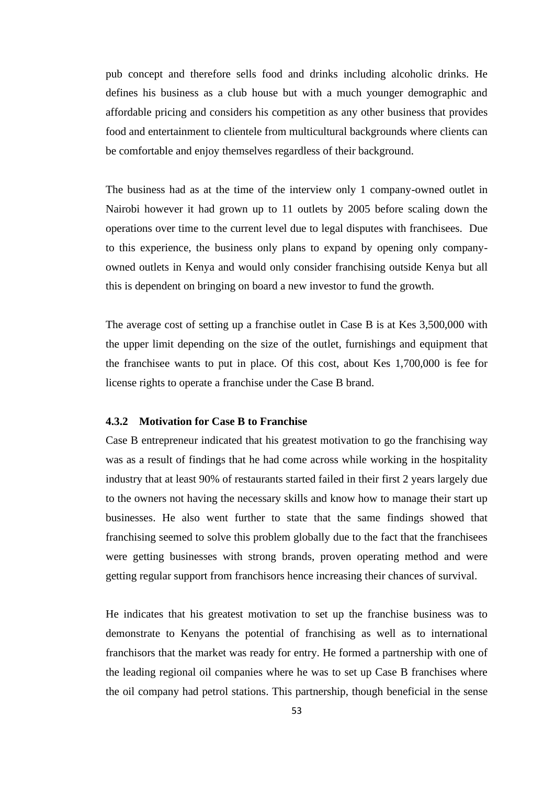pub concept and therefore sells food and drinks including alcoholic drinks. He defines his business as a club house but with a much younger demographic and affordable pricing and considers his competition as any other business that provides food and entertainment to clientele from multicultural backgrounds where clients can be comfortable and enjoy themselves regardless of their background.

The business had as at the time of the interview only 1 company-owned outlet in Nairobi however it had grown up to 11 outlets by 2005 before scaling down the operations over time to the current level due to legal disputes with franchisees. Due to this experience, the business only plans to expand by opening only companyowned outlets in Kenya and would only consider franchising outside Kenya but all this is dependent on bringing on board a new investor to fund the growth.

The average cost of setting up a franchise outlet in Case B is at Kes 3,500,000 with the upper limit depending on the size of the outlet, furnishings and equipment that the franchisee wants to put in place. Of this cost, about Kes 1,700,000 is fee for license rights to operate a franchise under the Case B brand.

### **4.3.2 Motivation for Case B to Franchise**

Case B entrepreneur indicated that his greatest motivation to go the franchising way was as a result of findings that he had come across while working in the hospitality industry that at least 90% of restaurants started failed in their first 2 years largely due to the owners not having the necessary skills and know how to manage their start up businesses. He also went further to state that the same findings showed that franchising seemed to solve this problem globally due to the fact that the franchisees were getting businesses with strong brands, proven operating method and were getting regular support from franchisors hence increasing their chances of survival.

He indicates that his greatest motivation to set up the franchise business was to demonstrate to Kenyans the potential of franchising as well as to international franchisors that the market was ready for entry. He formed a partnership with one of the leading regional oil companies where he was to set up Case B franchises where the oil company had petrol stations. This partnership, though beneficial in the sense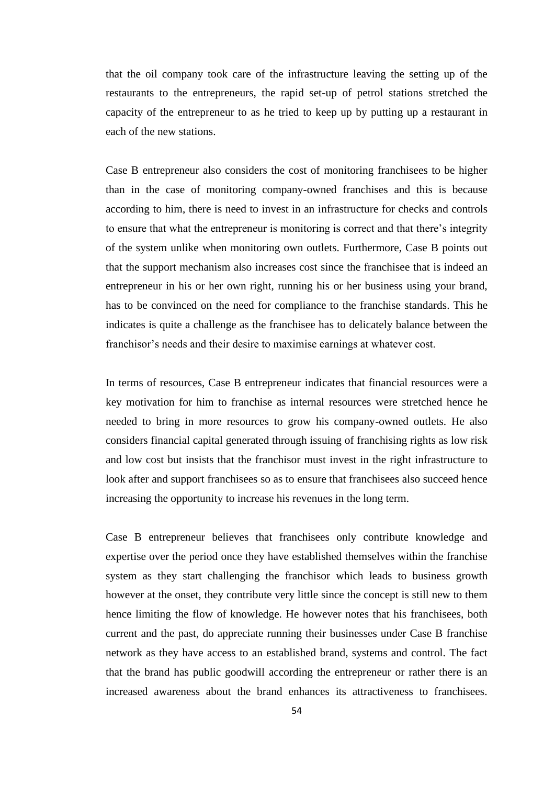that the oil company took care of the infrastructure leaving the setting up of the restaurants to the entrepreneurs, the rapid set-up of petrol stations stretched the capacity of the entrepreneur to as he tried to keep up by putting up a restaurant in each of the new stations.

Case B entrepreneur also considers the cost of monitoring franchisees to be higher than in the case of monitoring company-owned franchises and this is because according to him, there is need to invest in an infrastructure for checks and controls to ensure that what the entrepreneur is monitoring is correct and that there's integrity of the system unlike when monitoring own outlets. Furthermore, Case B points out that the support mechanism also increases cost since the franchisee that is indeed an entrepreneur in his or her own right, running his or her business using your brand, has to be convinced on the need for compliance to the franchise standards. This he indicates is quite a challenge as the franchisee has to delicately balance between the franchisor's needs and their desire to maximise earnings at whatever cost.

In terms of resources, Case B entrepreneur indicates that financial resources were a key motivation for him to franchise as internal resources were stretched hence he needed to bring in more resources to grow his company-owned outlets. He also considers financial capital generated through issuing of franchising rights as low risk and low cost but insists that the franchisor must invest in the right infrastructure to look after and support franchisees so as to ensure that franchisees also succeed hence increasing the opportunity to increase his revenues in the long term.

Case B entrepreneur believes that franchisees only contribute knowledge and expertise over the period once they have established themselves within the franchise system as they start challenging the franchisor which leads to business growth however at the onset, they contribute very little since the concept is still new to them hence limiting the flow of knowledge. He however notes that his franchisees, both current and the past, do appreciate running their businesses under Case B franchise network as they have access to an established brand, systems and control. The fact that the brand has public goodwill according the entrepreneur or rather there is an increased awareness about the brand enhances its attractiveness to franchisees.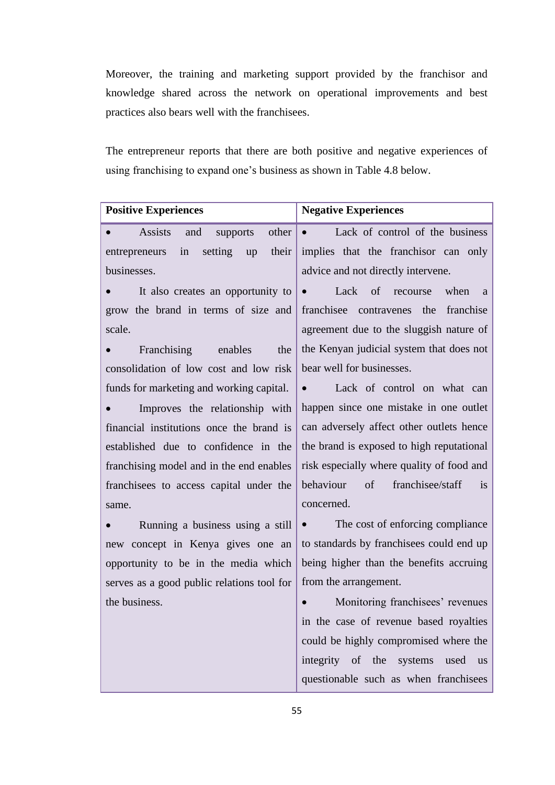Moreover, the training and marketing support provided by the franchisor and knowledge shared across the network on operational improvements and best practices also bears well with the franchisees.

The entrepreneur reports that there are both positive and negative experiences of using franchising to expand one's business as shown in Table 4.8 below.

| <b>Positive Experiences</b>                             | <b>Negative Experiences</b>                                          |
|---------------------------------------------------------|----------------------------------------------------------------------|
| <b>Assists</b><br>other<br>and<br>supports<br>$\bullet$ | • Lack of control of the business                                    |
| their<br>in<br>setting<br>entrepreneurs<br>up           | implies that the franchisor can only                                 |
| businesses.                                             | advice and not directly intervene.                                   |
| It also creates an opportunity to                       | Lack of recourse<br>when<br>$\bullet$<br><sub>a</sub>                |
| grow the brand in terms of size and                     | franchisee contravenes the franchise                                 |
| scale.                                                  | agreement due to the sluggish nature of                              |
| Franchising enables<br>the                              | the Kenyan judicial system that does not                             |
| consolidation of low cost and low risk                  | bear well for businesses.                                            |
| funds for marketing and working capital.                | Lack of control on what can<br>$\bullet$                             |
| Improves the relationship with                          | happen since one mistake in one outlet                               |
| financial institutions once the brand is                | can adversely affect other outlets hence                             |
| established due to confidence in the                    | the brand is exposed to high reputational                            |
| franchising model and in the end enables                | risk especially where quality of food and                            |
| franchisees to access capital under the                 | behaviour of<br>franchisee/staff<br><i>is</i>                        |
| same.                                                   | concerned.                                                           |
| Running a business using a still<br>$\bullet$           | The cost of enforcing compliance<br>$\bullet$ . The set of $\bullet$ |
| new concept in Kenya gives one an                       | to standards by franchisees could end up                             |
| opportunity to be in the media which                    | being higher than the benefits accruing                              |
| serves as a good public relations tool for              | from the arrangement.                                                |
| the business.                                           | Monitoring franchisees' revenues<br>$\bullet$                        |
|                                                         | in the case of revenue based royalties                               |
|                                                         | could be highly compromised where the                                |
|                                                         | integrity of the systems<br>used<br><b>us</b>                        |
|                                                         | questionable such as when franchisees                                |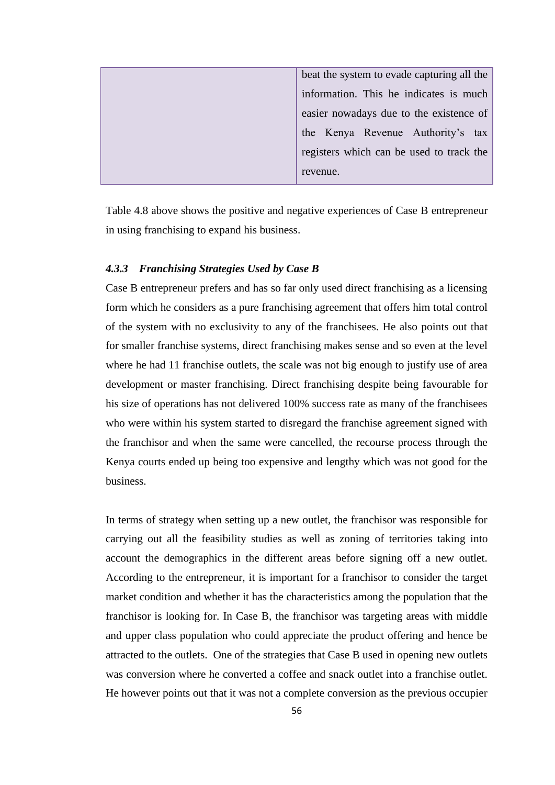| beat the system to evade capturing all the |
|--------------------------------------------|
| information. This he indicates is much     |
| easier nowadays due to the existence of    |
| the Kenya Revenue Authority's tax          |
| registers which can be used to track the   |
| revenue.                                   |

Table 4.8 above shows the positive and negative experiences of Case B entrepreneur in using franchising to expand his business.

### *4.3.3 Franchising Strategies Used by Case B*

Case B entrepreneur prefers and has so far only used direct franchising as a licensing form which he considers as a pure franchising agreement that offers him total control of the system with no exclusivity to any of the franchisees. He also points out that for smaller franchise systems, direct franchising makes sense and so even at the level where he had 11 franchise outlets, the scale was not big enough to justify use of area development or master franchising. Direct franchising despite being favourable for his size of operations has not delivered 100% success rate as many of the franchisees who were within his system started to disregard the franchise agreement signed with the franchisor and when the same were cancelled, the recourse process through the Kenya courts ended up being too expensive and lengthy which was not good for the business.

In terms of strategy when setting up a new outlet, the franchisor was responsible for carrying out all the feasibility studies as well as zoning of territories taking into account the demographics in the different areas before signing off a new outlet. According to the entrepreneur, it is important for a franchisor to consider the target market condition and whether it has the characteristics among the population that the franchisor is looking for. In Case B, the franchisor was targeting areas with middle and upper class population who could appreciate the product offering and hence be attracted to the outlets. One of the strategies that Case B used in opening new outlets was conversion where he converted a coffee and snack outlet into a franchise outlet. He however points out that it was not a complete conversion as the previous occupier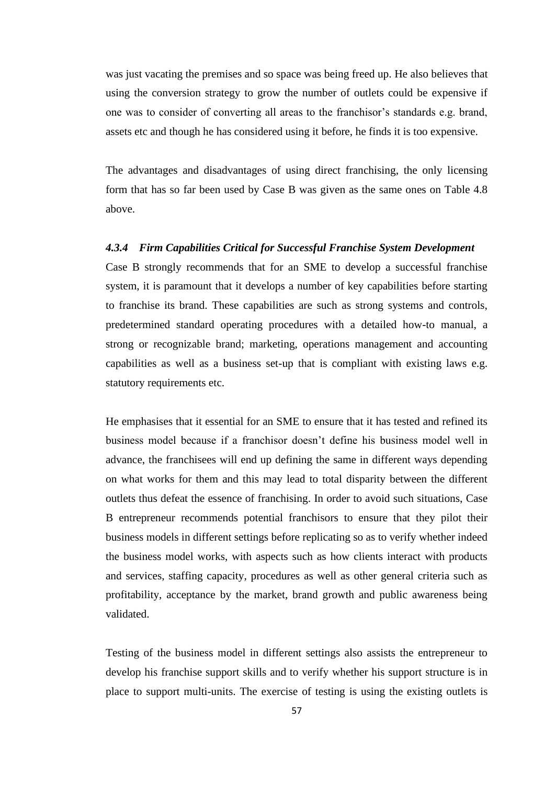was just vacating the premises and so space was being freed up. He also believes that using the conversion strategy to grow the number of outlets could be expensive if one was to consider of converting all areas to the franchisor's standards e.g. brand, assets etc and though he has considered using it before, he finds it is too expensive.

The advantages and disadvantages of using direct franchising, the only licensing form that has so far been used by Case B was given as the same ones on Table 4.8 above.

## *4.3.4 Firm Capabilities Critical for Successful Franchise System Development*

Case B strongly recommends that for an SME to develop a successful franchise system, it is paramount that it develops a number of key capabilities before starting to franchise its brand. These capabilities are such as strong systems and controls, predetermined standard operating procedures with a detailed how-to manual, a strong or recognizable brand; marketing, operations management and accounting capabilities as well as a business set-up that is compliant with existing laws e.g. statutory requirements etc.

He emphasises that it essential for an SME to ensure that it has tested and refined its business model because if a franchisor doesn't define his business model well in advance, the franchisees will end up defining the same in different ways depending on what works for them and this may lead to total disparity between the different outlets thus defeat the essence of franchising. In order to avoid such situations, Case B entrepreneur recommends potential franchisors to ensure that they pilot their business models in different settings before replicating so as to verify whether indeed the business model works, with aspects such as how clients interact with products and services, staffing capacity, procedures as well as other general criteria such as profitability, acceptance by the market, brand growth and public awareness being validated.

Testing of the business model in different settings also assists the entrepreneur to develop his franchise support skills and to verify whether his support structure is in place to support multi-units. The exercise of testing is using the existing outlets is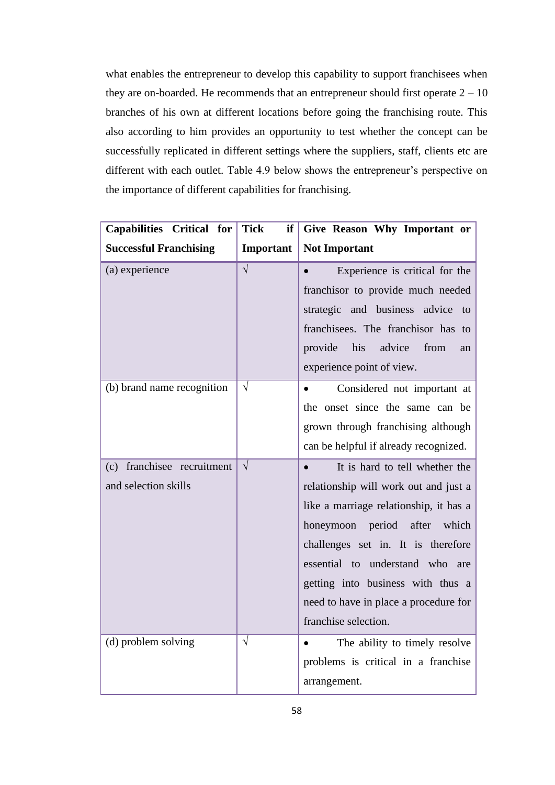what enables the entrepreneur to develop this capability to support franchisees when they are on-boarded. He recommends that an entrepreneur should first operate  $2 - 10$ branches of his own at different locations before going the franchising route. This also according to him provides an opportunity to test whether the concept can be successfully replicated in different settings where the suppliers, staff, clients etc are different with each outlet. Table 4.9 below shows the entrepreneur's perspective on the importance of different capabilities for franchising.

| Capabilities Critical for                             | <b>Tick</b><br>if | Give Reason Why Important or                                                                                                                                                                                                                                                                                                           |
|-------------------------------------------------------|-------------------|----------------------------------------------------------------------------------------------------------------------------------------------------------------------------------------------------------------------------------------------------------------------------------------------------------------------------------------|
| <b>Successful Franchising</b>                         | Important         | <b>Not Important</b>                                                                                                                                                                                                                                                                                                                   |
| (a) experience                                        | $\sqrt{}$         | Experience is critical for the<br>franchisor to provide much needed<br>strategic and business advice to<br>franchisees. The franchisor has to<br>advice<br>provide<br>his<br>from<br>an<br>experience point of view.                                                                                                                   |
| (b) brand name recognition                            | $\sqrt{}$         | Considered not important at<br>$\bullet$<br>the onset since the same can be<br>grown through franchising although<br>can be helpful if already recognized.                                                                                                                                                                             |
| franchisee recruitment<br>(c)<br>and selection skills | $\sqrt{}$         | It is hard to tell whether the<br>relationship will work out and just a<br>like a marriage relationship, it has a<br>honeymoon period<br>after<br>which<br>challenges set in. It is therefore<br>essential to understand who are<br>getting into business with thus a<br>need to have in place a procedure for<br>franchise selection. |
| (d) problem solving                                   | $\sqrt{}$         | The ability to timely resolve<br>$\bullet$<br>problems is critical in a franchise<br>arrangement.                                                                                                                                                                                                                                      |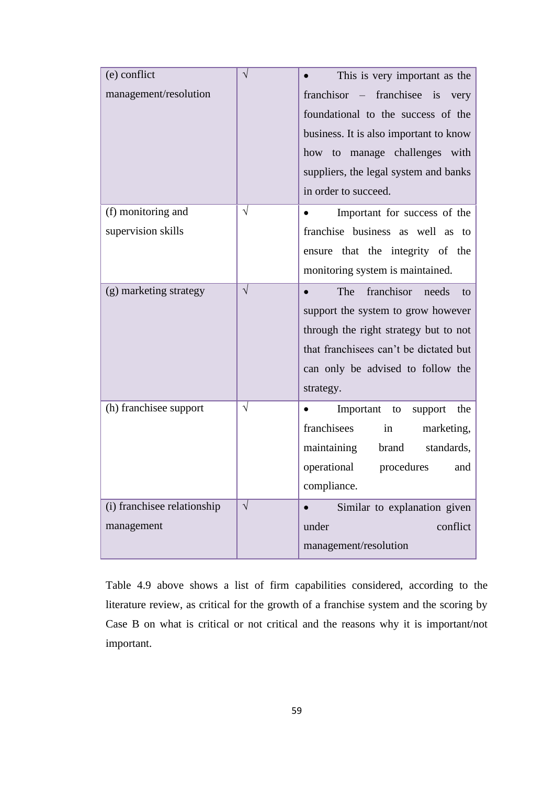| (e) conflict                |           | This is very important as the                 |
|-----------------------------|-----------|-----------------------------------------------|
| management/resolution       |           | franchisor – franchisee is<br>very            |
|                             |           | foundational to the success of the            |
|                             |           | business. It is also important to know        |
|                             |           | how to manage challenges with                 |
|                             |           | suppliers, the legal system and banks         |
|                             |           | in order to succeed.                          |
| (f) monitoring and          | $\sqrt{}$ | Important for success of the                  |
| supervision skills          |           | franchise business as well as<br>to           |
|                             |           | ensure that the integrity of the              |
|                             |           | monitoring system is maintained.              |
| (g) marketing strategy      | $\sqrt{}$ | franchisor<br>The<br>needs<br>to<br>$\bullet$ |
|                             |           | support the system to grow however            |
|                             |           | through the right strategy but to not         |
|                             |           | that franchisees can't be dictated but        |
|                             |           | can only be advised to follow the             |
|                             |           | strategy.                                     |
| (h) franchisee support      | $\sqrt{}$ | Important<br>the<br>support<br>to             |
|                             |           | franchisees<br>in<br>marketing,               |
|                             |           | maintaining<br>brand<br>standards,            |
|                             |           | operational<br>procedures<br>and              |
|                             |           | compliance.                                   |
| (i) franchisee relationship | $\sqrt{}$ | Similar to explanation given                  |
| management                  |           | under<br>conflict                             |
|                             |           | management/resolution                         |

Table 4.9 above shows a list of firm capabilities considered, according to the literature review, as critical for the growth of a franchise system and the scoring by Case B on what is critical or not critical and the reasons why it is important/not important.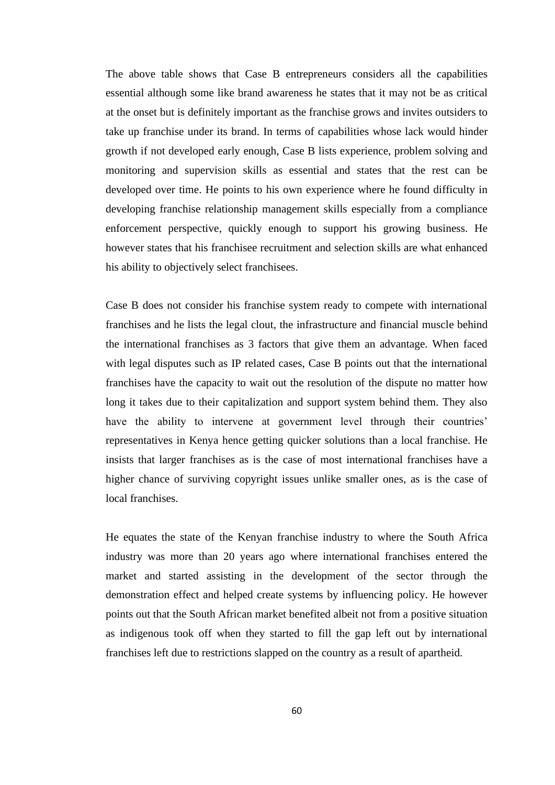The above table shows that Case B entrepreneurs considers all the capabilities essential although some like brand awareness he states that it may not be as critical at the onset but is definitely important as the franchise grows and invites outsiders to take up franchise under its brand. In terms of capabilities whose lack would hinder growth if not developed early enough, Case B lists experience, problem solving and monitoring and supervision skills as essential and states that the rest can be developed over time. He points to his own experience where he found difficulty in developing franchise relationship management skills especially from a compliance enforcement perspective, quickly enough to support his growing business. He however states that his franchisee recruitment and selection skills are what enhanced his ability to objectively select franchisees.

Case B does not consider his franchise system ready to compete with international franchises and he lists the legal clout, the infrastructure and financial muscle behind the international franchises as 3 factors that give them an advantage. When faced with legal disputes such as IP related cases, Case B points out that the international franchises have the capacity to wait out the resolution of the dispute no matter how long it takes due to their capitalization and support system behind them. They also have the ability to intervene at government level through their countries' representatives in Kenya hence getting quicker solutions than a local franchise. He insists that larger franchises as is the case of most international franchises have a higher chance of surviving copyright issues unlike smaller ones, as is the case of local franchises.

He equates the state of the Kenyan franchise industry to where the South Africa industry was more than 20 years ago where international franchises entered the market and started assisting in the development of the sector through the demonstration effect and helped create systems by influencing policy. He however points out that the South African market benefited albeit not from a positive situation as indigenous took off when they started to fill the gap left out by international franchises left due to restrictions slapped on the country as a result of apartheid.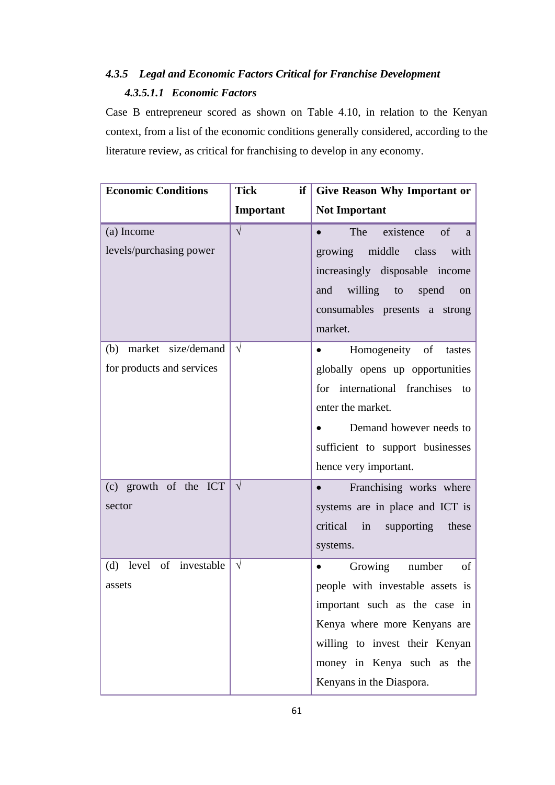# *4.3.5 Legal and Economic Factors Critical for Franchise Development 4.3.5.1.1 Economic Factors*

Case B entrepreneur scored as shown on Table 4.10, in relation to the Kenyan context, from a list of the economic conditions generally considered, according to the literature review, as critical for franchising to develop in any economy.

| <b>Economic Conditions</b> | Tick<br>if            | <b>Give Reason Why Important or</b>   |
|----------------------------|-----------------------|---------------------------------------|
|                            | Important             | <b>Not Important</b>                  |
| (a) Income                 | $\overline{\sqrt{ }}$ | The existence<br>of<br>$\bullet$<br>a |
| levels/purchasing power    |                       | growing middle class<br>with          |
|                            |                       | increasingly disposable income        |
|                            |                       | willing to<br>and<br>spend<br>on      |
|                            |                       | consumables presents a strong         |
|                            |                       | market.                               |
| (b) market size/demand     | $\sqrt{ }$            | Homogeneity of<br>tastes<br>$\bullet$ |
| for products and services  |                       | globally opens up opportunities       |
|                            |                       | for international franchises<br>to    |
|                            |                       | enter the market.                     |
|                            |                       | Demand however needs to<br>$\bullet$  |
|                            |                       | sufficient to support businesses      |
|                            |                       | hence very important.                 |
| (c) growth of the ICT      | $\sqrt{ }$            | Franchising works where<br>$\bullet$  |
| sector                     |                       | systems are in place and ICT is       |
|                            |                       | critical in<br>supporting these       |
|                            |                       | systems.                              |
| (d) level of investable    | $\sqrt{}$             | Growing<br>number<br>of<br>$\bullet$  |
| assets                     |                       | people with investable assets is      |
|                            |                       | important such as the case in         |
|                            |                       | Kenya where more Kenyans are          |
|                            |                       | willing to invest their Kenyan        |
|                            |                       | money in Kenya such as the            |
|                            |                       | Kenyans in the Diaspora.              |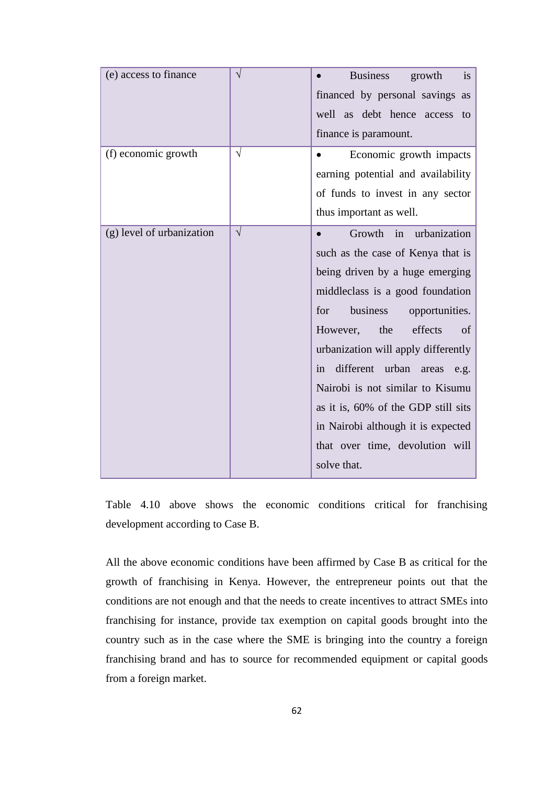| (e) access to finance     | $\sqrt{}$ | <b>Business</b><br>growth<br>is<br>financed by personal savings as<br>well as debt hence<br>access<br>to<br>finance is paramount.                                                                                                                                                                                                                                                                                                                                                  |
|---------------------------|-----------|------------------------------------------------------------------------------------------------------------------------------------------------------------------------------------------------------------------------------------------------------------------------------------------------------------------------------------------------------------------------------------------------------------------------------------------------------------------------------------|
| (f) economic growth       | $\sqrt{}$ | Economic growth impacts<br>$\bullet$<br>earning potential and availability<br>of funds to invest in any sector<br>thus important as well.                                                                                                                                                                                                                                                                                                                                          |
| (g) level of urbanization | $\sqrt{}$ | urbanization<br>Growth<br>in<br>$\bullet$<br>such as the case of Kenya that is<br>being driven by a huge emerging<br>middleclass is a good foundation<br>business<br>for<br>opportunities.<br>effects<br>However,<br>the<br>of<br>urbanization will apply differently<br>different urban<br>in<br>areas<br>e.g.<br>Nairobi is not similar to Kisumu<br>as it is, 60% of the GDP still sits<br>in Nairobi although it is expected<br>that over time, devolution will<br>solve that. |

Table 4.10 above shows the economic conditions critical for franchising development according to Case B.

All the above economic conditions have been affirmed by Case B as critical for the growth of franchising in Kenya. However, the entrepreneur points out that the conditions are not enough and that the needs to create incentives to attract SMEs into franchising for instance, provide tax exemption on capital goods brought into the country such as in the case where the SME is bringing into the country a foreign franchising brand and has to source for recommended equipment or capital goods from a foreign market.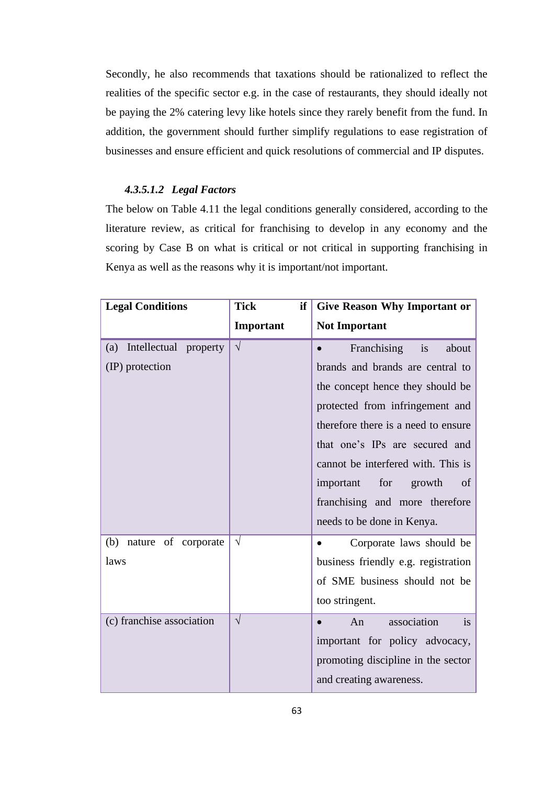Secondly, he also recommends that taxations should be rationalized to reflect the realities of the specific sector e.g. in the case of restaurants, they should ideally not be paying the 2% catering levy like hotels since they rarely benefit from the fund. In addition, the government should further simplify regulations to ease registration of businesses and ensure efficient and quick resolutions of commercial and IP disputes.

## *4.3.5.1.2 Legal Factors*

The below on Table 4.11 the legal conditions generally considered, according to the literature review, as critical for franchising to develop in any economy and the scoring by Case B on what is critical or not critical in supporting franchising in Kenya as well as the reasons why it is important/not important.

| <b>Legal Conditions</b>       | <b>Tick</b><br>if | <b>Give Reason Why Important or</b>   |
|-------------------------------|-------------------|---------------------------------------|
|                               | Important         | <b>Not Important</b>                  |
| Intellectual property<br>(a)  | $\sqrt{}$         | Franchising<br>about<br>is            |
| (IP) protection               |                   | brands and brands are central to      |
|                               |                   | the concept hence they should be      |
|                               |                   | protected from infringement and       |
|                               |                   | therefore there is a need to ensure   |
|                               |                   | that one's IPs are secured and        |
|                               |                   | cannot be interfered with. This is    |
|                               |                   | for<br>important<br>growth<br>of      |
|                               |                   | franchising and more therefore        |
|                               |                   | needs to be done in Kenya.            |
| (b)<br>of corporate<br>nature | $\sqrt{}$         | Corporate laws should be<br>$\bullet$ |
| laws                          |                   | business friendly e.g. registration   |
|                               |                   | of SME business should not be         |
|                               |                   | too stringent.                        |
| (c) franchise association     | $\sqrt{}$         | association<br>An<br>is               |
|                               |                   | important for policy advocacy,        |
|                               |                   | promoting discipline in the sector    |
|                               |                   | and creating awareness.               |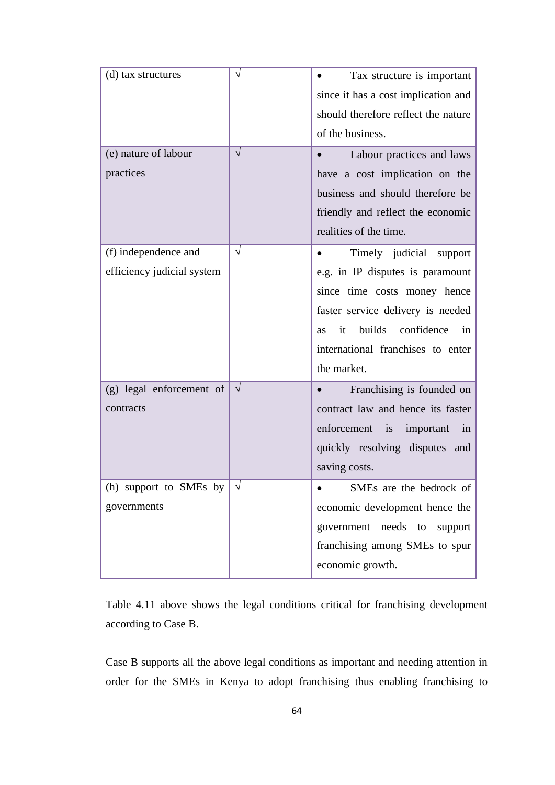| (d) tax structures             | $\sqrt{}$  | Tax structure is important                      |
|--------------------------------|------------|-------------------------------------------------|
|                                |            | since it has a cost implication and             |
|                                |            | should therefore reflect the nature             |
|                                |            | of the business.                                |
| (e) nature of labour           | $\sqrt{}$  | Labour practices and laws                       |
| practices                      |            | have a cost implication on the                  |
|                                |            | business and should therefore be                |
|                                |            | friendly and reflect the economic               |
|                                |            | realities of the time.                          |
| (f) independence and           | $\sqrt{}$  | Timely judicial support                         |
| efficiency judicial system     |            | e.g. in IP disputes is paramount                |
|                                |            | since time costs money hence                    |
|                                |            | faster service delivery is needed               |
|                                |            | builds<br>confidence<br>it<br>in<br><b>as</b>   |
|                                |            | international franchises to enter               |
|                                |            | the market.                                     |
| (g) legal enforcement of       | $\sqrt{}$  | Franchising is founded on                       |
| contracts                      |            | contract law and hence its faster               |
|                                |            | enforcement<br>$\frac{1}{1}$<br>important<br>in |
|                                |            | quickly resolving disputes and                  |
|                                |            | saving costs.                                   |
| (h) support to SMEs by $\vert$ | $\sqrt{ }$ | SMEs are the bedrock of                         |
| governments                    |            | economic development hence the                  |
|                                |            | government needs to<br>support                  |
|                                |            | franchising among SMEs to spur                  |
|                                |            | economic growth.                                |
|                                |            |                                                 |

Table 4.11 above shows the legal conditions critical for franchising development according to Case B.

Case B supports all the above legal conditions as important and needing attention in order for the SMEs in Kenya to adopt franchising thus enabling franchising to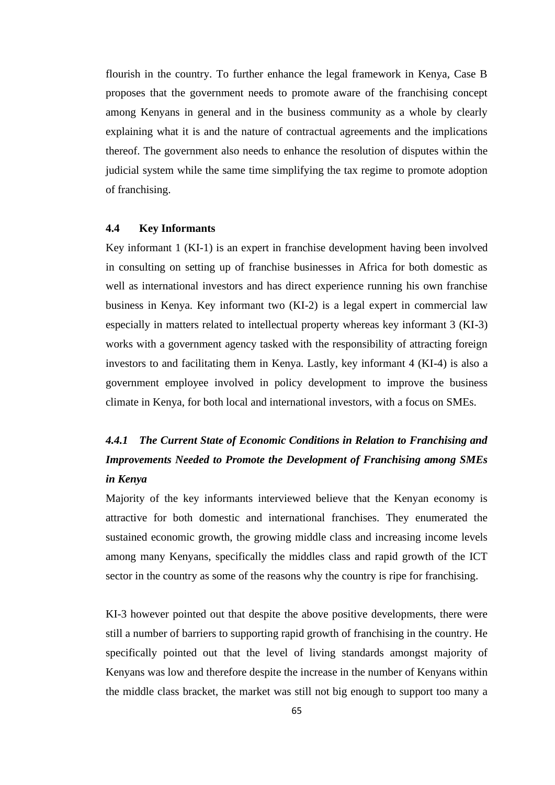flourish in the country. To further enhance the legal framework in Kenya, Case B proposes that the government needs to promote aware of the franchising concept among Kenyans in general and in the business community as a whole by clearly explaining what it is and the nature of contractual agreements and the implications thereof. The government also needs to enhance the resolution of disputes within the judicial system while the same time simplifying the tax regime to promote adoption of franchising.

### **4.4 Key Informants**

Key informant 1 (KI-1) is an expert in franchise development having been involved in consulting on setting up of franchise businesses in Africa for both domestic as well as international investors and has direct experience running his own franchise business in Kenya. Key informant two (KI-2) is a legal expert in commercial law especially in matters related to intellectual property whereas key informant 3 (KI-3) works with a government agency tasked with the responsibility of attracting foreign investors to and facilitating them in Kenya. Lastly, key informant 4 (KI-4) is also a government employee involved in policy development to improve the business climate in Kenya, for both local and international investors, with a focus on SMEs.

# *4.4.1 The Current State of Economic Conditions in Relation to Franchising and Improvements Needed to Promote the Development of Franchising among SMEs in Kenya*

Majority of the key informants interviewed believe that the Kenyan economy is attractive for both domestic and international franchises. They enumerated the sustained economic growth, the growing middle class and increasing income levels among many Kenyans, specifically the middles class and rapid growth of the ICT sector in the country as some of the reasons why the country is ripe for franchising.

KI-3 however pointed out that despite the above positive developments, there were still a number of barriers to supporting rapid growth of franchising in the country. He specifically pointed out that the level of living standards amongst majority of Kenyans was low and therefore despite the increase in the number of Kenyans within the middle class bracket, the market was still not big enough to support too many a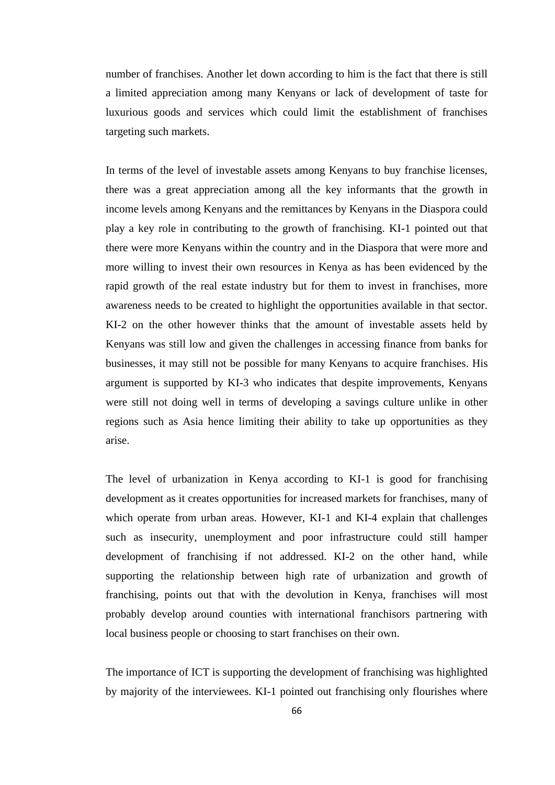number of franchises. Another let down according to him is the fact that there is still a limited appreciation among many Kenyans or lack of development of taste for luxurious goods and services which could limit the establishment of franchises targeting such markets.

In terms of the level of investable assets among Kenyans to buy franchise licenses, there was a great appreciation among all the key informants that the growth in income levels among Kenyans and the remittances by Kenyans in the Diaspora could play a key role in contributing to the growth of franchising. KI-1 pointed out that there were more Kenyans within the country and in the Diaspora that were more and more willing to invest their own resources in Kenya as has been evidenced by the rapid growth of the real estate industry but for them to invest in franchises, more awareness needs to be created to highlight the opportunities available in that sector. KI-2 on the other however thinks that the amount of investable assets held by Kenyans was still low and given the challenges in accessing finance from banks for businesses, it may still not be possible for many Kenyans to acquire franchises. His argument is supported by KI-3 who indicates that despite improvements, Kenyans were still not doing well in terms of developing a savings culture unlike in other regions such as Asia hence limiting their ability to take up opportunities as they arise.

The level of urbanization in Kenya according to KI-1 is good for franchising development as it creates opportunities for increased markets for franchises, many of which operate from urban areas. However, KI-1 and KI-4 explain that challenges such as insecurity, unemployment and poor infrastructure could still hamper development of franchising if not addressed. KI-2 on the other hand, while supporting the relationship between high rate of urbanization and growth of franchising, points out that with the devolution in Kenya, franchises will most probably develop around counties with international franchisors partnering with local business people or choosing to start franchises on their own.

The importance of ICT is supporting the development of franchising was highlighted by majority of the interviewees. KI-1 pointed out franchising only flourishes where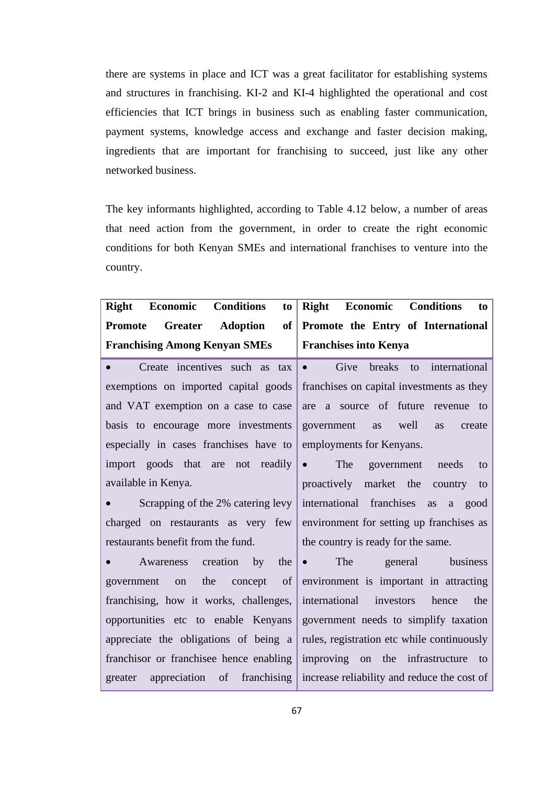there are systems in place and ICT was a great facilitator for establishing systems and structures in franchising. KI-2 and KI-4 highlighted the operational and cost efficiencies that ICT brings in business such as enabling faster communication, payment systems, knowledge access and exchange and faster decision making, ingredients that are important for franchising to succeed, just like any other networked business.

The key informants highlighted, according to Table 4.12 below, a number of areas that need action from the government, in order to create the right economic conditions for both Kenyan SMEs and international franchises to venture into the country.

| <b>Conditions</b><br><b>Right</b><br>Economic<br>to                    | Right Economic Conditions<br>to                                                         |
|------------------------------------------------------------------------|-----------------------------------------------------------------------------------------|
| Adoption<br><b>Greater</b><br>of<br><b>Promote</b>                     | Promote the Entry of International                                                      |
| <b>Franchising Among Kenyan SMEs</b>                                   | <b>Franchises into Kenya</b>                                                            |
| Create incentives such as tax<br>$\bullet$                             | Give breaks to international<br>$\bullet$ . The set of $\bullet$                        |
| exemptions on imported capital goods                                   | franchises on capital investments as they                                               |
| and VAT exemption on a case to case                                    | are a source of future revenue<br>to                                                    |
| basis to encourage more investments                                    | government<br>well<br>as<br>as<br>create                                                |
| especially in cases franchises have to                                 | employments for Kenyans.                                                                |
| import goods that are not readily                                      | The<br>$\bullet$<br>government<br>needs<br>to                                           |
| available in Kenya.                                                    | proactively market the<br>country<br>to                                                 |
| Scrapping of the 2% catering levy                                      | international franchises<br>good<br>as<br>a                                             |
| charged on restaurants as very few                                     | environment for setting up franchises as                                                |
| restaurants benefit from the fund.                                     | the country is ready for the same.                                                      |
| Awareness creation<br>$_{\rm by}$<br>the                               | The<br>general business<br>$\bullet$                                                    |
| the concept of<br>government<br>on                                     | environment is important in attracting                                                  |
| franchising, how it works, challenges,                                 | international investors hence<br>the                                                    |
| opportunities etc to enable Kenyans                                    | government needs to simplify taxation                                                   |
|                                                                        | appreciate the obligations of being $a \mid$ rules, registration etc while continuously |
| franchisor or franchise hence enabling improving on the infrastructure | to                                                                                      |
| appreciation of<br>greater                                             | franchising increase reliability and reduce the cost of                                 |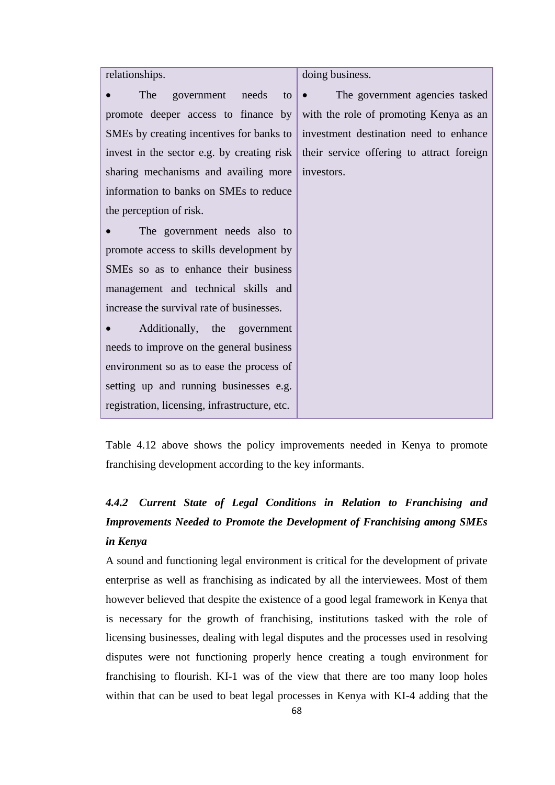| relationships.                                | doing business.                           |
|-----------------------------------------------|-------------------------------------------|
| The<br>government needs<br>to                 | The government agencies tasked            |
| promote deeper access to finance by           | with the role of promoting Kenya as an    |
| SMEs by creating incentives for banks to      | investment destination need to enhance    |
| invest in the sector e.g. by creating risk    | their service offering to attract foreign |
| sharing mechanisms and availing more          | investors.                                |
| information to banks on SMEs to reduce        |                                           |
| the perception of risk.                       |                                           |
| The government needs also to                  |                                           |
| promote access to skills development by       |                                           |
| SMEs so as to enhance their business          |                                           |
| management and technical skills and           |                                           |
| increase the survival rate of businesses.     |                                           |
| Additionally, the government                  |                                           |
| needs to improve on the general business      |                                           |
| environment so as to ease the process of      |                                           |
| setting up and running businesses e.g.        |                                           |
| registration, licensing, infrastructure, etc. |                                           |

Table 4.12 above shows the policy improvements needed in Kenya to promote franchising development according to the key informants.

# *4.4.2 Current State of Legal Conditions in Relation to Franchising and Improvements Needed to Promote the Development of Franchising among SMEs in Kenya*

A sound and functioning legal environment is critical for the development of private enterprise as well as franchising as indicated by all the interviewees. Most of them however believed that despite the existence of a good legal framework in Kenya that is necessary for the growth of franchising, institutions tasked with the role of licensing businesses, dealing with legal disputes and the processes used in resolving disputes were not functioning properly hence creating a tough environment for franchising to flourish. KI-1 was of the view that there are too many loop holes within that can be used to beat legal processes in Kenya with KI-4 adding that the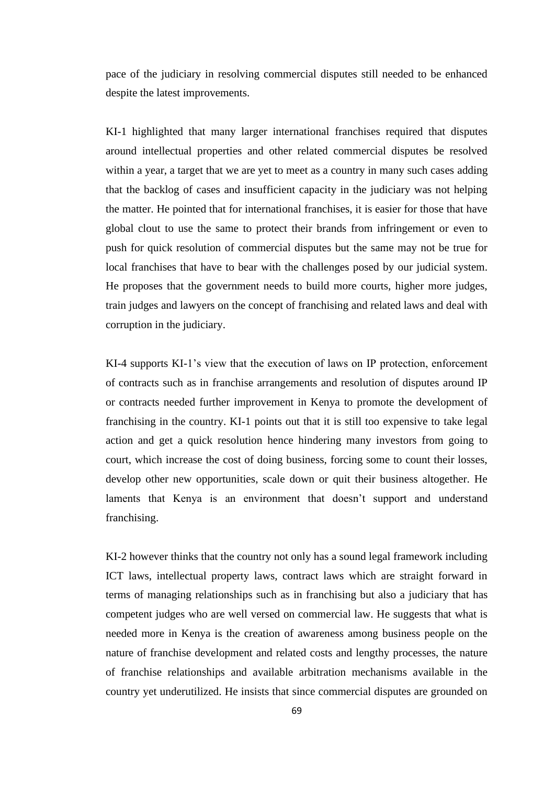pace of the judiciary in resolving commercial disputes still needed to be enhanced despite the latest improvements.

KI-1 highlighted that many larger international franchises required that disputes around intellectual properties and other related commercial disputes be resolved within a year, a target that we are yet to meet as a country in many such cases adding that the backlog of cases and insufficient capacity in the judiciary was not helping the matter. He pointed that for international franchises, it is easier for those that have global clout to use the same to protect their brands from infringement or even to push for quick resolution of commercial disputes but the same may not be true for local franchises that have to bear with the challenges posed by our judicial system. He proposes that the government needs to build more courts, higher more judges, train judges and lawyers on the concept of franchising and related laws and deal with corruption in the judiciary.

KI-4 supports KI-1's view that the execution of laws on IP protection, enforcement of contracts such as in franchise arrangements and resolution of disputes around IP or contracts needed further improvement in Kenya to promote the development of franchising in the country. KI-1 points out that it is still too expensive to take legal action and get a quick resolution hence hindering many investors from going to court, which increase the cost of doing business, forcing some to count their losses, develop other new opportunities, scale down or quit their business altogether. He laments that Kenya is an environment that doesn't support and understand franchising.

KI-2 however thinks that the country not only has a sound legal framework including ICT laws, intellectual property laws, contract laws which are straight forward in terms of managing relationships such as in franchising but also a judiciary that has competent judges who are well versed on commercial law. He suggests that what is needed more in Kenya is the creation of awareness among business people on the nature of franchise development and related costs and lengthy processes, the nature of franchise relationships and available arbitration mechanisms available in the country yet underutilized. He insists that since commercial disputes are grounded on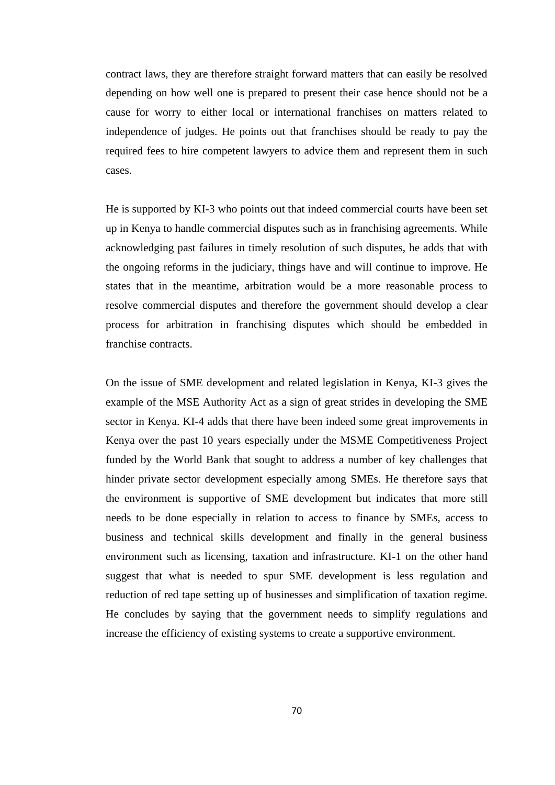contract laws, they are therefore straight forward matters that can easily be resolved depending on how well one is prepared to present their case hence should not be a cause for worry to either local or international franchises on matters related to independence of judges. He points out that franchises should be ready to pay the required fees to hire competent lawyers to advice them and represent them in such cases.

He is supported by KI-3 who points out that indeed commercial courts have been set up in Kenya to handle commercial disputes such as in franchising agreements. While acknowledging past failures in timely resolution of such disputes, he adds that with the ongoing reforms in the judiciary, things have and will continue to improve. He states that in the meantime, arbitration would be a more reasonable process to resolve commercial disputes and therefore the government should develop a clear process for arbitration in franchising disputes which should be embedded in franchise contracts.

On the issue of SME development and related legislation in Kenya, KI-3 gives the example of the MSE Authority Act as a sign of great strides in developing the SME sector in Kenya. KI-4 adds that there have been indeed some great improvements in Kenya over the past 10 years especially under the MSME Competitiveness Project funded by the World Bank that sought to address a number of key challenges that hinder private sector development especially among SMEs. He therefore says that the environment is supportive of SME development but indicates that more still needs to be done especially in relation to access to finance by SMEs, access to business and technical skills development and finally in the general business environment such as licensing, taxation and infrastructure. KI-1 on the other hand suggest that what is needed to spur SME development is less regulation and reduction of red tape setting up of businesses and simplification of taxation regime. He concludes by saying that the government needs to simplify regulations and increase the efficiency of existing systems to create a supportive environment.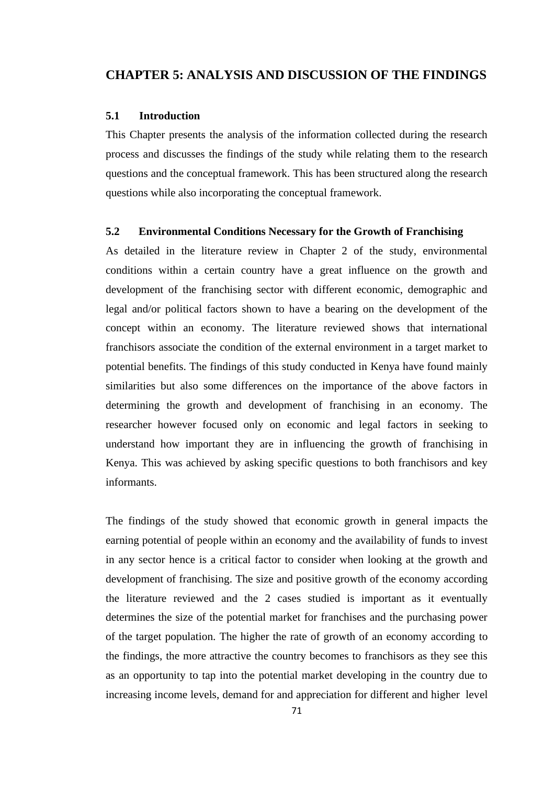## **CHAPTER 5: ANALYSIS AND DISCUSSION OF THE FINDINGS**

### **5.1 Introduction**

This Chapter presents the analysis of the information collected during the research process and discusses the findings of the study while relating them to the research questions and the conceptual framework. This has been structured along the research questions while also incorporating the conceptual framework.

### **5.2 Environmental Conditions Necessary for the Growth of Franchising**

As detailed in the literature review in Chapter 2 of the study, environmental conditions within a certain country have a great influence on the growth and development of the franchising sector with different economic, demographic and legal and/or political factors shown to have a bearing on the development of the concept within an economy. The literature reviewed shows that international franchisors associate the condition of the external environment in a target market to potential benefits. The findings of this study conducted in Kenya have found mainly similarities but also some differences on the importance of the above factors in determining the growth and development of franchising in an economy. The researcher however focused only on economic and legal factors in seeking to understand how important they are in influencing the growth of franchising in Kenya. This was achieved by asking specific questions to both franchisors and key informants.

The findings of the study showed that economic growth in general impacts the earning potential of people within an economy and the availability of funds to invest in any sector hence is a critical factor to consider when looking at the growth and development of franchising. The size and positive growth of the economy according the literature reviewed and the 2 cases studied is important as it eventually determines the size of the potential market for franchises and the purchasing power of the target population. The higher the rate of growth of an economy according to the findings, the more attractive the country becomes to franchisors as they see this as an opportunity to tap into the potential market developing in the country due to increasing income levels, demand for and appreciation for different and higher level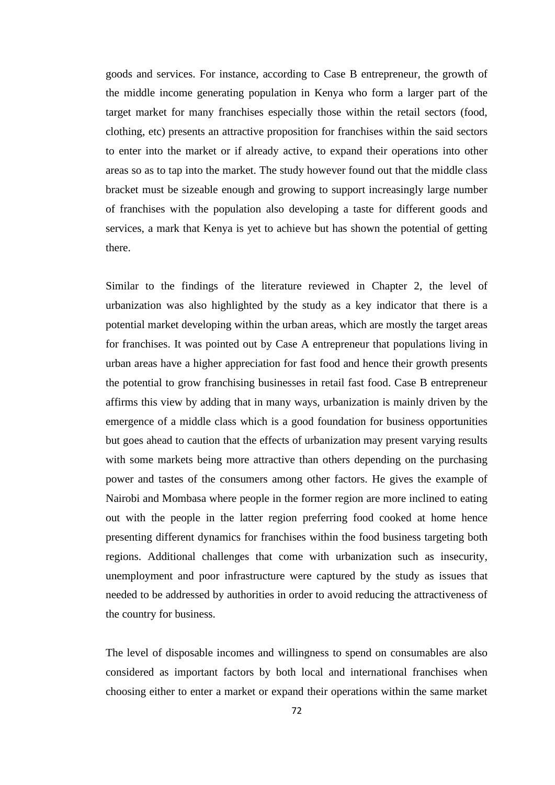goods and services. For instance, according to Case B entrepreneur, the growth of the middle income generating population in Kenya who form a larger part of the target market for many franchises especially those within the retail sectors (food, clothing, etc) presents an attractive proposition for franchises within the said sectors to enter into the market or if already active, to expand their operations into other areas so as to tap into the market. The study however found out that the middle class bracket must be sizeable enough and growing to support increasingly large number of franchises with the population also developing a taste for different goods and services, a mark that Kenya is yet to achieve but has shown the potential of getting there.

Similar to the findings of the literature reviewed in Chapter 2, the level of urbanization was also highlighted by the study as a key indicator that there is a potential market developing within the urban areas, which are mostly the target areas for franchises. It was pointed out by Case A entrepreneur that populations living in urban areas have a higher appreciation for fast food and hence their growth presents the potential to grow franchising businesses in retail fast food. Case B entrepreneur affirms this view by adding that in many ways, urbanization is mainly driven by the emergence of a middle class which is a good foundation for business opportunities but goes ahead to caution that the effects of urbanization may present varying results with some markets being more attractive than others depending on the purchasing power and tastes of the consumers among other factors. He gives the example of Nairobi and Mombasa where people in the former region are more inclined to eating out with the people in the latter region preferring food cooked at home hence presenting different dynamics for franchises within the food business targeting both regions. Additional challenges that come with urbanization such as insecurity, unemployment and poor infrastructure were captured by the study as issues that needed to be addressed by authorities in order to avoid reducing the attractiveness of the country for business.

The level of disposable incomes and willingness to spend on consumables are also considered as important factors by both local and international franchises when choosing either to enter a market or expand their operations within the same market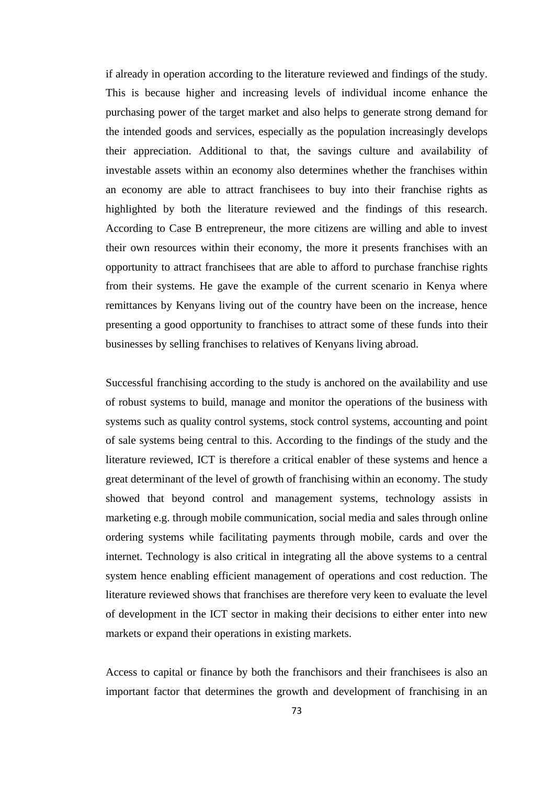if already in operation according to the literature reviewed and findings of the study. This is because higher and increasing levels of individual income enhance the purchasing power of the target market and also helps to generate strong demand for the intended goods and services, especially as the population increasingly develops their appreciation. Additional to that, the savings culture and availability of investable assets within an economy also determines whether the franchises within an economy are able to attract franchisees to buy into their franchise rights as highlighted by both the literature reviewed and the findings of this research. According to Case B entrepreneur, the more citizens are willing and able to invest their own resources within their economy, the more it presents franchises with an opportunity to attract franchisees that are able to afford to purchase franchise rights from their systems. He gave the example of the current scenario in Kenya where remittances by Kenyans living out of the country have been on the increase, hence presenting a good opportunity to franchises to attract some of these funds into their businesses by selling franchises to relatives of Kenyans living abroad.

Successful franchising according to the study is anchored on the availability and use of robust systems to build, manage and monitor the operations of the business with systems such as quality control systems, stock control systems, accounting and point of sale systems being central to this. According to the findings of the study and the literature reviewed, ICT is therefore a critical enabler of these systems and hence a great determinant of the level of growth of franchising within an economy. The study showed that beyond control and management systems, technology assists in marketing e.g. through mobile communication, social media and sales through online ordering systems while facilitating payments through mobile, cards and over the internet. Technology is also critical in integrating all the above systems to a central system hence enabling efficient management of operations and cost reduction. The literature reviewed shows that franchises are therefore very keen to evaluate the level of development in the ICT sector in making their decisions to either enter into new markets or expand their operations in existing markets.

Access to capital or finance by both the franchisors and their franchisees is also an important factor that determines the growth and development of franchising in an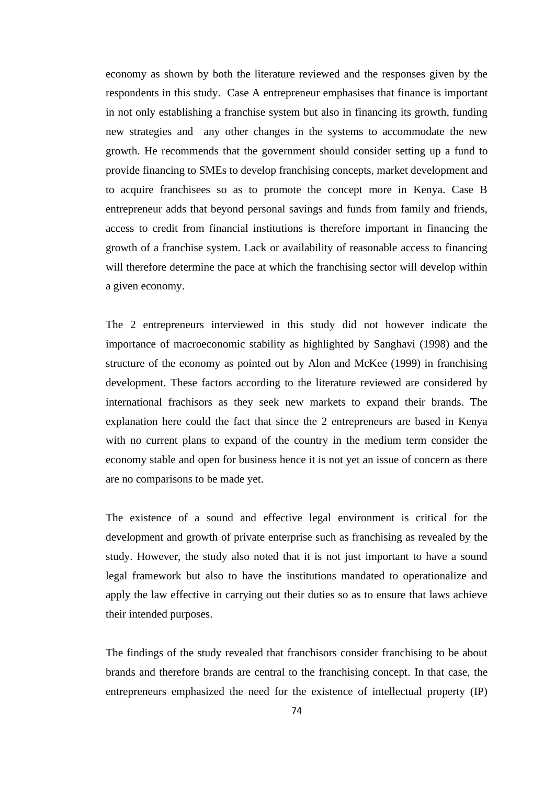economy as shown by both the literature reviewed and the responses given by the respondents in this study. Case A entrepreneur emphasises that finance is important in not only establishing a franchise system but also in financing its growth, funding new strategies and any other changes in the systems to accommodate the new growth. He recommends that the government should consider setting up a fund to provide financing to SMEs to develop franchising concepts, market development and to acquire franchisees so as to promote the concept more in Kenya. Case B entrepreneur adds that beyond personal savings and funds from family and friends, access to credit from financial institutions is therefore important in financing the growth of a franchise system. Lack or availability of reasonable access to financing will therefore determine the pace at which the franchising sector will develop within a given economy.

The 2 entrepreneurs interviewed in this study did not however indicate the importance of macroeconomic stability as highlighted by Sanghavi (1998) and the structure of the economy as pointed out by Alon and McKee (1999) in franchising development. These factors according to the literature reviewed are considered by international frachisors as they seek new markets to expand their brands. The explanation here could the fact that since the 2 entrepreneurs are based in Kenya with no current plans to expand of the country in the medium term consider the economy stable and open for business hence it is not yet an issue of concern as there are no comparisons to be made yet.

The existence of a sound and effective legal environment is critical for the development and growth of private enterprise such as franchising as revealed by the study. However, the study also noted that it is not just important to have a sound legal framework but also to have the institutions mandated to operationalize and apply the law effective in carrying out their duties so as to ensure that laws achieve their intended purposes.

The findings of the study revealed that franchisors consider franchising to be about brands and therefore brands are central to the franchising concept. In that case, the entrepreneurs emphasized the need for the existence of intellectual property (IP)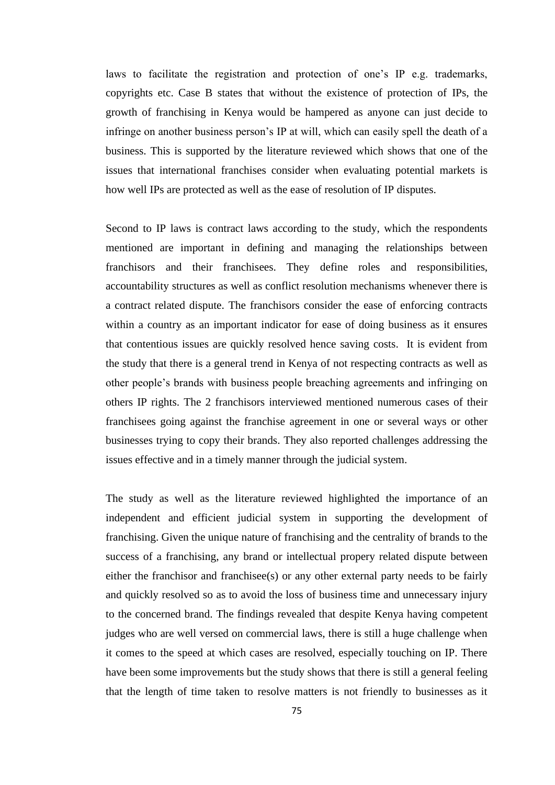laws to facilitate the registration and protection of one's IP e.g. trademarks, copyrights etc. Case B states that without the existence of protection of IPs, the growth of franchising in Kenya would be hampered as anyone can just decide to infringe on another business person's IP at will, which can easily spell the death of a business. This is supported by the literature reviewed which shows that one of the issues that international franchises consider when evaluating potential markets is how well IPs are protected as well as the ease of resolution of IP disputes.

Second to IP laws is contract laws according to the study, which the respondents mentioned are important in defining and managing the relationships between franchisors and their franchisees. They define roles and responsibilities, accountability structures as well as conflict resolution mechanisms whenever there is a contract related dispute. The franchisors consider the ease of enforcing contracts within a country as an important indicator for ease of doing business as it ensures that contentious issues are quickly resolved hence saving costs. It is evident from the study that there is a general trend in Kenya of not respecting contracts as well as other people's brands with business people breaching agreements and infringing on others IP rights. The 2 franchisors interviewed mentioned numerous cases of their franchisees going against the franchise agreement in one or several ways or other businesses trying to copy their brands. They also reported challenges addressing the issues effective and in a timely manner through the judicial system.

The study as well as the literature reviewed highlighted the importance of an independent and efficient judicial system in supporting the development of franchising. Given the unique nature of franchising and the centrality of brands to the success of a franchising, any brand or intellectual propery related dispute between either the franchisor and franchisee(s) or any other external party needs to be fairly and quickly resolved so as to avoid the loss of business time and unnecessary injury to the concerned brand. The findings revealed that despite Kenya having competent judges who are well versed on commercial laws, there is still a huge challenge when it comes to the speed at which cases are resolved, especially touching on IP. There have been some improvements but the study shows that there is still a general feeling that the length of time taken to resolve matters is not friendly to businesses as it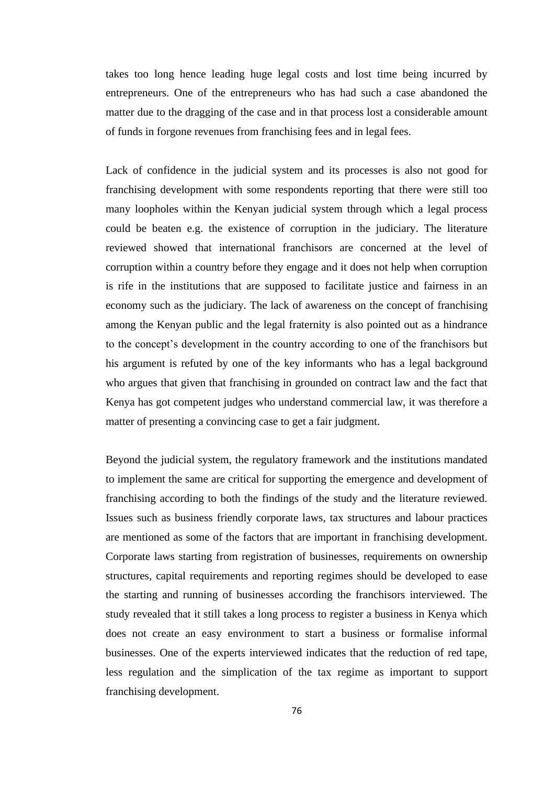takes too long hence leading huge legal costs and lost time being incurred by entrepreneurs. One of the entrepreneurs who has had such a case abandoned the matter due to the dragging of the case and in that process lost a considerable amount of funds in forgone revenues from franchising fees and in legal fees.

Lack of confidence in the judicial system and its processes is also not good for franchising development with some respondents reporting that there were still too many loopholes within the Kenyan judicial system through which a legal process could be beaten e.g. the existence of corruption in the judiciary. The literature reviewed showed that international franchisors are concerned at the level of corruption within a country before they engage and it does not help when corruption is rife in the institutions that are supposed to facilitate justice and fairness in an economy such as the judiciary. The lack of awareness on the concept of franchising among the Kenyan public and the legal fraternity is also pointed out as a hindrance to the concept's development in the country according to one of the franchisors but his argument is refuted by one of the key informants who has a legal background who argues that given that franchising in grounded on contract law and the fact that Kenya has got competent judges who understand commercial law, it was therefore a matter of presenting a convincing case to get a fair judgment.

Beyond the judicial system, the regulatory framework and the institutions mandated to implement the same are critical for supporting the emergence and development of franchising according to both the findings of the study and the literature reviewed. Issues such as business friendly corporate laws, tax structures and labour practices are mentioned as some of the factors that are important in franchising development. Corporate laws starting from registration of businesses, requirements on ownership structures, capital requirements and reporting regimes should be developed to ease the starting and running of businesses according the franchisors interviewed. The study revealed that it still takes a long process to register a business in Kenya which does not create an easy environment to start a business or formalise informal businesses. One of the experts interviewed indicates that the reduction of red tape, less regulation and the simplication of the tax regime as important to support franchising development.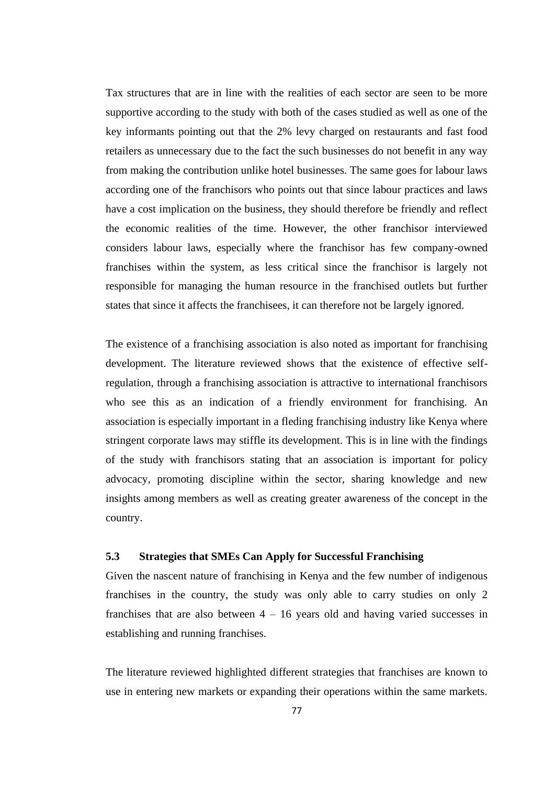Tax structures that are in line with the realities of each sector are seen to be more supportive according to the study with both of the cases studied as well as one of the key informants pointing out that the 2% levy charged on restaurants and fast food retailers as unnecessary due to the fact the such businesses do not benefit in any way from making the contribution unlike hotel businesses. The same goes for labour laws according one of the franchisors who points out that since labour practices and laws have a cost implication on the business, they should therefore be friendly and reflect the economic realities of the time. However, the other franchisor interviewed considers labour laws, especially where the franchisor has few company-owned franchises within the system, as less critical since the franchisor is largely not responsible for managing the human resource in the franchised outlets but further states that since it affects the franchisees, it can therefore not be largely ignored.

The existence of a franchising association is also noted as important for franchising development. The literature reviewed shows that the existence of effective selfregulation, through a franchising association is attractive to international franchisors who see this as an indication of a friendly environment for franchising. An association is especially important in a fleding franchising industry like Kenya where stringent corporate laws may stiffle its development. This is in line with the findings of the study with franchisors stating that an association is important for policy advocacy, promoting discipline within the sector, sharing knowledge and new insights among members as well as creating greater awareness of the concept in the country.

## **5.3 Strategies that SMEs Can Apply for Successful Franchising**

Given the nascent nature of franchising in Kenya and the few number of indigenous franchises in the country, the study was only able to carry studies on only 2 franchises that are also between  $4 - 16$  years old and having varied successes in establishing and running franchises.

The literature reviewed highlighted different strategies that franchises are known to use in entering new markets or expanding their operations within the same markets.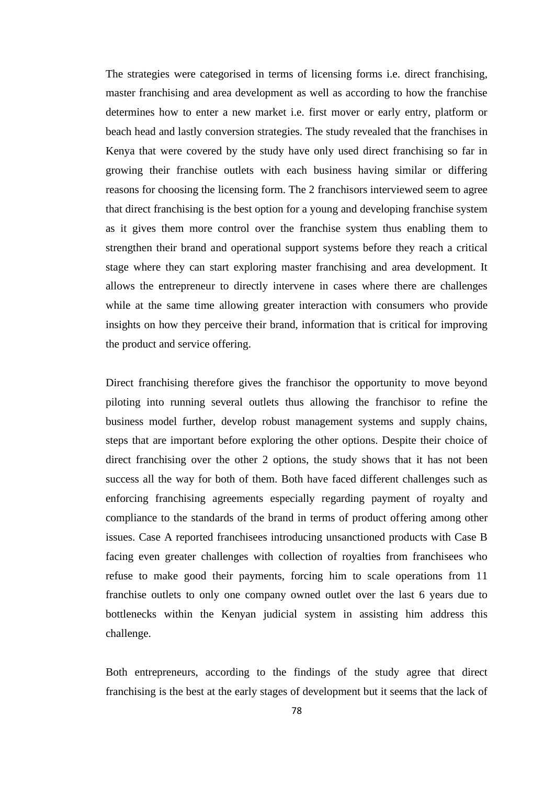The strategies were categorised in terms of licensing forms i.e. direct franchising, master franchising and area development as well as according to how the franchise determines how to enter a new market i.e. first mover or early entry, platform or beach head and lastly conversion strategies. The study revealed that the franchises in Kenya that were covered by the study have only used direct franchising so far in growing their franchise outlets with each business having similar or differing reasons for choosing the licensing form. The 2 franchisors interviewed seem to agree that direct franchising is the best option for a young and developing franchise system as it gives them more control over the franchise system thus enabling them to strengthen their brand and operational support systems before they reach a critical stage where they can start exploring master franchising and area development. It allows the entrepreneur to directly intervene in cases where there are challenges while at the same time allowing greater interaction with consumers who provide insights on how they perceive their brand, information that is critical for improving the product and service offering.

Direct franchising therefore gives the franchisor the opportunity to move beyond piloting into running several outlets thus allowing the franchisor to refine the business model further, develop robust management systems and supply chains, steps that are important before exploring the other options. Despite their choice of direct franchising over the other 2 options, the study shows that it has not been success all the way for both of them. Both have faced different challenges such as enforcing franchising agreements especially regarding payment of royalty and compliance to the standards of the brand in terms of product offering among other issues. Case A reported franchisees introducing unsanctioned products with Case B facing even greater challenges with collection of royalties from franchisees who refuse to make good their payments, forcing him to scale operations from 11 franchise outlets to only one company owned outlet over the last 6 years due to bottlenecks within the Kenyan judicial system in assisting him address this challenge.

Both entrepreneurs, according to the findings of the study agree that direct franchising is the best at the early stages of development but it seems that the lack of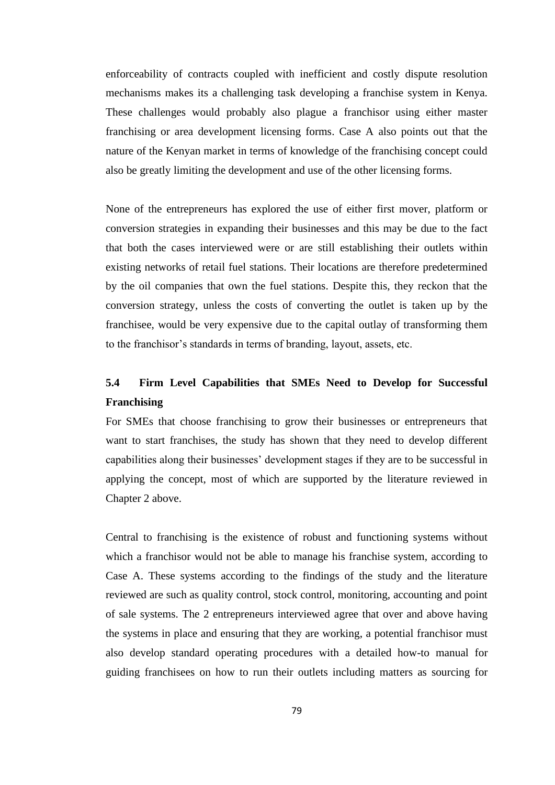enforceability of contracts coupled with inefficient and costly dispute resolution mechanisms makes its a challenging task developing a franchise system in Kenya. These challenges would probably also plague a franchisor using either master franchising or area development licensing forms. Case A also points out that the nature of the Kenyan market in terms of knowledge of the franchising concept could also be greatly limiting the development and use of the other licensing forms.

None of the entrepreneurs has explored the use of either first mover, platform or conversion strategies in expanding their businesses and this may be due to the fact that both the cases interviewed were or are still establishing their outlets within existing networks of retail fuel stations. Their locations are therefore predetermined by the oil companies that own the fuel stations. Despite this, they reckon that the conversion strategy, unless the costs of converting the outlet is taken up by the franchisee, would be very expensive due to the capital outlay of transforming them to the franchisor's standards in terms of branding, layout, assets, etc.

# **5.4 Firm Level Capabilities that SMEs Need to Develop for Successful Franchising**

For SMEs that choose franchising to grow their businesses or entrepreneurs that want to start franchises, the study has shown that they need to develop different capabilities along their businesses' development stages if they are to be successful in applying the concept, most of which are supported by the literature reviewed in Chapter 2 above.

Central to franchising is the existence of robust and functioning systems without which a franchisor would not be able to manage his franchise system, according to Case A. These systems according to the findings of the study and the literature reviewed are such as quality control, stock control, monitoring, accounting and point of sale systems. The 2 entrepreneurs interviewed agree that over and above having the systems in place and ensuring that they are working, a potential franchisor must also develop standard operating procedures with a detailed how-to manual for guiding franchisees on how to run their outlets including matters as sourcing for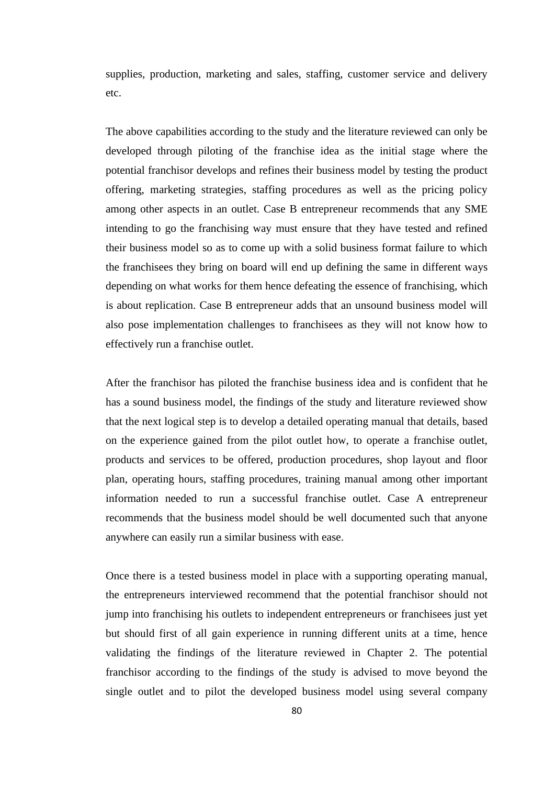supplies, production, marketing and sales, staffing, customer service and delivery etc.

The above capabilities according to the study and the literature reviewed can only be developed through piloting of the franchise idea as the initial stage where the potential franchisor develops and refines their business model by testing the product offering, marketing strategies, staffing procedures as well as the pricing policy among other aspects in an outlet. Case B entrepreneur recommends that any SME intending to go the franchising way must ensure that they have tested and refined their business model so as to come up with a solid business format failure to which the franchisees they bring on board will end up defining the same in different ways depending on what works for them hence defeating the essence of franchising, which is about replication. Case B entrepreneur adds that an unsound business model will also pose implementation challenges to franchisees as they will not know how to effectively run a franchise outlet.

After the franchisor has piloted the franchise business idea and is confident that he has a sound business model, the findings of the study and literature reviewed show that the next logical step is to develop a detailed operating manual that details, based on the experience gained from the pilot outlet how, to operate a franchise outlet, products and services to be offered, production procedures, shop layout and floor plan, operating hours, staffing procedures, training manual among other important information needed to run a successful franchise outlet. Case A entrepreneur recommends that the business model should be well documented such that anyone anywhere can easily run a similar business with ease.

Once there is a tested business model in place with a supporting operating manual, the entrepreneurs interviewed recommend that the potential franchisor should not jump into franchising his outlets to independent entrepreneurs or franchisees just yet but should first of all gain experience in running different units at a time, hence validating the findings of the literature reviewed in Chapter 2. The potential franchisor according to the findings of the study is advised to move beyond the single outlet and to pilot the developed business model using several company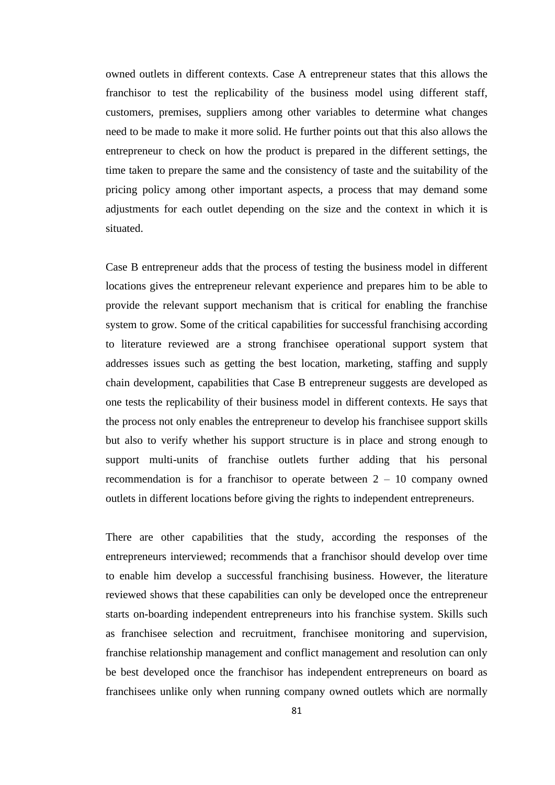owned outlets in different contexts. Case A entrepreneur states that this allows the franchisor to test the replicability of the business model using different staff, customers, premises, suppliers among other variables to determine what changes need to be made to make it more solid. He further points out that this also allows the entrepreneur to check on how the product is prepared in the different settings, the time taken to prepare the same and the consistency of taste and the suitability of the pricing policy among other important aspects, a process that may demand some adjustments for each outlet depending on the size and the context in which it is situated.

Case B entrepreneur adds that the process of testing the business model in different locations gives the entrepreneur relevant experience and prepares him to be able to provide the relevant support mechanism that is critical for enabling the franchise system to grow. Some of the critical capabilities for successful franchising according to literature reviewed are a strong franchisee operational support system that addresses issues such as getting the best location, marketing, staffing and supply chain development, capabilities that Case B entrepreneur suggests are developed as one tests the replicability of their business model in different contexts. He says that the process not only enables the entrepreneur to develop his franchisee support skills but also to verify whether his support structure is in place and strong enough to support multi-units of franchise outlets further adding that his personal recommendation is for a franchisor to operate between  $2 - 10$  company owned outlets in different locations before giving the rights to independent entrepreneurs.

There are other capabilities that the study, according the responses of the entrepreneurs interviewed; recommends that a franchisor should develop over time to enable him develop a successful franchising business. However, the literature reviewed shows that these capabilities can only be developed once the entrepreneur starts on-boarding independent entrepreneurs into his franchise system. Skills such as franchisee selection and recruitment, franchisee monitoring and supervision, franchise relationship management and conflict management and resolution can only be best developed once the franchisor has independent entrepreneurs on board as franchisees unlike only when running company owned outlets which are normally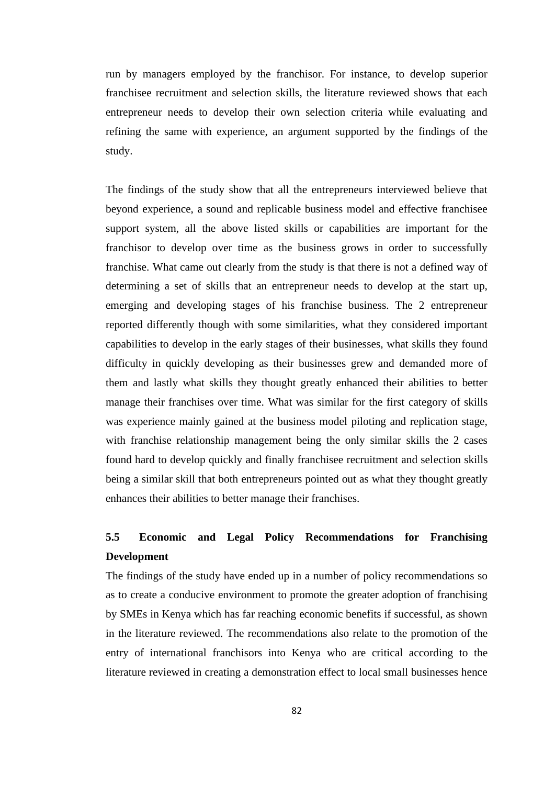run by managers employed by the franchisor. For instance, to develop superior franchisee recruitment and selection skills, the literature reviewed shows that each entrepreneur needs to develop their own selection criteria while evaluating and refining the same with experience, an argument supported by the findings of the study.

The findings of the study show that all the entrepreneurs interviewed believe that beyond experience, a sound and replicable business model and effective franchisee support system, all the above listed skills or capabilities are important for the franchisor to develop over time as the business grows in order to successfully franchise. What came out clearly from the study is that there is not a defined way of determining a set of skills that an entrepreneur needs to develop at the start up, emerging and developing stages of his franchise business. The 2 entrepreneur reported differently though with some similarities, what they considered important capabilities to develop in the early stages of their businesses, what skills they found difficulty in quickly developing as their businesses grew and demanded more of them and lastly what skills they thought greatly enhanced their abilities to better manage their franchises over time. What was similar for the first category of skills was experience mainly gained at the business model piloting and replication stage, with franchise relationship management being the only similar skills the 2 cases found hard to develop quickly and finally franchisee recruitment and selection skills being a similar skill that both entrepreneurs pointed out as what they thought greatly enhances their abilities to better manage their franchises.

# **5.5 Economic and Legal Policy Recommendations for Franchising Development**

The findings of the study have ended up in a number of policy recommendations so as to create a conducive environment to promote the greater adoption of franchising by SMEs in Kenya which has far reaching economic benefits if successful, as shown in the literature reviewed. The recommendations also relate to the promotion of the entry of international franchisors into Kenya who are critical according to the literature reviewed in creating a demonstration effect to local small businesses hence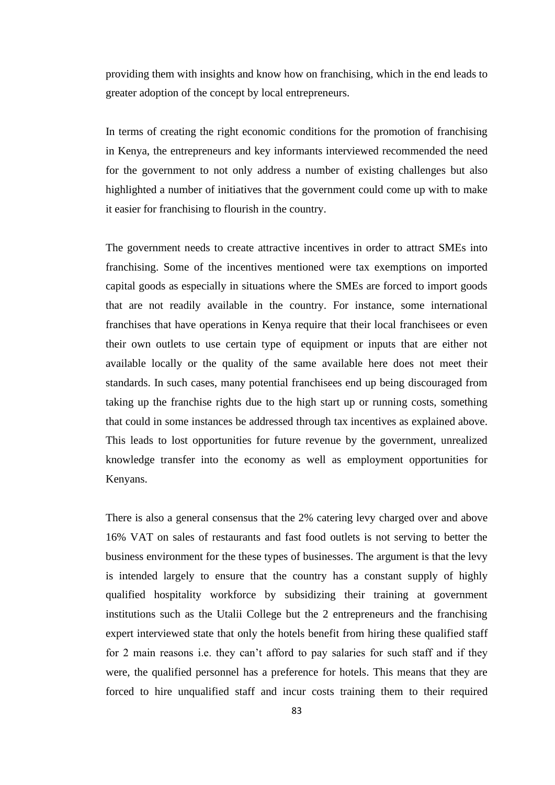providing them with insights and know how on franchising, which in the end leads to greater adoption of the concept by local entrepreneurs.

In terms of creating the right economic conditions for the promotion of franchising in Kenya, the entrepreneurs and key informants interviewed recommended the need for the government to not only address a number of existing challenges but also highlighted a number of initiatives that the government could come up with to make it easier for franchising to flourish in the country.

The government needs to create attractive incentives in order to attract SMEs into franchising. Some of the incentives mentioned were tax exemptions on imported capital goods as especially in situations where the SMEs are forced to import goods that are not readily available in the country. For instance, some international franchises that have operations in Kenya require that their local franchisees or even their own outlets to use certain type of equipment or inputs that are either not available locally or the quality of the same available here does not meet their standards. In such cases, many potential franchisees end up being discouraged from taking up the franchise rights due to the high start up or running costs, something that could in some instances be addressed through tax incentives as explained above. This leads to lost opportunities for future revenue by the government, unrealized knowledge transfer into the economy as well as employment opportunities for Kenyans.

There is also a general consensus that the 2% catering levy charged over and above 16% VAT on sales of restaurants and fast food outlets is not serving to better the business environment for the these types of businesses. The argument is that the levy is intended largely to ensure that the country has a constant supply of highly qualified hospitality workforce by subsidizing their training at government institutions such as the Utalii College but the 2 entrepreneurs and the franchising expert interviewed state that only the hotels benefit from hiring these qualified staff for 2 main reasons i.e. they can't afford to pay salaries for such staff and if they were, the qualified personnel has a preference for hotels. This means that they are forced to hire unqualified staff and incur costs training them to their required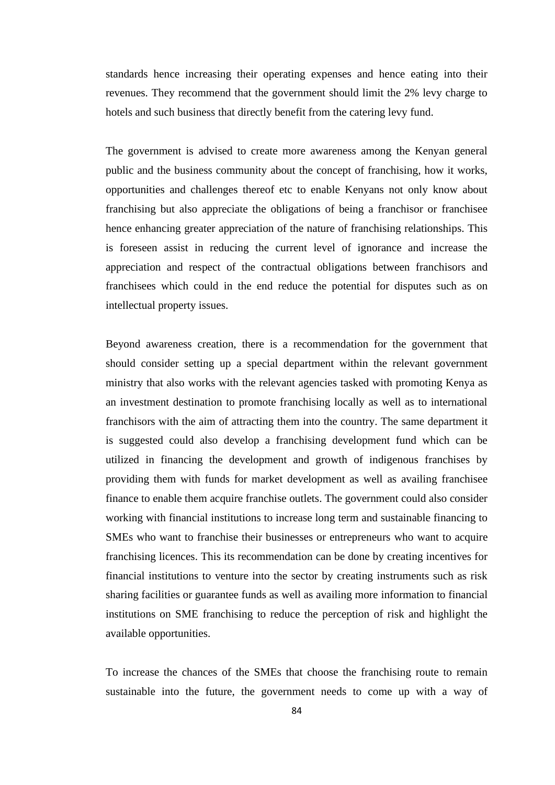standards hence increasing their operating expenses and hence eating into their revenues. They recommend that the government should limit the 2% levy charge to hotels and such business that directly benefit from the catering levy fund.

The government is advised to create more awareness among the Kenyan general public and the business community about the concept of franchising, how it works, opportunities and challenges thereof etc to enable Kenyans not only know about franchising but also appreciate the obligations of being a franchisor or franchisee hence enhancing greater appreciation of the nature of franchising relationships. This is foreseen assist in reducing the current level of ignorance and increase the appreciation and respect of the contractual obligations between franchisors and franchisees which could in the end reduce the potential for disputes such as on intellectual property issues.

Beyond awareness creation, there is a recommendation for the government that should consider setting up a special department within the relevant government ministry that also works with the relevant agencies tasked with promoting Kenya as an investment destination to promote franchising locally as well as to international franchisors with the aim of attracting them into the country. The same department it is suggested could also develop a franchising development fund which can be utilized in financing the development and growth of indigenous franchises by providing them with funds for market development as well as availing franchisee finance to enable them acquire franchise outlets. The government could also consider working with financial institutions to increase long term and sustainable financing to SMEs who want to franchise their businesses or entrepreneurs who want to acquire franchising licences. This its recommendation can be done by creating incentives for financial institutions to venture into the sector by creating instruments such as risk sharing facilities or guarantee funds as well as availing more information to financial institutions on SME franchising to reduce the perception of risk and highlight the available opportunities.

To increase the chances of the SMEs that choose the franchising route to remain sustainable into the future, the government needs to come up with a way of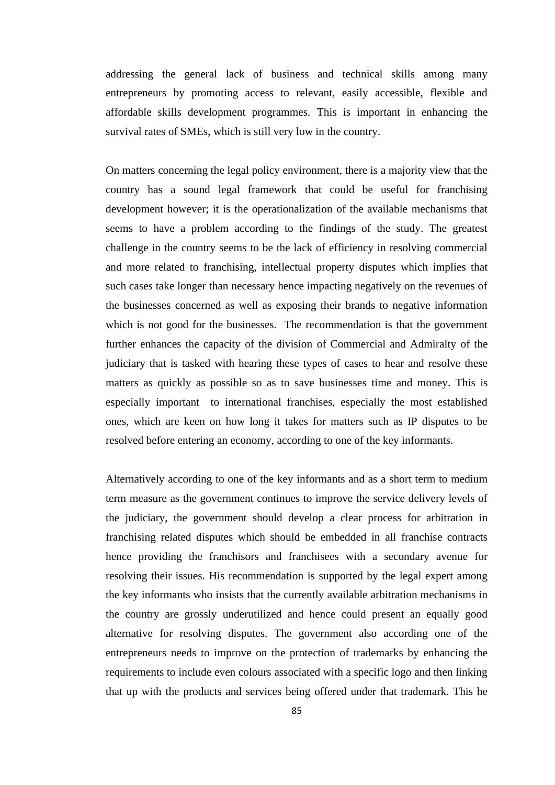addressing the general lack of business and technical skills among many entrepreneurs by promoting access to relevant, easily accessible, flexible and affordable skills development programmes. This is important in enhancing the survival rates of SMEs, which is still very low in the country.

On matters concerning the legal policy environment, there is a majority view that the country has a sound legal framework that could be useful for franchising development however; it is the operationalization of the available mechanisms that seems to have a problem according to the findings of the study. The greatest challenge in the country seems to be the lack of efficiency in resolving commercial and more related to franchising, intellectual property disputes which implies that such cases take longer than necessary hence impacting negatively on the revenues of the businesses concerned as well as exposing their brands to negative information which is not good for the businesses. The recommendation is that the government further enhances the capacity of the division of Commercial and Admiralty of the judiciary that is tasked with hearing these types of cases to hear and resolve these matters as quickly as possible so as to save businesses time and money. This is especially important to international franchises, especially the most established ones, which are keen on how long it takes for matters such as IP disputes to be resolved before entering an economy, according to one of the key informants.

Alternatively according to one of the key informants and as a short term to medium term measure as the government continues to improve the service delivery levels of the judiciary, the government should develop a clear process for arbitration in franchising related disputes which should be embedded in all franchise contracts hence providing the franchisors and franchisees with a secondary avenue for resolving their issues. His recommendation is supported by the legal expert among the key informants who insists that the currently available arbitration mechanisms in the country are grossly underutilized and hence could present an equally good alternative for resolving disputes. The government also according one of the entrepreneurs needs to improve on the protection of trademarks by enhancing the requirements to include even colours associated with a specific logo and then linking that up with the products and services being offered under that trademark. This he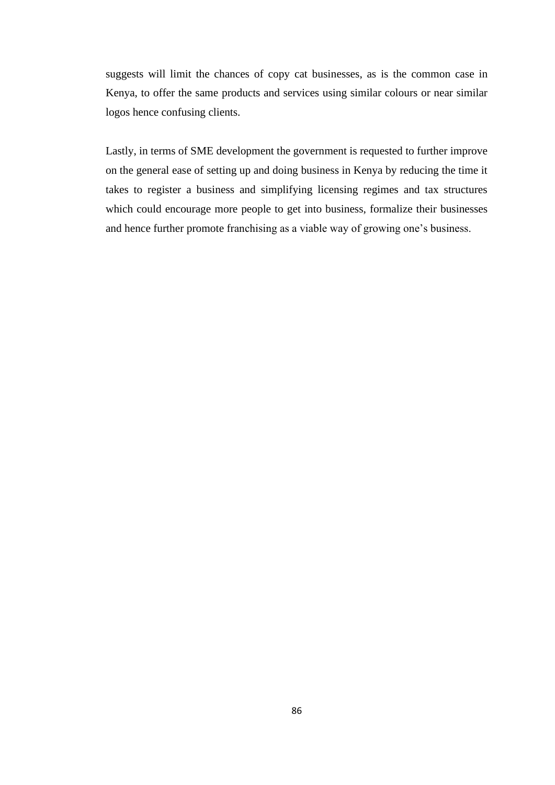suggests will limit the chances of copy cat businesses, as is the common case in Kenya, to offer the same products and services using similar colours or near similar logos hence confusing clients.

Lastly, in terms of SME development the government is requested to further improve on the general ease of setting up and doing business in Kenya by reducing the time it takes to register a business and simplifying licensing regimes and tax structures which could encourage more people to get into business, formalize their businesses and hence further promote franchising as a viable way of growing one's business.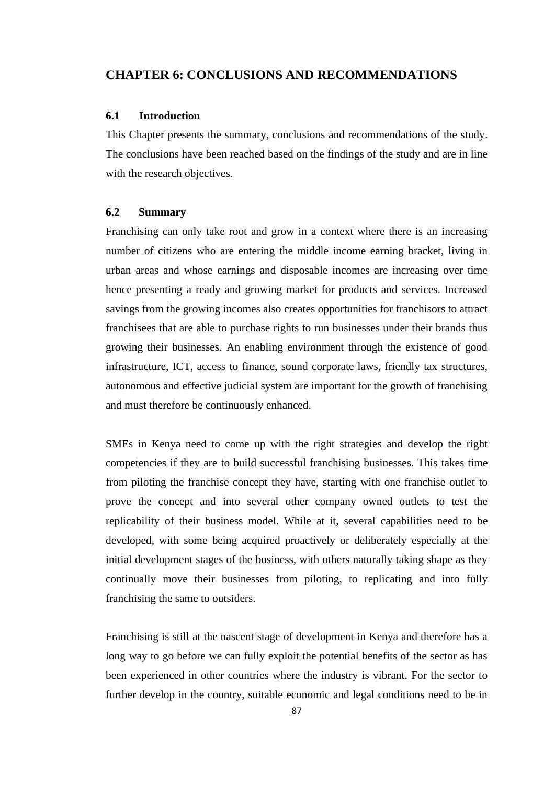## **CHAPTER 6: CONCLUSIONS AND RECOMMENDATIONS**

### **6.1 Introduction**

This Chapter presents the summary, conclusions and recommendations of the study. The conclusions have been reached based on the findings of the study and are in line with the research objectives.

#### **6.2 Summary**

Franchising can only take root and grow in a context where there is an increasing number of citizens who are entering the middle income earning bracket, living in urban areas and whose earnings and disposable incomes are increasing over time hence presenting a ready and growing market for products and services. Increased savings from the growing incomes also creates opportunities for franchisors to attract franchisees that are able to purchase rights to run businesses under their brands thus growing their businesses. An enabling environment through the existence of good infrastructure, ICT, access to finance, sound corporate laws, friendly tax structures, autonomous and effective judicial system are important for the growth of franchising and must therefore be continuously enhanced.

SMEs in Kenya need to come up with the right strategies and develop the right competencies if they are to build successful franchising businesses. This takes time from piloting the franchise concept they have, starting with one franchise outlet to prove the concept and into several other company owned outlets to test the replicability of their business model. While at it, several capabilities need to be developed, with some being acquired proactively or deliberately especially at the initial development stages of the business, with others naturally taking shape as they continually move their businesses from piloting, to replicating and into fully franchising the same to outsiders.

Franchising is still at the nascent stage of development in Kenya and therefore has a long way to go before we can fully exploit the potential benefits of the sector as has been experienced in other countries where the industry is vibrant. For the sector to further develop in the country, suitable economic and legal conditions need to be in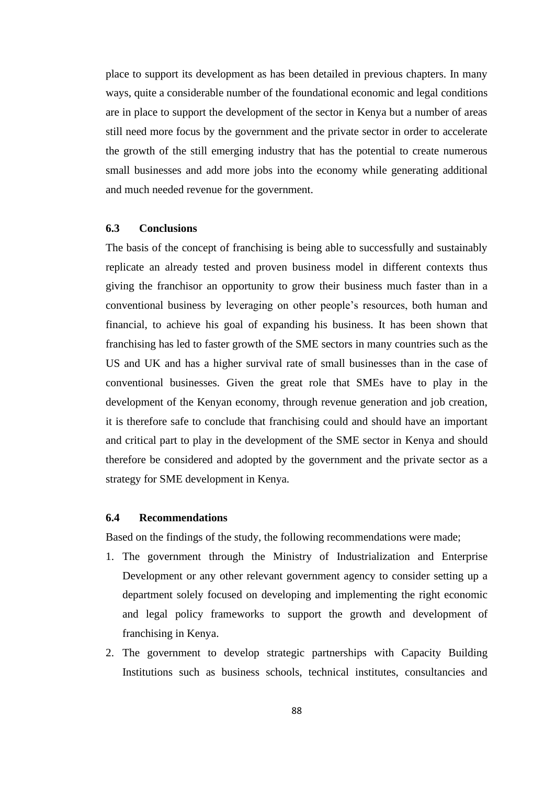place to support its development as has been detailed in previous chapters. In many ways, quite a considerable number of the foundational economic and legal conditions are in place to support the development of the sector in Kenya but a number of areas still need more focus by the government and the private sector in order to accelerate the growth of the still emerging industry that has the potential to create numerous small businesses and add more jobs into the economy while generating additional and much needed revenue for the government.

### **6.3 Conclusions**

The basis of the concept of franchising is being able to successfully and sustainably replicate an already tested and proven business model in different contexts thus giving the franchisor an opportunity to grow their business much faster than in a conventional business by leveraging on other people's resources, both human and financial, to achieve his goal of expanding his business. It has been shown that franchising has led to faster growth of the SME sectors in many countries such as the US and UK and has a higher survival rate of small businesses than in the case of conventional businesses. Given the great role that SMEs have to play in the development of the Kenyan economy, through revenue generation and job creation, it is therefore safe to conclude that franchising could and should have an important and critical part to play in the development of the SME sector in Kenya and should therefore be considered and adopted by the government and the private sector as a strategy for SME development in Kenya.

### **6.4 Recommendations**

Based on the findings of the study, the following recommendations were made;

- 1. The government through the Ministry of Industrialization and Enterprise Development or any other relevant government agency to consider setting up a department solely focused on developing and implementing the right economic and legal policy frameworks to support the growth and development of franchising in Kenya.
- 2. The government to develop strategic partnerships with Capacity Building Institutions such as business schools, technical institutes, consultancies and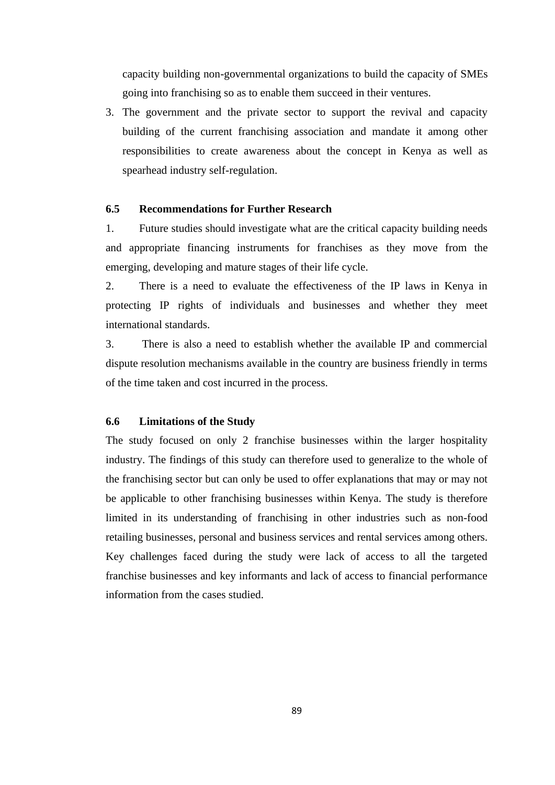capacity building non-governmental organizations to build the capacity of SMEs going into franchising so as to enable them succeed in their ventures.

3. The government and the private sector to support the revival and capacity building of the current franchising association and mandate it among other responsibilities to create awareness about the concept in Kenya as well as spearhead industry self-regulation.

### **6.5 Recommendations for Further Research**

1. Future studies should investigate what are the critical capacity building needs and appropriate financing instruments for franchises as they move from the emerging, developing and mature stages of their life cycle.

2. There is a need to evaluate the effectiveness of the IP laws in Kenya in protecting IP rights of individuals and businesses and whether they meet international standards.

3. There is also a need to establish whether the available IP and commercial dispute resolution mechanisms available in the country are business friendly in terms of the time taken and cost incurred in the process.

#### **6.6 Limitations of the Study**

The study focused on only 2 franchise businesses within the larger hospitality industry. The findings of this study can therefore used to generalize to the whole of the franchising sector but can only be used to offer explanations that may or may not be applicable to other franchising businesses within Kenya. The study is therefore limited in its understanding of franchising in other industries such as non-food retailing businesses, personal and business services and rental services among others. Key challenges faced during the study were lack of access to all the targeted franchise businesses and key informants and lack of access to financial performance information from the cases studied.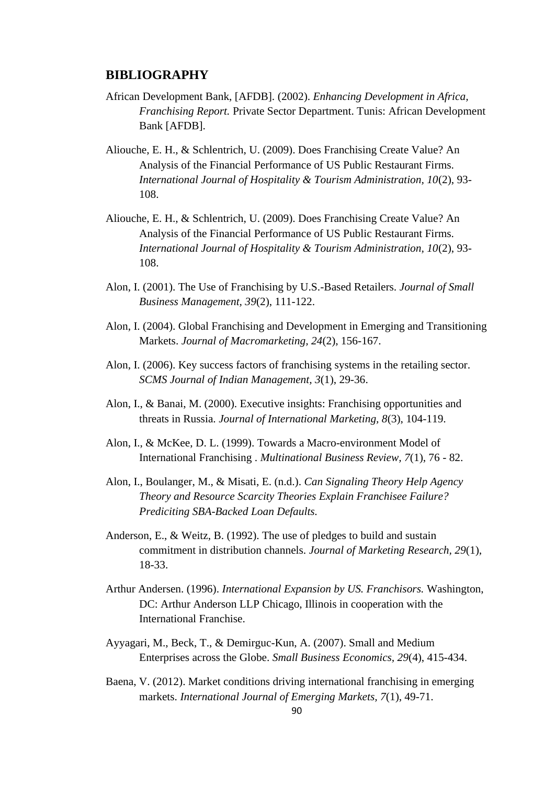### **BIBLIOGRAPHY**

- African Development Bank, [AFDB]. (2002). *Enhancing Development in Africa, Franchising Report.* Private Sector Department. Tunis: African Development Bank [AFDB].
- Aliouche, E. H., & Schlentrich, U. (2009). Does Franchising Create Value? An Analysis of the Financial Performance of US Public Restaurant Firms. *International Journal of Hospitality & Tourism Administration, 10*(2), 93- 108.
- Aliouche, E. H., & Schlentrich, U. (2009). Does Franchising Create Value? An Analysis of the Financial Performance of US Public Restaurant Firms. *International Journal of Hospitality & Tourism Administration, 10*(2), 93- 108.
- Alon, I. (2001). The Use of Franchising by U.S.-Based Retailers. *Journal of Small Business Management, 39*(2), 111-122.
- Alon, I. (2004). Global Franchising and Development in Emerging and Transitioning Markets. *Journal of Macromarketing, 24*(2), 156-167.
- Alon, I. (2006). Key success factors of franchising systems in the retailing sector. *SCMS Journal of Indian Management, 3*(1), 29-36.
- Alon, I., & Banai, M. (2000). Executive insights: Franchising opportunities and threats in Russia. *Journal of International Marketing, 8*(3), 104-119.
- Alon, I., & McKee, D. L. (1999). Towards a Macro-environment Model of International Franchising . *Multinational Business Review, 7*(1), 76 - 82.
- Alon, I., Boulanger, M., & Misati, E. (n.d.). *Can Signaling Theory Help Agency Theory and Resource Scarcity Theories Explain Franchisee Failure? Prediciting SBA-Backed Loan Defaults.*
- Anderson, E., & Weitz, B. (1992). The use of pledges to build and sustain commitment in distribution channels. *Journal of Marketing Research, 29*(1), 18-33.
- Arthur Andersen. (1996). *International Expansion by US. Franchisors.* Washington, DC: Arthur Anderson LLP Chicago, Illinois in cooperation with the International Franchise.
- Ayyagari, M., Beck, T., & Demirguc-Kun, A. (2007). Small and Medium Enterprises across the Globe. *Small Business Economics, 29*(4), 415-434.
- Baena, V. (2012). Market conditions driving international franchising in emerging markets. *International Journal of Emerging Markets, 7*(1), 49-71.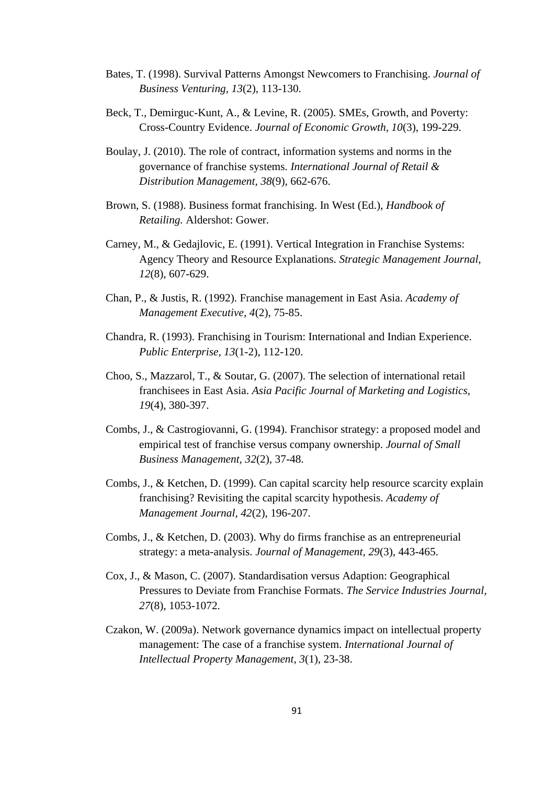- Bates, T. (1998). Survival Patterns Amongst Newcomers to Franchising. *Journal of Business Venturing, 13*(2), 113-130.
- Beck, T., Demirguc-Kunt, A., & Levine, R. (2005). SMEs, Growth, and Poverty: Cross-Country Evidence. *Journal of Economic Growth, 10*(3), 199-229.
- Boulay, J. (2010). The role of contract, information systems and norms in the governance of franchise systems. *International Journal of Retail & Distribution Management, 38*(9), 662-676.
- Brown, S. (1988). Business format franchising. In West (Ed.), *Handbook of Retailing.* Aldershot: Gower.
- Carney, M., & Gedajlovic, E. (1991). Vertical Integration in Franchise Systems: Agency Theory and Resource Explanations. *Strategic Management Journal, 12*(8), 607-629.
- Chan, P., & Justis, R. (1992). Franchise management in East Asia. *Academy of Management Executive, 4*(2), 75-85.
- Chandra, R. (1993). Franchising in Tourism: International and Indian Experience. *Public Enterprise, 13*(1-2), 112-120.
- Choo, S., Mazzarol, T., & Soutar, G. (2007). The selection of international retail franchisees in East Asia. *Asia Pacific Journal of Marketing and Logistics, 19*(4), 380-397.
- Combs, J., & Castrogiovanni, G. (1994). Franchisor strategy: a proposed model and empirical test of franchise versus company ownership. *Journal of Small Business Management, 32*(2), 37-48.
- Combs, J., & Ketchen, D. (1999). Can capital scarcity help resource scarcity explain franchising? Revisiting the capital scarcity hypothesis. *Academy of Management Journal, 42*(2), 196-207.
- Combs, J., & Ketchen, D. (2003). Why do firms franchise as an entrepreneurial strategy: a meta-analysis. *Journal of Management, 29*(3), 443-465.
- Cox, J., & Mason, C. (2007). Standardisation versus Adaption: Geographical Pressures to Deviate from Franchise Formats. *The Service Industries Journal, 27*(8), 1053-1072.
- Czakon, W. (2009a). Network governance dynamics impact on intellectual property management: The case of a franchise system. *International Journal of Intellectual Property Management, 3*(1), 23-38.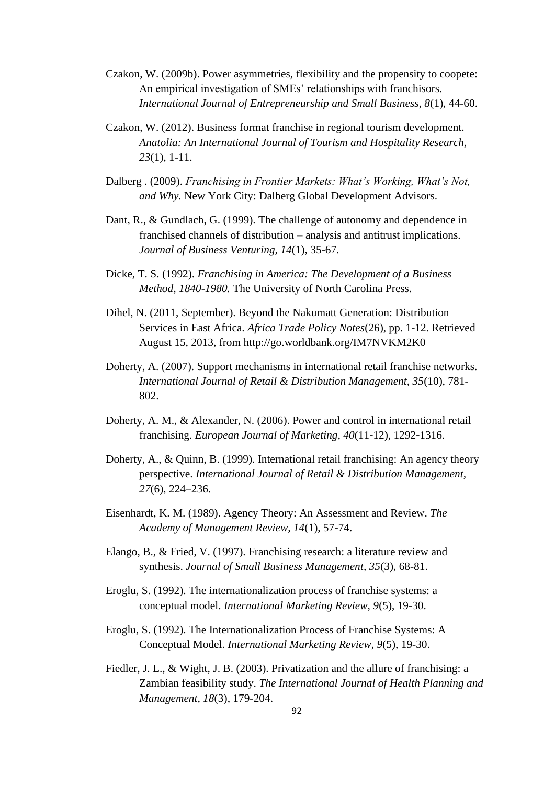- Czakon, W. (2009b). Power asymmetries, flexibility and the propensity to coopete: An empirical investigation of SMEs' relationships with franchisors. *International Journal of Entrepreneurship and Small Business, 8*(1), 44-60.
- Czakon, W. (2012). Business format franchise in regional tourism development. *Anatolia: An International Journal of Tourism and Hospitality Research, 23*(1), 1-11.
- Dalberg . (2009). *Franchising in Frontier Markets: What's Working, What's Not, and Why.* New York City: Dalberg Global Development Advisors.
- Dant, R., & Gundlach, G. (1999). The challenge of autonomy and dependence in franchised channels of distribution – analysis and antitrust implications. *Journal of Business Venturing, 14*(1), 35-67.
- Dicke, T. S. (1992). *Franchising in America: The Development of a Business Method, 1840-1980.* The University of North Carolina Press.
- Dihel, N. (2011, September). Beyond the Nakumatt Generation: Distribution Services in East Africa. *Africa Trade Policy Notes*(26), pp. 1-12. Retrieved August 15, 2013, from http://go.worldbank.org/IM7NVKM2K0
- Doherty, A. (2007). Support mechanisms in international retail franchise networks. *International Journal of Retail & Distribution Management, 35*(10), 781- 802.
- Doherty, A. M., & Alexander, N. (2006). Power and control in international retail franchising. *European Journal of Marketing, 40*(11-12), 1292-1316.
- Doherty, A., & Quinn, B. (1999). International retail franchising: An agency theory perspective. *International Journal of Retail & Distribution Management, 27*(6), 224–236.
- Eisenhardt, K. M. (1989). Agency Theory: An Assessment and Review. *The Academy of Management Review, 14*(1), 57-74.
- Elango, B., & Fried, V. (1997). Franchising research: a literature review and synthesis. *Journal of Small Business Management, 35*(3), 68-81.
- Eroglu, S. (1992). The internationalization process of franchise systems: a conceptual model. *International Marketing Review, 9*(5), 19-30.
- Eroglu, S. (1992). The Internationalization Process of Franchise Systems: A Conceptual Model. *International Marketing Review, 9*(5), 19-30.
- Fiedler, J. L., & Wight, J. B. (2003). Privatization and the allure of franchising: a Zambian feasibility study. *The International Journal of Health Planning and Management, 18*(3), 179-204.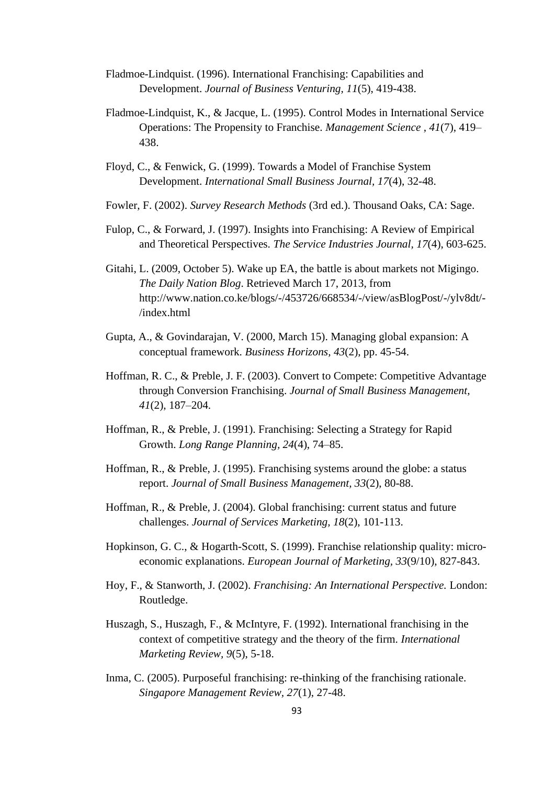- Fladmoe-Lindquist. (1996). International Franchising: Capabilities and Development. *Journal of Business Venturing, 11*(5), 419-438.
- Fladmoe-Lindquist, K., & Jacque, L. (1995). Control Modes in International Service Operations: The Propensity to Franchise. *Management Science , 41*(7), 419– 438.
- Floyd, C., & Fenwick, G. (1999). Towards a Model of Franchise System Development. *International Small Business Journal, 17*(4), 32-48.
- Fowler, F. (2002). *Survey Research Methods* (3rd ed.). Thousand Oaks, CA: Sage.
- Fulop, C., & Forward, J. (1997). Insights into Franchising: A Review of Empirical and Theoretical Perspectives. *The Service Industries Journal, 17*(4), 603-625.
- Gitahi, L. (2009, October 5). Wake up EA, the battle is about markets not Migingo. *The Daily Nation Blog*. Retrieved March 17, 2013, from http://www.nation.co.ke/blogs/-/453726/668534/-/view/asBlogPost/-/ylv8dt/- /index.html
- Gupta, A., & Govindarajan, V. (2000, March 15). Managing global expansion: A conceptual framework. *Business Horizons, 43*(2), pp. 45-54.
- Hoffman, R. C., & Preble, J. F. (2003). Convert to Compete: Competitive Advantage through Conversion Franchising. *Journal of Small Business Management, 41*(2), 187–204.
- Hoffman, R., & Preble, J. (1991). Franchising: Selecting a Strategy for Rapid Growth. *Long Range Planning, 24*(4), 74–85.
- Hoffman, R., & Preble, J. (1995). Franchising systems around the globe: a status report. *Journal of Small Business Management, 33*(2), 80-88.
- Hoffman, R., & Preble, J. (2004). Global franchising: current status and future challenges. *Journal of Services Marketing, 18*(2), 101-113.
- Hopkinson, G. C., & Hogarth-Scott, S. (1999). Franchise relationship quality: microeconomic explanations. *European Journal of Marketing, 33*(9/10), 827-843.
- Hoy, F., & Stanworth, J. (2002). *Franchising: An International Perspective.* London: Routledge.
- Huszagh, S., Huszagh, F., & McIntyre, F. (1992). International franchising in the context of competitive strategy and the theory of the firm. *International Marketing Review, 9*(5), 5-18.
- Inma, C. (2005). Purposeful franchising: re-thinking of the franchising rationale. *Singapore Management Review, 27*(1), 27-48.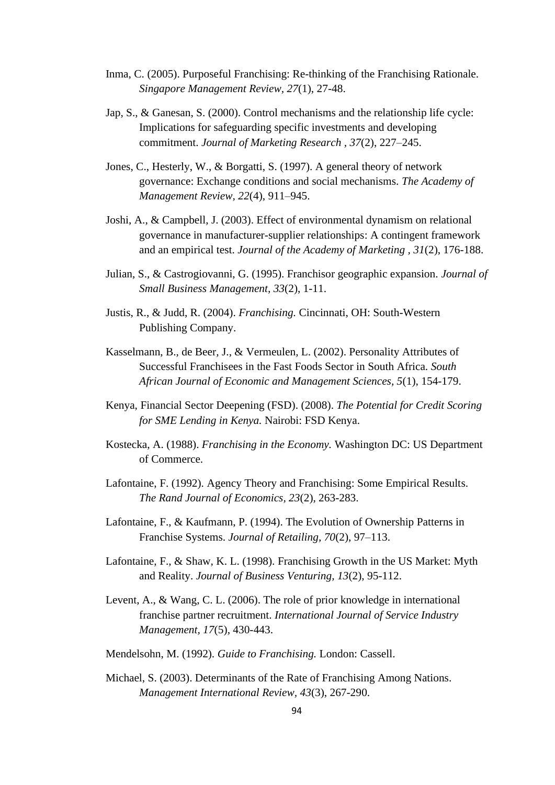- Inma, C. (2005). Purposeful Franchising: Re-thinking of the Franchising Rationale. *Singapore Management Review, 27*(1), 27-48.
- Jap, S., & Ganesan, S. (2000). Control mechanisms and the relationship life cycle: Implications for safeguarding specific investments and developing commitment. *Journal of Marketing Research , 37*(2), 227–245.
- Jones, C., Hesterly, W., & Borgatti, S. (1997). A general theory of network governance: Exchange conditions and social mechanisms. *The Academy of Management Review, 22*(4), 911–945.
- Joshi, A., & Campbell, J. (2003). Effect of environmental dynamism on relational governance in manufacturer-supplier relationships: A contingent framework and an empirical test. *Journal of the Academy of Marketing , 31*(2), 176-188.
- Julian, S., & Castrogiovanni, G. (1995). Franchisor geographic expansion. *Journal of Small Business Management, 33*(2), 1-11.
- Justis, R., & Judd, R. (2004). *Franchising.* Cincinnati, OH: South-Western Publishing Company.
- Kasselmann, B., de Beer, J., & Vermeulen, L. (2002). Personality Attributes of Successful Franchisees in the Fast Foods Sector in South Africa. *South African Journal of Economic and Management Sciences, 5*(1), 154-179.
- Kenya, Financial Sector Deepening (FSD). (2008). *The Potential for Credit Scoring for SME Lending in Kenya.* Nairobi: FSD Kenya.
- Kostecka, A. (1988). *Franchising in the Economy.* Washington DC: US Department of Commerce.
- Lafontaine, F. (1992). Agency Theory and Franchising: Some Empirical Results. *The Rand Journal of Economics, 23*(2), 263-283.
- Lafontaine, F., & Kaufmann, P. (1994). The Evolution of Ownership Patterns in Franchise Systems. *Journal of Retailing, 70*(2), 97–113.
- Lafontaine, F., & Shaw, K. L. (1998). Franchising Growth in the US Market: Myth and Reality. *Journal of Business Venturing, 13*(2), 95-112.
- Levent, A., & Wang, C. L. (2006). The role of prior knowledge in international franchise partner recruitment. *International Journal of Service Industry Management, 17*(5), 430-443.
- Mendelsohn, M. (1992). *Guide to Franchising.* London: Cassell.
- Michael, S. (2003). Determinants of the Rate of Franchising Among Nations. *Management International Review, 43*(3), 267-290.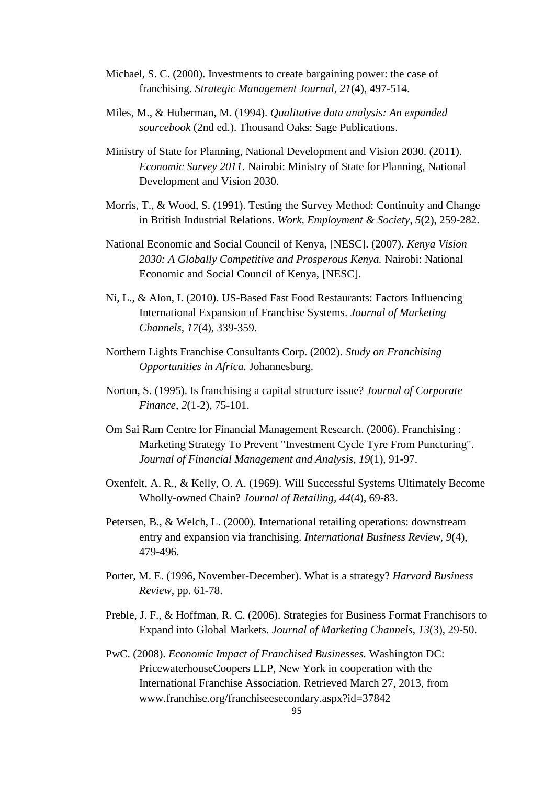- Michael, S. C. (2000). Investments to create bargaining power: the case of franchising. *Strategic Management Journal, 21*(4), 497-514.
- Miles, M., & Huberman, M. (1994). *Qualitative data analysis: An expanded sourcebook* (2nd ed.). Thousand Oaks: Sage Publications.
- Ministry of State for Planning, National Development and Vision 2030. (2011). *Economic Survey 2011.* Nairobi: Ministry of State for Planning, National Development and Vision 2030.
- Morris, T., & Wood, S. (1991). Testing the Survey Method: Continuity and Change in British Industrial Relations. *Work, Employment & Society, 5*(2), 259-282.
- National Economic and Social Council of Kenya, [NESC]. (2007). *Kenya Vision 2030: A Globally Competitive and Prosperous Kenya.* Nairobi: National Economic and Social Council of Kenya, [NESC].
- Ni, L., & Alon, I. (2010). US-Based Fast Food Restaurants: Factors Influencing International Expansion of Franchise Systems. *Journal of Marketing Channels, 17*(4), 339-359.
- Northern Lights Franchise Consultants Corp. (2002). *Study on Franchising Opportunities in Africa.* Johannesburg.
- Norton, S. (1995). Is franchising a capital structure issue? *Journal of Corporate Finance, 2*(1-2), 75-101.
- Om Sai Ram Centre for Financial Management Research. (2006). Franchising : Marketing Strategy To Prevent "Investment Cycle Tyre From Puncturing". *Journal of Financial Management and Analysis, 19*(1), 91-97.
- Oxenfelt, A. R., & Kelly, O. A. (1969). Will Successful Systems Ultimately Become Wholly-owned Chain? *Journal of Retailing, 44*(4), 69-83.
- Petersen, B., & Welch, L. (2000). International retailing operations: downstream entry and expansion via franchising. *International Business Review, 9*(4), 479-496.
- Porter, M. E. (1996, November-December). What is a strategy? *Harvard Business Review*, pp. 61-78.
- Preble, J. F., & Hoffman, R. C. (2006). Strategies for Business Format Franchisors to Expand into Global Markets. *Journal of Marketing Channels, 13*(3), 29-50.
- PwC. (2008). *Economic Impact of Franchised Businesses.* Washington DC: PricewaterhouseCoopers LLP, New York in cooperation with the International Franchise Association. Retrieved March 27, 2013, from www.franchise.org/franchiseesecondary.aspx?id=37842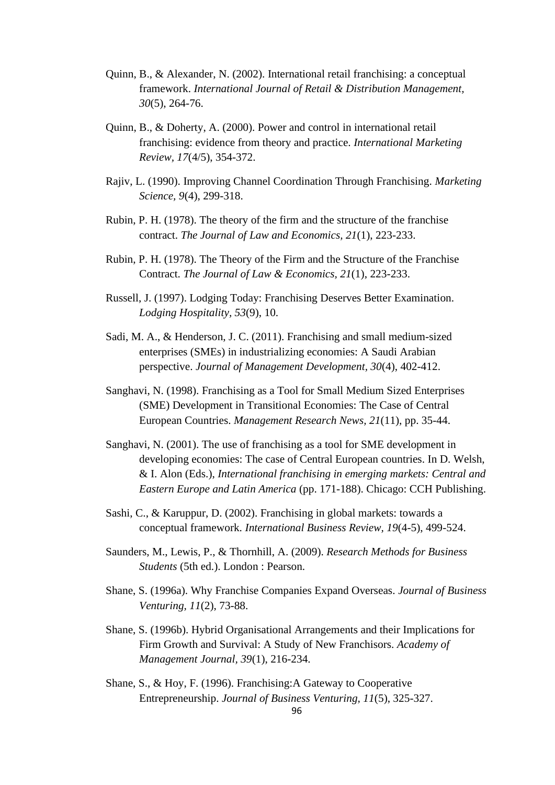- Quinn, B., & Alexander, N. (2002). International retail franchising: a conceptual framework. *International Journal of Retail & Distribution Management, 30*(5), 264-76.
- Quinn, B., & Doherty, A. (2000). Power and control in international retail franchising: evidence from theory and practice. *International Marketing Review, 17*(4/5), 354-372.
- Rajiv, L. (1990). Improving Channel Coordination Through Franchising. *Marketing Science, 9*(4), 299-318.
- Rubin, P. H. (1978). The theory of the firm and the structure of the franchise contract. *The Journal of Law and Economics, 21*(1), 223-233.
- Rubin, P. H. (1978). The Theory of the Firm and the Structure of the Franchise Contract. *The Journal of Law & Economics, 21*(1), 223-233.
- Russell, J. (1997). Lodging Today: Franchising Deserves Better Examination. *Lodging Hospitality, 53*(9), 10.
- Sadi, M. A., & Henderson, J. C. (2011). Franchising and small medium-sized enterprises (SMEs) in industrializing economies: A Saudi Arabian perspective. *Journal of Management Development, 30*(4), 402-412.
- Sanghavi, N. (1998). Franchising as a Tool for Small Medium Sized Enterprises (SME) Development in Transitional Economies: The Case of Central European Countries. *Management Research News, 21*(11), pp. 35-44.
- Sanghavi, N. (2001). The use of franchising as a tool for SME development in developing economies: The case of Central European countries. In D. Welsh, & I. Alon (Eds.), *International franchising in emerging markets: Central and Eastern Europe and Latin America* (pp. 171-188). Chicago: CCH Publishing.
- Sashi, C., & Karuppur, D. (2002). Franchising in global markets: towards a conceptual framework. *International Business Review, 19*(4-5), 499-524.
- Saunders, M., Lewis, P., & Thornhill, A. (2009). *Research Methods for Business Students* (5th ed.). London : Pearson.
- Shane, S. (1996a). Why Franchise Companies Expand Overseas. *Journal of Business Venturing, 11*(2), 73-88.
- Shane, S. (1996b). Hybrid Organisational Arrangements and their Implications for Firm Growth and Survival: A Study of New Franchisors. *Academy of Management Journal, 39*(1), 216-234.
- Shane, S., & Hoy, F. (1996). Franchising:A Gateway to Cooperative Entrepreneurship. *Journal of Business Venturing, 11*(5), 325-327.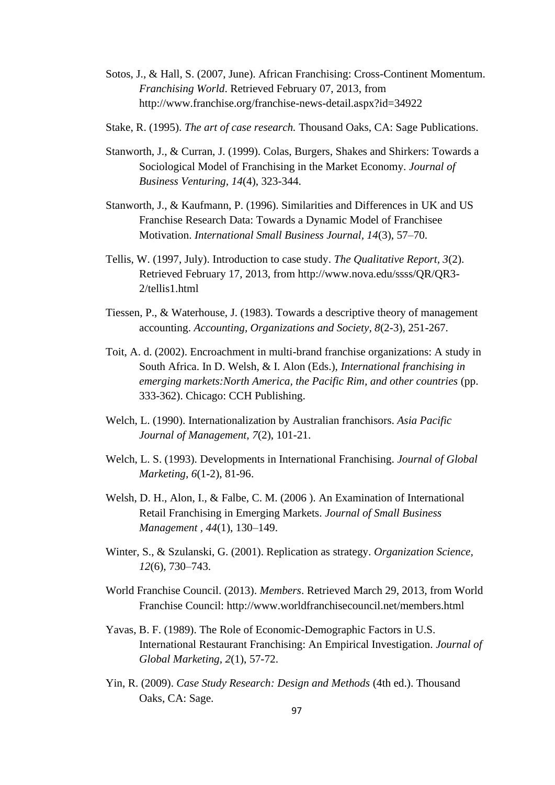- Sotos, J., & Hall, S. (2007, June). African Franchising: Cross-Continent Momentum. *Franchising World*. Retrieved February 07, 2013, from http://www.franchise.org/franchise-news-detail.aspx?id=34922
- Stake, R. (1995). *The art of case research.* Thousand Oaks, CA: Sage Publications.
- Stanworth, J., & Curran, J. (1999). Colas, Burgers, Shakes and Shirkers: Towards a Sociological Model of Franchising in the Market Economy. *Journal of Business Venturing, 14*(4), 323-344.
- Stanworth, J., & Kaufmann, P. (1996). Similarities and Differences in UK and US Franchise Research Data: Towards a Dynamic Model of Franchisee Motivation. *International Small Business Journal, 14*(3), 57–70.
- Tellis, W. (1997, July). Introduction to case study. *The Qualitative Report, 3*(2). Retrieved February 17, 2013, from http://www.nova.edu/ssss/QR/QR3- 2/tellis1.html
- Tiessen, P., & Waterhouse, J. (1983). Towards a descriptive theory of management accounting. *Accounting, Organizations and Society, 8*(2-3), 251-267.
- Toit, A. d. (2002). Encroachment in multi-brand franchise organizations: A study in South Africa. In D. Welsh, & I. Alon (Eds.), *International franchising in emerging markets:North America, the Pacific Rim, and other countries* (pp. 333-362). Chicago: CCH Publishing.
- Welch, L. (1990). Internationalization by Australian franchisors. *Asia Pacific Journal of Management, 7*(2), 101-21.
- Welch, L. S. (1993). Developments in International Franchising. *Journal of Global Marketing, 6*(1-2), 81-96.
- Welsh, D. H., Alon, I., & Falbe, C. M. (2006 ). An Examination of International Retail Franchising in Emerging Markets. *Journal of Small Business Management , 44*(1), 130–149.
- Winter, S., & Szulanski, G. (2001). Replication as strategy. *Organization Science, 12*(6), 730–743.
- World Franchise Council. (2013). *Members*. Retrieved March 29, 2013, from World Franchise Council: http://www.worldfranchisecouncil.net/members.html
- Yavas, B. F. (1989). The Role of Economic-Demographic Factors in U.S. International Restaurant Franchising: An Empirical Investigation. *Journal of Global Marketing, 2*(1), 57-72.
- Yin, R. (2009). *Case Study Research: Design and Methods* (4th ed.). Thousand Oaks, CA: Sage.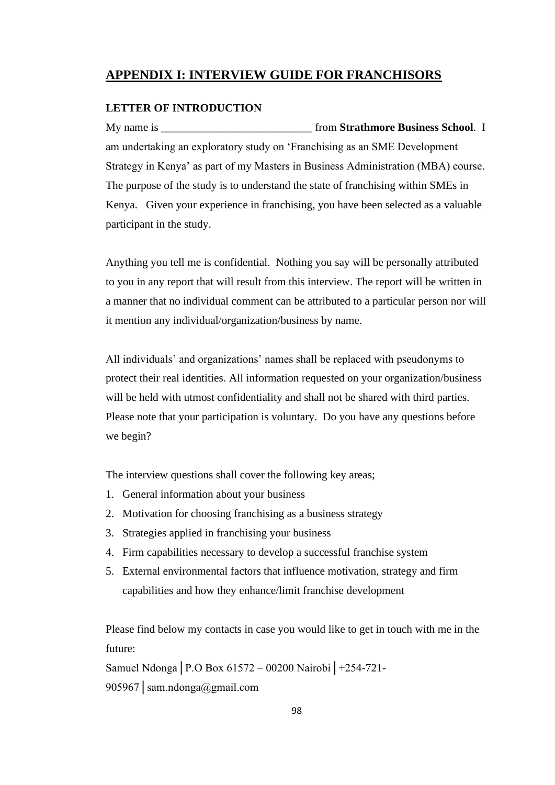# **APPENDIX I: INTERVIEW GUIDE FOR FRANCHISORS**

### **LETTER OF INTRODUCTION**

My name is **the contract of the strathmore Business School**. I am undertaking an exploratory study on 'Franchising as an SME Development Strategy in Kenya' as part of my Masters in Business Administration (MBA) course. The purpose of the study is to understand the state of franchising within SMEs in Kenya. Given your experience in franchising, you have been selected as a valuable participant in the study.

Anything you tell me is confidential. Nothing you say will be personally attributed to you in any report that will result from this interview. The report will be written in a manner that no individual comment can be attributed to a particular person nor will it mention any individual/organization/business by name.

All individuals' and organizations' names shall be replaced with pseudonyms to protect their real identities. All information requested on your organization/business will be held with utmost confidentiality and shall not be shared with third parties. Please note that your participation is voluntary. Do you have any questions before we begin?

The interview questions shall cover the following key areas;

- 1. General information about your business
- 2. Motivation for choosing franchising as a business strategy
- 3. Strategies applied in franchising your business
- 4. Firm capabilities necessary to develop a successful franchise system
- 5. External environmental factors that influence motivation, strategy and firm capabilities and how they enhance/limit franchise development

Please find below my contacts in case you would like to get in touch with me in the future:

Samuel Ndonga│P.O Box 61572 – 00200 Nairobi│+254-721- 905967│sam.ndonga@gmail.com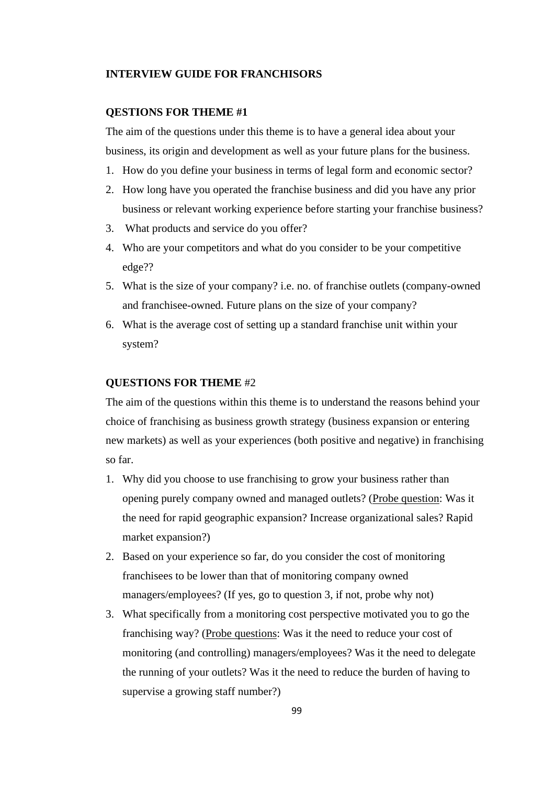### **INTERVIEW GUIDE FOR FRANCHISORS**

#### **QESTIONS FOR THEME #1**

The aim of the questions under this theme is to have a general idea about your business, its origin and development as well as your future plans for the business.

- 1. How do you define your business in terms of legal form and economic sector?
- 2. How long have you operated the franchise business and did you have any prior business or relevant working experience before starting your franchise business?
- 3. What products and service do you offer?
- 4. Who are your competitors and what do you consider to be your competitive edge??
- 5. What is the size of your company? i.e. no. of franchise outlets (company-owned and franchisee-owned. Future plans on the size of your company?
- 6. What is the average cost of setting up a standard franchise unit within your system?

### **QUESTIONS FOR THEME** #2

The aim of the questions within this theme is to understand the reasons behind your choice of franchising as business growth strategy (business expansion or entering new markets) as well as your experiences (both positive and negative) in franchising so far.

- 1. Why did you choose to use franchising to grow your business rather than opening purely company owned and managed outlets? (Probe question: Was it the need for rapid geographic expansion? Increase organizational sales? Rapid market expansion?)
- 2. Based on your experience so far, do you consider the cost of monitoring franchisees to be lower than that of monitoring company owned managers/employees? (If yes, go to question 3, if not, probe why not)
- 3. What specifically from a monitoring cost perspective motivated you to go the franchising way? (Probe questions: Was it the need to reduce your cost of monitoring (and controlling) managers/employees? Was it the need to delegate the running of your outlets? Was it the need to reduce the burden of having to supervise a growing staff number?)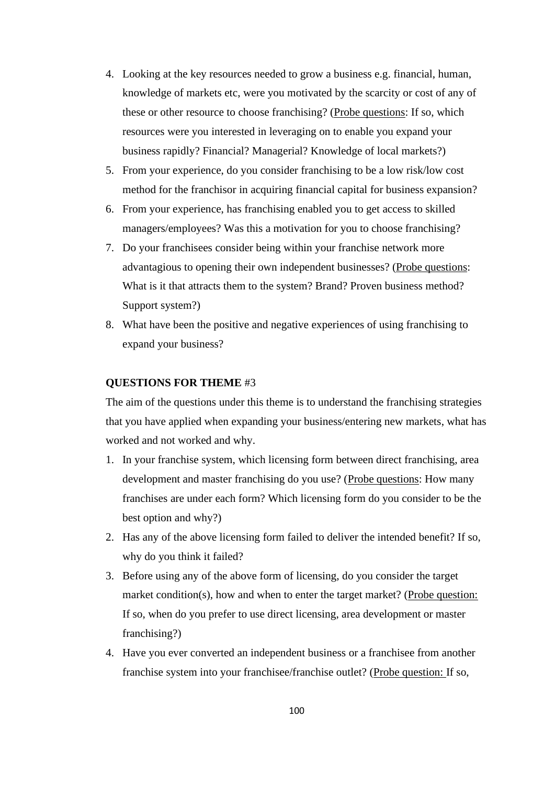- 4. Looking at the key resources needed to grow a business e.g. financial, human, knowledge of markets etc, were you motivated by the scarcity or cost of any of these or other resource to choose franchising? (Probe questions: If so, which resources were you interested in leveraging on to enable you expand your business rapidly? Financial? Managerial? Knowledge of local markets?)
- 5. From your experience, do you consider franchising to be a low risk/low cost method for the franchisor in acquiring financial capital for business expansion?
- 6. From your experience, has franchising enabled you to get access to skilled managers/employees? Was this a motivation for you to choose franchising?
- 7. Do your franchisees consider being within your franchise network more advantagious to opening their own independent businesses? (Probe questions: What is it that attracts them to the system? Brand? Proven business method? Support system?)
- 8. What have been the positive and negative experiences of using franchising to expand your business?

### **QUESTIONS FOR THEME** #3

The aim of the questions under this theme is to understand the franchising strategies that you have applied when expanding your business/entering new markets, what has worked and not worked and why.

- 1. In your franchise system, which licensing form between direct franchising, area development and master franchising do you use? (Probe questions: How many franchises are under each form? Which licensing form do you consider to be the best option and why?)
- 2. Has any of the above licensing form failed to deliver the intended benefit? If so, why do you think it failed?
- 3. Before using any of the above form of licensing, do you consider the target market condition(s), how and when to enter the target market? (Probe question: If so, when do you prefer to use direct licensing, area development or master franchising?)
- 4. Have you ever converted an independent business or a franchisee from another franchise system into your franchisee/franchise outlet? (Probe question: If so,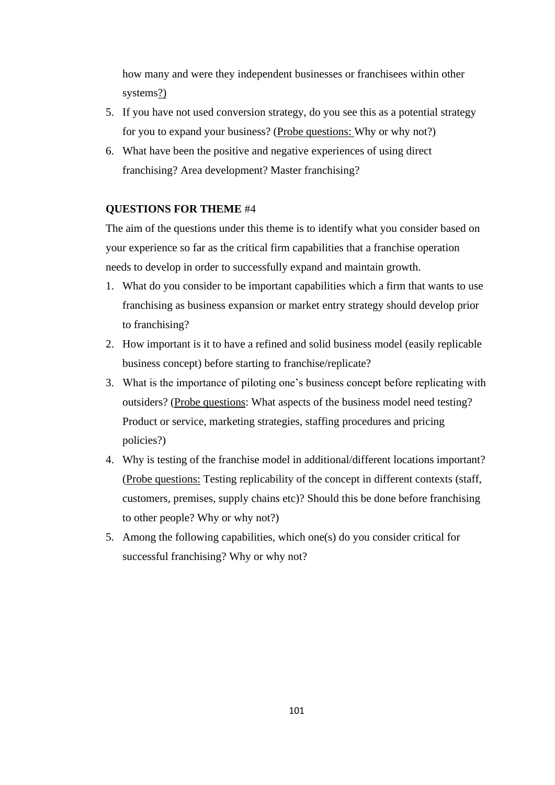how many and were they independent businesses or franchisees within other systems?)

- 5. If you have not used conversion strategy, do you see this as a potential strategy for you to expand your business? (Probe questions: Why or why not?)
- 6. What have been the positive and negative experiences of using direct franchising? Area development? Master franchising?

### **QUESTIONS FOR THEME** #4

The aim of the questions under this theme is to identify what you consider based on your experience so far as the critical firm capabilities that a franchise operation needs to develop in order to successfully expand and maintain growth.

- 1. What do you consider to be important capabilities which a firm that wants to use franchising as business expansion or market entry strategy should develop prior to franchising?
- 2. How important is it to have a refined and solid business model (easily replicable business concept) before starting to franchise/replicate?
- 3. What is the importance of piloting one's business concept before replicating with outsiders? (Probe questions: What aspects of the business model need testing? Product or service, marketing strategies, staffing procedures and pricing policies?)
- 4. Why is testing of the franchise model in additional/different locations important? (Probe questions: Testing replicability of the concept in different contexts (staff, customers, premises, supply chains etc)? Should this be done before franchising to other people? Why or why not?)
- 5. Among the following capabilities, which one(s) do you consider critical for successful franchising? Why or why not?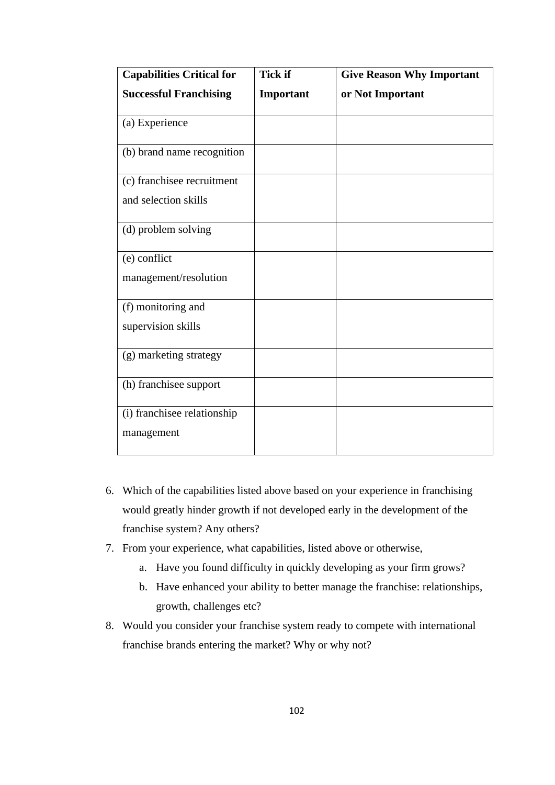| <b>Capabilities Critical for</b> | <b>Tick if</b> | <b>Give Reason Why Important</b> |
|----------------------------------|----------------|----------------------------------|
| <b>Successful Franchising</b>    | Important      | or Not Important                 |
| (a) Experience                   |                |                                  |
| (b) brand name recognition       |                |                                  |
| (c) franchisee recruitment       |                |                                  |
| and selection skills             |                |                                  |
| (d) problem solving              |                |                                  |
| (e) conflict                     |                |                                  |
| management/resolution            |                |                                  |
| (f) monitoring and               |                |                                  |
| supervision skills               |                |                                  |
| (g) marketing strategy           |                |                                  |
| (h) franchisee support           |                |                                  |
| (i) franchisee relationship      |                |                                  |
| management                       |                |                                  |

- 6. Which of the capabilities listed above based on your experience in franchising would greatly hinder growth if not developed early in the development of the franchise system? Any others?
- 7. From your experience, what capabilities, listed above or otherwise,
	- a. Have you found difficulty in quickly developing as your firm grows?
	- b. Have enhanced your ability to better manage the franchise: relationships, growth, challenges etc?
- 8. Would you consider your franchise system ready to compete with international franchise brands entering the market? Why or why not?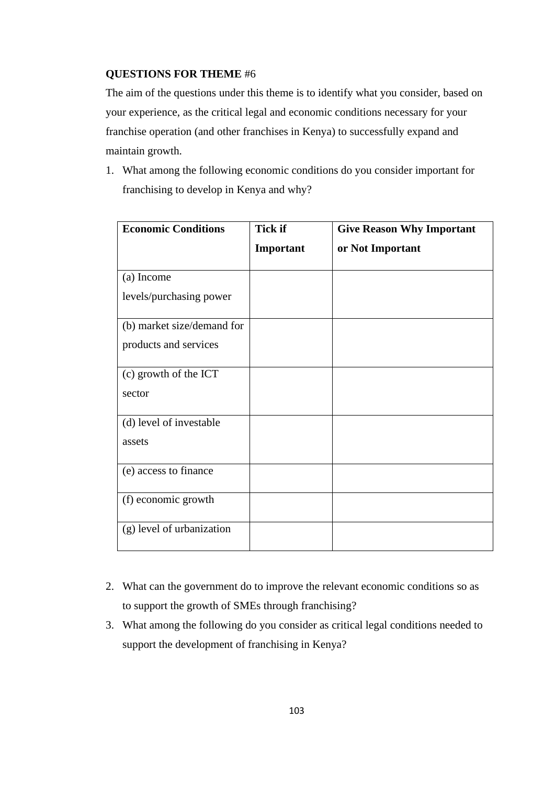# **QUESTIONS FOR THEME** #6

The aim of the questions under this theme is to identify what you consider, based on your experience, as the critical legal and economic conditions necessary for your franchise operation (and other franchises in Kenya) to successfully expand and maintain growth.

1. What among the following economic conditions do you consider important for franchising to develop in Kenya and why?

| <b>Economic Conditions</b> | <b>Tick if</b> | <b>Give Reason Why Important</b> |
|----------------------------|----------------|----------------------------------|
|                            | Important      | or Not Important                 |
| (a) Income                 |                |                                  |
| levels/purchasing power    |                |                                  |
| (b) market size/demand for |                |                                  |
| products and services      |                |                                  |
| (c) growth of the ICT      |                |                                  |
| sector                     |                |                                  |
| (d) level of investable    |                |                                  |
| assets                     |                |                                  |
| (e) access to finance      |                |                                  |
| (f) economic growth        |                |                                  |
| (g) level of urbanization  |                |                                  |

- 2. What can the government do to improve the relevant economic conditions so as to support the growth of SMEs through franchising?
- 3. What among the following do you consider as critical legal conditions needed to support the development of franchising in Kenya?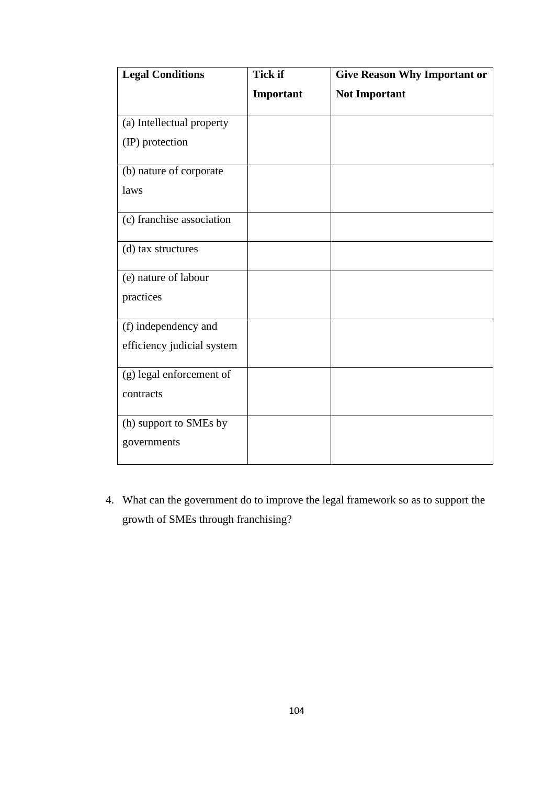| <b>Legal Conditions</b>    | <b>Tick if</b> | <b>Give Reason Why Important or</b> |
|----------------------------|----------------|-------------------------------------|
|                            | Important      | <b>Not Important</b>                |
| (a) Intellectual property  |                |                                     |
| (IP) protection            |                |                                     |
| (b) nature of corporate    |                |                                     |
| laws                       |                |                                     |
| (c) franchise association  |                |                                     |
| (d) tax structures         |                |                                     |
| (e) nature of labour       |                |                                     |
| practices                  |                |                                     |
| (f) independency and       |                |                                     |
| efficiency judicial system |                |                                     |
| (g) legal enforcement of   |                |                                     |
| contracts                  |                |                                     |
| (h) support to SMEs by     |                |                                     |
| governments                |                |                                     |

4. What can the government do to improve the legal framework so as to support the growth of SMEs through franchising?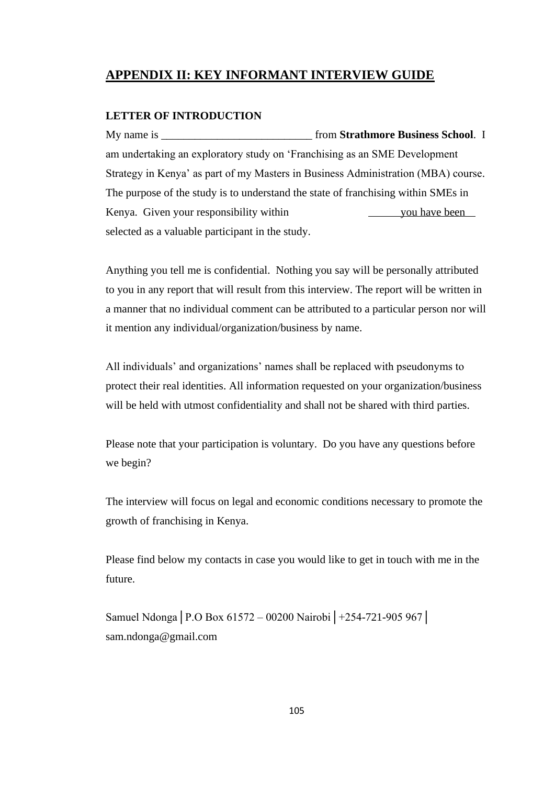# **APPENDIX II: KEY INFORMANT INTERVIEW GUIDE**

### **LETTER OF INTRODUCTION**

My name is **the interval of the Strathmore Business School**. I am undertaking an exploratory study on 'Franchising as an SME Development Strategy in Kenya' as part of my Masters in Business Administration (MBA) course. The purpose of the study is to understand the state of franchising within SMEs in Kenya. Given your responsibility within you have been selected as a valuable participant in the study.

Anything you tell me is confidential. Nothing you say will be personally attributed to you in any report that will result from this interview. The report will be written in a manner that no individual comment can be attributed to a particular person nor will it mention any individual/organization/business by name.

All individuals' and organizations' names shall be replaced with pseudonyms to protect their real identities. All information requested on your organization/business will be held with utmost confidentiality and shall not be shared with third parties.

Please note that your participation is voluntary. Do you have any questions before we begin?

The interview will focus on legal and economic conditions necessary to promote the growth of franchising in Kenya.

Please find below my contacts in case you would like to get in touch with me in the future.

Samuel Ndonga│P.O Box 61572 – 00200 Nairobi│+254-721-905 967│ sam.ndonga@gmail.com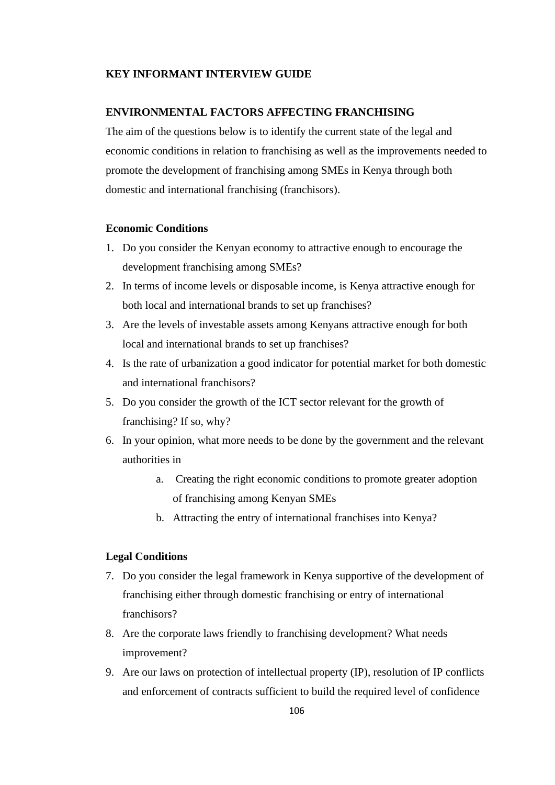### **KEY INFORMANT INTERVIEW GUIDE**

## **ENVIRONMENTAL FACTORS AFFECTING FRANCHISING**

The aim of the questions below is to identify the current state of the legal and economic conditions in relation to franchising as well as the improvements needed to promote the development of franchising among SMEs in Kenya through both domestic and international franchising (franchisors).

### **Economic Conditions**

- 1. Do you consider the Kenyan economy to attractive enough to encourage the development franchising among SMEs?
- 2. In terms of income levels or disposable income, is Kenya attractive enough for both local and international brands to set up franchises?
- 3. Are the levels of investable assets among Kenyans attractive enough for both local and international brands to set up franchises?
- 4. Is the rate of urbanization a good indicator for potential market for both domestic and international franchisors?
- 5. Do you consider the growth of the ICT sector relevant for the growth of franchising? If so, why?
- 6. In your opinion, what more needs to be done by the government and the relevant authorities in
	- a. Creating the right economic conditions to promote greater adoption of franchising among Kenyan SMEs
	- b. Attracting the entry of international franchises into Kenya?

## **Legal Conditions**

- 7. Do you consider the legal framework in Kenya supportive of the development of franchising either through domestic franchising or entry of international franchisors?
- 8. Are the corporate laws friendly to franchising development? What needs improvement?
- 9. Are our laws on protection of intellectual property (IP), resolution of IP conflicts and enforcement of contracts sufficient to build the required level of confidence